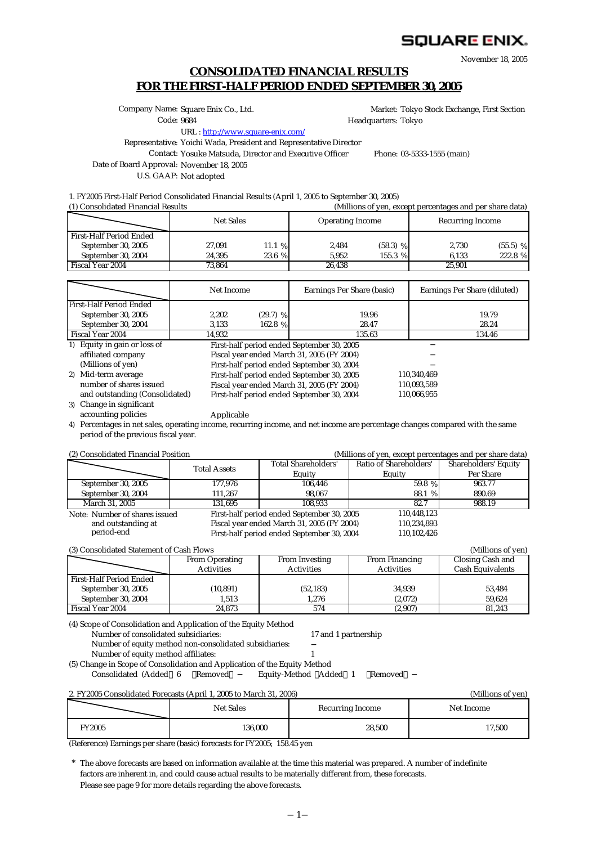# SQUARE ENIX.

November 18, 2005

# **CONSOLIDATED FINANCIAL RESULTS FOR THE FIRST-HALF PERIOD ENDED SEPTEMBER 30, 2005**

Company Name: Square Enix Co., Ltd.

Market: Tokyo Stock Exchange, First Section Headquarters: Tokyo

Code: 9684

URL : <http://www.square-enix.com/>

Representative: Yoichi Wada, President and Representative Director

Contact: Yosuke Matsuda, Director and Executive Officer Phone: 03-5333-1555 (main)

110,340,469 110,093,589<br>110.066.955

Date of Board Approval: November 18, 2005

U.S. GAAP: Not adopted

1. FY2005 First-Half Period Consolidated Financial Results (April 1, 2005 to September 30, 2005)

| (1) Consolidated Financial Results | (Millions of yen, except percentages and per share data) |        |                         |            |                         |            |  |
|------------------------------------|----------------------------------------------------------|--------|-------------------------|------------|-------------------------|------------|--|
|                                    | <b>Net Sales</b>                                         |        | <b>Operating Income</b> |            | <b>Recurring Income</b> |            |  |
| First-Half Period Ended            |                                                          |        |                         |            |                         |            |  |
| September 30, 2005                 | 27,091                                                   | 11.1%  | 2,484                   | $(58.3)$ % | 2.730                   | $(55.5)$ % |  |
| September 30, 2004                 | 24.395                                                   | 23.6 % | 5.952                   | 155.3 %    | 6.133                   | 222.8 %    |  |
| Fiscal Year 2004                   | 73.864                                                   |        | 26.438                  |            | 25.901                  |            |  |

|                         | Net Income |            | Earnings Per Share (basic) | Earnings Per Share (diluted) |  |
|-------------------------|------------|------------|----------------------------|------------------------------|--|
| First-Half Period Ended |            |            |                            |                              |  |
| September 30, 2005      | 2.202      | $(29.7)$ % | 19.96                      | 19.79                        |  |
| September 30, 2004      | 3.133      | 162.8 %    | 28.47                      | 28.24                        |  |
| Fiscal Year 2004        | 14.932     |            | 135.63                     | 134.46                       |  |

1) First-half period ended September 30, 2005 Fiscal year ended March 31, 2005 (FY 2004) First-half period ended September 30, 2004 2) First-half period ended September 30, 2005 Fiscal year ended March 31, 2005 (FY 2004)

Equity in gain or loss of affiliated company (Millions of yen) Mid-term average

First-half period ended September 30, 2004 and outstanding (Consolidated) 110,066,955 3) Change in significant number of shares issued<br>and outstanding (Consolidated) accounting policies

Applicable

4) Percentages in net sales, operating income, recurring income, and net income are percentage changes compared with the same period of the previous fiscal year.

(2) Consolidated Financial Position (Millions of yen, except percentages and per share data)

| $\mathcal{L}_{\mathcal{L}}$ consolidated I maneral I controll |                     | $(1)$ and $(0)$ and $(1)$ and $(2)$ and $(3)$ and $(4)$ and $(5)$ |                        |                      |
|---------------------------------------------------------------|---------------------|-------------------------------------------------------------------|------------------------|----------------------|
|                                                               | <b>Total Assets</b> | <b>Total Shareholders'</b>                                        | Ratio of Shareholders' | Shareholders' Equity |
|                                                               |                     | Equity                                                            | Equity                 | Per Share            |
| September 30, 2005                                            | 177.976             | 106.446                                                           | 59.8 %                 | 963.77               |
| September 30, 2004                                            | 111.267             | 98.067                                                            | 88.1 %                 | 890.69               |
| March 31, 2005                                                | 131.695             | 108.933                                                           |                        | 988.19               |
| Note: Number of shares issued                                 |                     | First-half period ended September 30, 2005                        | 110,448,123            |                      |
| and outstanding at                                            |                     | Fiscal year ended March 31, 2005 (FY 2004)                        | 110,234,893            |                      |
| period-end                                                    |                     | First-half period ended September 30, 2004                        | 110,102,426            |                      |
|                                                               |                     |                                                                   |                        |                      |

| (3) Consolidated Statement of Cash Flows<br>(Millions of yen) |                       |                   |                       |                         |  |  |  |
|---------------------------------------------------------------|-----------------------|-------------------|-----------------------|-------------------------|--|--|--|
|                                                               | <b>From Operating</b> | From Investing    | <b>From Financing</b> | Closing Cash and        |  |  |  |
|                                                               | <b>Activities</b>     | <b>Activities</b> | <b>Activities</b>     | <b>Cash Equivalents</b> |  |  |  |
| <b>First-Half Period Ended</b>                                |                       |                   |                       |                         |  |  |  |
| September 30, 2005                                            | (10, 891)             | (52, 183)         | 34.939                | 53.484                  |  |  |  |
| September 30, 2004                                            | 1.513                 | 1.276             | (2,072)               | 59.624                  |  |  |  |
| <b>Fiscal Year 2004</b>                                       | 24.873                | 574               | (2,907)               | 81.243                  |  |  |  |

(4) Scope of Consolidation and Application of the Equity Method

Number of consolidated subsidiaries: 17 and 1 partnership

Number of equity method non-consolidated subsidiaries:

Number of equity method affiliates: 1

(5) Change in Scope of Consolidation and Application of the Equity Method Consolidated (Added 6 Removed Equity-Method Added 1 Removed

#### 2. FY2005 Consolidated Forecasts (April 1, 2005 to March 31, 2006) (Millions of yen) FY2005 17,500 Recurring Income Net Income Net Sales 136,000 28,500

(Reference) Earnings per share (basic) forecasts for FY2005; 158.45 yen

\* The above forecasts are based on information available at the time this material was prepared. A number of indefinite Please see page 9 for more details regarding the above forecasts. factors are inherent in, and could cause actual results to be materially different from, these forecasts.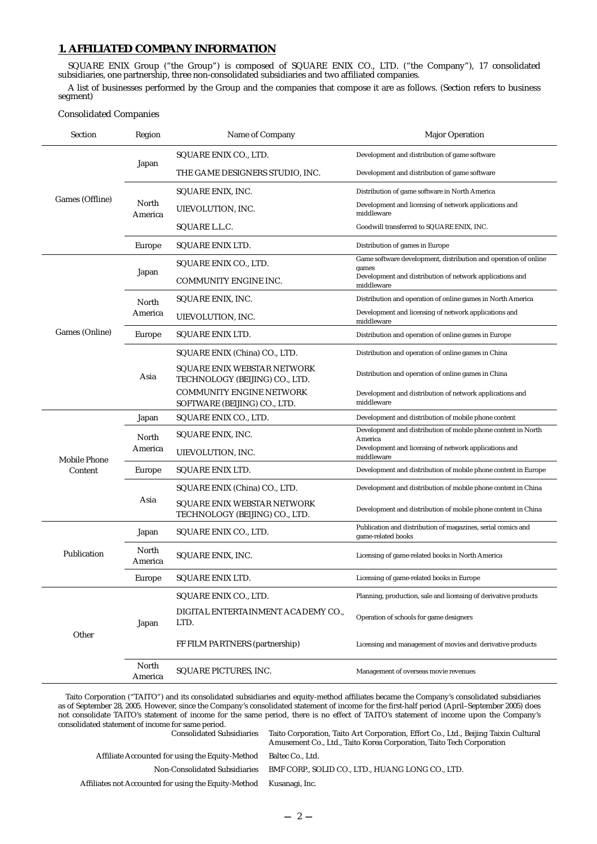# **1. AFFILIATED COMPANY INFORMATION**

SQUARE ENIX Group ("the Group") is composed of SQUARE ENIX CO., LTD. ("the Company"), 17 consolidated subsidiaries, one partnership, three non-consolidated subsidiaries and two affiliated companies.

A list of businesses performed by the Group and the companies that compose it are as follows. (Section refers to business segment)

#### Consolidated Companies

| Section                                                                                     | Region           | Name of Company                                                      | <b>Major Operation</b>                                                             |
|---------------------------------------------------------------------------------------------|------------------|----------------------------------------------------------------------|------------------------------------------------------------------------------------|
|                                                                                             |                  | SQUARE ENIX CO., LTD.                                                | Development and distribution of game software                                      |
| Games (Offline)<br>Games (Online)<br><b>Mobile Phone</b><br>Content<br>Publication<br>Other | Japan            | THE GAME DESIGNERS STUDIO, INC.                                      | Development and distribution of game software                                      |
|                                                                                             |                  | SQUARE ENIX, INC.                                                    | Distribution of game software in North America                                     |
|                                                                                             | North<br>America | UIEVOLUTION, INC.                                                    | Development and licensing of network applications and<br>middleware                |
|                                                                                             |                  | SQUARE L.L.C.                                                        | Goodwill transferred to SQUARE ENIX, INC.                                          |
|                                                                                             | Europe           | SQUARE ENIX LTD.                                                     | Distribution of games in Europe                                                    |
|                                                                                             |                  | SQUARE ENIX CO., LTD.                                                | Game software development, distribution and operation of online<br>games           |
|                                                                                             | Japan            | COMMUNITY ENGINE INC.                                                | Development and distribution of network applications and<br>middleware             |
|                                                                                             | North            | SQUARE ENIX, INC.                                                    | Distribution and operation of online games in North America                        |
|                                                                                             | America          | UIEVOLUTION, INC.                                                    | Development and licensing of network applications and<br>middleware                |
|                                                                                             | Europe           | SQUARE ENIX LTD.                                                     | Distribution and operation of online games in Europe                               |
|                                                                                             | Asia             | SQUARE ENIX (China) CO., LTD.                                        | Distribution and operation of online games in China                                |
|                                                                                             |                  | <b>SQUARE ENIX WEBSTAR NETWORK</b><br>TECHNOLOGY (BEIJING) CO., LTD. | Distribution and operation of online games in China                                |
|                                                                                             |                  | <b>COMMUNITY ENGINE NETWORK</b><br>SOFTWARE (BEIJING) CO., LTD.      | Development and distribution of network applications and<br>middleware             |
|                                                                                             | Japan            | SQUARE ENIX CO., LTD.                                                | Development and distribution of mobile phone content                               |
|                                                                                             | North            | SQUARE ENIX, INC.                                                    | Development and distribution of mobile phone content in North<br>America           |
|                                                                                             | America          | UIEVOLUTION, INC.                                                    | Development and licensing of network applications and<br>middleware                |
|                                                                                             | Europe           | SQUARE ENIX LTD.                                                     | Development and distribution of mobile phone content in Europe                     |
|                                                                                             |                  | SQUARE ENIX (China) CO., LTD.                                        | Development and distribution of mobile phone content in China                      |
|                                                                                             | Asia             | SQUARE ENIX WEBSTAR NETWORK<br>TECHNOLOGY (BEIJING) CO., LTD.        | Development and distribution of mobile phone content in China                      |
|                                                                                             | Japan            | SQUARE ENIX CO., LTD.                                                | Publication and distribution of magazines, serial comics and<br>game-related books |
|                                                                                             | North<br>America | SQUARE ENIX, INC.                                                    | Licensing of game-related books in North America                                   |
|                                                                                             | Europe           | <b>SQUARE ENIX LTD.</b>                                              | Licensing of game-related books in Europe                                          |
|                                                                                             |                  | SQUARE ENIX CO., LTD.                                                | Planning, production, sale and licensing of derivative products                    |
|                                                                                             | Japan            | DIGITAL ENTERTAINMENT ACADEMY CO.,<br>LTD.                           | Operation of schools for game designers                                            |
|                                                                                             |                  | FF FILM PARTNERS (partnership)                                       | Licensing and management of movies and derivative products                         |
|                                                                                             | North<br>America | SQUARE PICTURES, INC.                                                | Management of overseas movie revenues                                              |

Taito Corporation ("TAITO") and its consolidated subsidiaries and equity-method affiliates became the Company's consolidated subsidiaries as of September 28, 2005. However, since the Company's consolidated statement of income for the first-half period (April–September 2005) does not consolidate TAITO's statement of income for the same period, there is no effect of TAITO's statement of income upon the Company's consolidated statement of income for same period.

| consonaated statement of meome for same perfout.     |                                                                                                                                                             |
|------------------------------------------------------|-------------------------------------------------------------------------------------------------------------------------------------------------------------|
| <b>Consolidated Subsidiaries</b>                     | Taito Corporation, Taito Art Corporation, Effort Co., Ltd., Beijing Taixin Cultural<br>Amusement Co., Ltd., Taito Korea Corporation, Taito Tech Corporation |
| Affiliate Accounted for using the Equity-Method      | Baltec Co., Ltd.                                                                                                                                            |
| Non-Consolidated Subsidiaries                        | BMF CORP., SOLID CO., LTD., HUANG LONG CO., LTD.                                                                                                            |
| Affiliates not Accounted for using the Equity-Method | Kusanagi, Inc.                                                                                                                                              |
|                                                      |                                                                                                                                                             |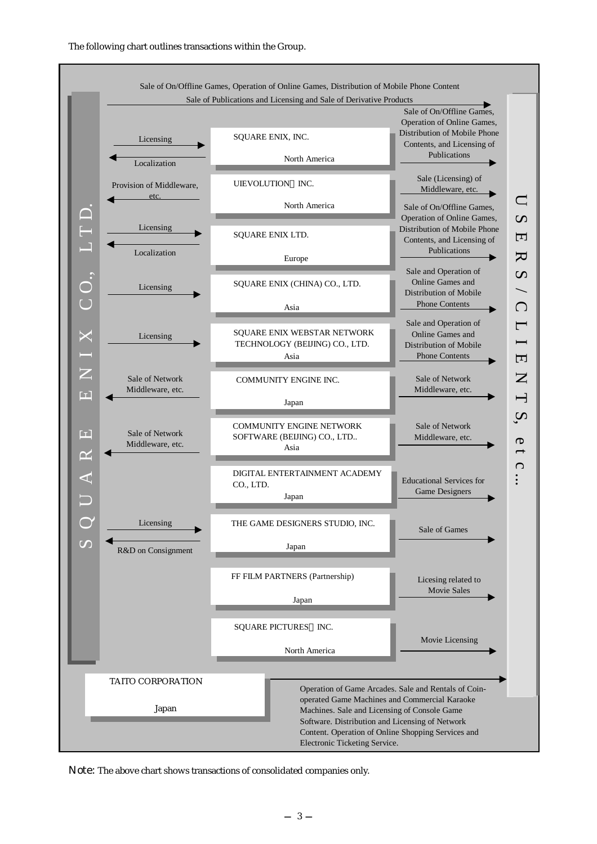

Note: The above chart shows transactions of consolidated companies only.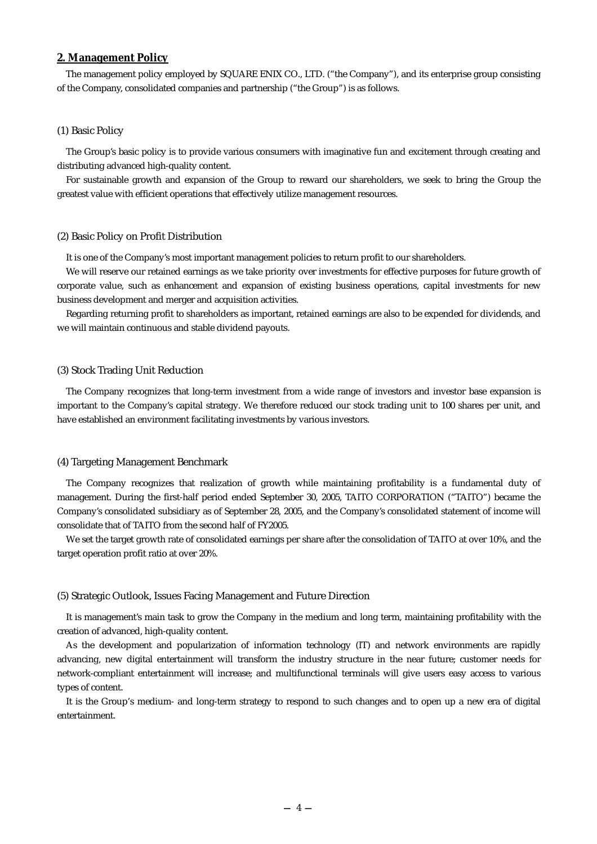#### **2. Management Policy**

The management policy employed by SQUARE ENIX CO., LTD. ("the Company"), and its enterprise group consisting of the Company, consolidated companies and partnership ("the Group") is as follows.

#### (1) Basic Policy

The Group's basic policy is to provide various consumers with imaginative fun and excitement through creating and distributing advanced high-quality content.

For sustainable growth and expansion of the Group to reward our shareholders, we seek to bring the Group the greatest value with efficient operations that effectively utilize management resources.

#### (2) Basic Policy on Profit Distribution

It is one of the Company's most important management policies to return profit to our shareholders.

We will reserve our retained earnings as we take priority over investments for effective purposes for future growth of corporate value, such as enhancement and expansion of existing business operations, capital investments for new business development and merger and acquisition activities.

Regarding returning profit to shareholders as important, retained earnings are also to be expended for dividends, and we will maintain continuous and stable dividend payouts.

### (3) Stock Trading Unit Reduction

The Company recognizes that long-term investment from a wide range of investors and investor base expansion is important to the Company's capital strategy. We therefore reduced our stock trading unit to 100 shares per unit, and have established an environment facilitating investments by various investors.

#### (4) Targeting Management Benchmark

The Company recognizes that realization of growth while maintaining profitability is a fundamental duty of management. During the first-half period ended September 30, 2005, TAITO CORPORATION ("TAITO") became the Company's consolidated subsidiary as of September 28, 2005, and the Company's consolidated statement of income will consolidate that of TAITO from the second half of FY2005.

We set the target growth rate of consolidated earnings per share after the consolidation of TAITO at over 10%, and the target operation profit ratio at over 20%.

#### (5) Strategic Outlook, Issues Facing Management and Future Direction

It is management's main task to grow the Company in the medium and long term, maintaining profitability with the creation of advanced, high-quality content.

As the development and popularization of information technology (IT) and network environments are rapidly advancing, new digital entertainment will transform the industry structure in the near future; customer needs for network-compliant entertainment will increase; and multifunctional terminals will give users easy access to various types of content.

It is the Group's medium- and long-term strategy to respond to such changes and to open up a new era of digital entertainment.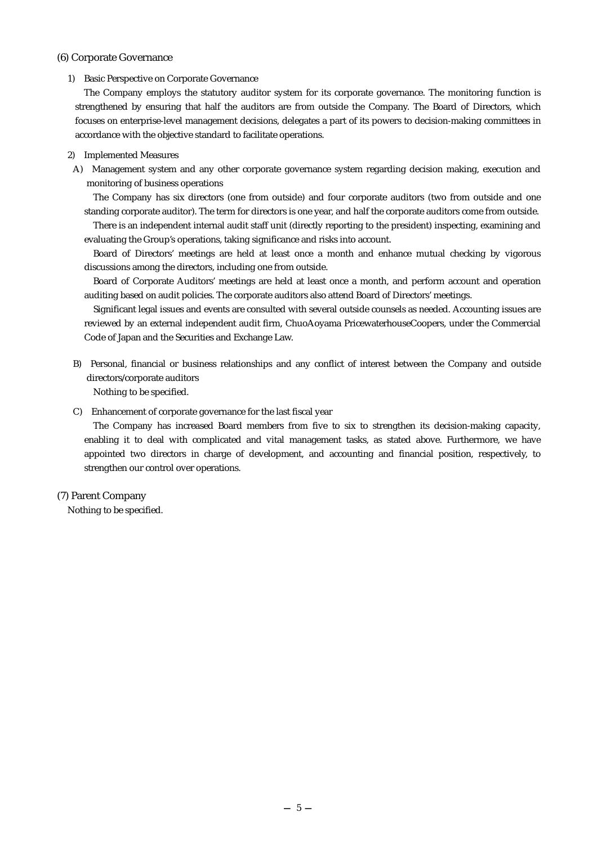#### (6) Corporate Governance

#### 1) Basic Perspective on Corporate Governance

The Company employs the statutory auditor system for its corporate governance. The monitoring function is strengthened by ensuring that half the auditors are from outside the Company. The Board of Directors, which focuses on enterprise-level management decisions, delegates a part of its powers to decision-making committees in accordance with the objective standard to facilitate operations.

#### 2) Implemented Measures

A) Management system and any other corporate governance system regarding decision making, execution and monitoring of business operations

The Company has six directors (one from outside) and four corporate auditors (two from outside and one standing corporate auditor). The term for directors is one year, and half the corporate auditors come from outside.

There is an independent internal audit staff unit (directly reporting to the president) inspecting, examining and evaluating the Group's operations, taking significance and risks into account.

Board of Directors' meetings are held at least once a month and enhance mutual checking by vigorous discussions among the directors, including one from outside.

Board of Corporate Auditors' meetings are held at least once a month, and perform account and operation auditing based on audit policies. The corporate auditors also attend Board of Directors' meetings.

Significant legal issues and events are consulted with several outside counsels as needed. Accounting issues are reviewed by an external independent audit firm, ChuoAoyama PricewaterhouseCoopers, under the Commercial Code of Japan and the Securities and Exchange Law.

B) Personal, financial or business relationships and any conflict of interest between the Company and outside directors/corporate auditors

Nothing to be specified.

C) Enhancement of corporate governance for the last fiscal year

The Company has increased Board members from five to six to strengthen its decision-making capacity, enabling it to deal with complicated and vital management tasks, as stated above. Furthermore, we have appointed two directors in charge of development, and accounting and financial position, respectively, to strengthen our control over operations.

### (7) Parent Company

Nothing to be specified.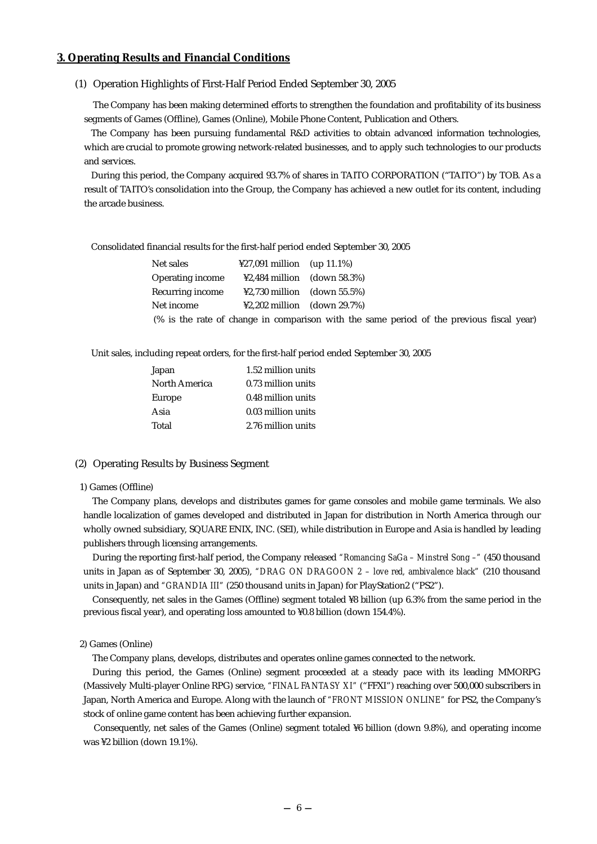### **3. Operating Results and Financial Conditions**

(1) Operation Highlights of First-Half Period Ended September 30, 2005

The Company has been making determined efforts to strengthen the foundation and profitability of its business segments of Games (Offline), Games (Online), Mobile Phone Content, Publication and Others.

The Company has been pursuing fundamental R&D activities to obtain advanced information technologies, which are crucial to promote growing network-related businesses, and to apply such technologies to our products and services.

During this period, the Company acquired 93.7% of shares in TAITO CORPORATION ("TAITO") by TOB. As a result of TAITO's consolidation into the Group, the Company has achieved a new outlet for its content, including the arcade business.

Consolidated financial results for the first-half period ended September 30, 2005

| Net sales               | $\text{\#27.091}$ million (up 11.1%)  |                                                                                          |
|-------------------------|---------------------------------------|------------------------------------------------------------------------------------------|
| <b>Operating income</b> | $\text{\#2,484}$ million (down 58.3%) |                                                                                          |
| Recurring income        | $\text{$}2,730$ million (down 55.5%)  |                                                                                          |
| Net income              | $\text{$}2,202$ million (down 29.7%)  |                                                                                          |
|                         |                                       | (% is the rate of change in comparison with the same period of the previous fiscal year) |

Unit sales, including repeat orders, for the first-half period ended September 30, 2005

| Japan         | 1.52 million units |
|---------------|--------------------|
| North America | 0.73 million units |
| Europe        | 0.48 million units |
| Asia          | 0.03 million units |
| Total         | 2.76 million units |
|               |                    |

#### (2) Operating Results by Business Segment

#### 1) Games (Offline)

The Company plans, develops and distributes games for game consoles and mobile game terminals. We also handle localization of games developed and distributed in Japan for distribution in North America through our wholly owned subsidiary, SQUARE ENIX, INC. (SEI), while distribution in Europe and Asia is handled by leading publishers through licensing arrangements.

During the reporting first-half period, the Company released *"Romancing SaGa – Minstrel Song –"* (450 thousand units in Japan as of September 30, 2005), *"DRAG ON DRAGOON 2 – love red, ambivalence black"* (210 thousand units in Japan) and *"GRANDIA III"* (250 thousand units in Japan) for PlayStation2 ("PS2").

Consequently, net sales in the Games (Offline) segment totaled ¥8 billion (up 6.3% from the same period in the previous fiscal year), and operating loss amounted to ¥0.8 billion (down 154.4%).

#### 2) Games (Online)

The Company plans, develops, distributes and operates online games connected to the network.

During this period, the Games (Online) segment proceeded at a steady pace with its leading MMORPG (Massively Multi-player Online RPG) service, *"FINAL FANTASY XI"* ("FFXI") reaching over 500,000 subscribers in Japan, North America and Europe. Along with the launch of *"FRONT MISSION ONLINE"* for PS2, the Company's stock of online game content has been achieving further expansion.

Consequently, net sales of the Games (Online) segment totaled ¥6 billion (down 9.8%), and operating income was ¥2 billion (down 19.1%).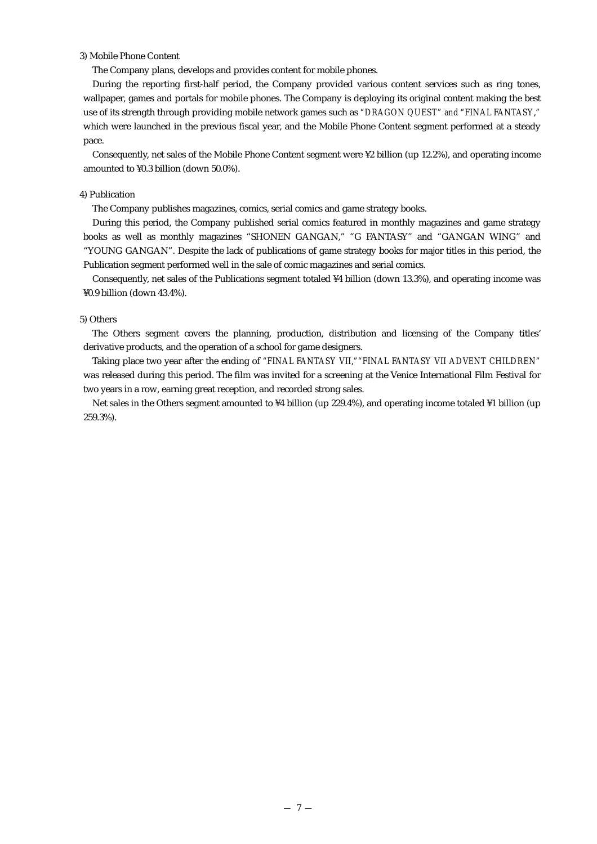#### 3) Mobile Phone Content

The Company plans, develops and provides content for mobile phones.

During the reporting first-half period, the Company provided various content services such as ring tones, wallpaper, games and portals for mobile phones. The Company is deploying its original content making the best use of its strength through providing mobile network games such as *"DRAGON QUEST" and "FINAL FANTASY*,*"* which were launched in the previous fiscal year, and the Mobile Phone Content segment performed at a steady pace.

Consequently, net sales of the Mobile Phone Content segment were ¥2 billion (up 12.2%), and operating income amounted to ¥0.3 billion (down 50.0%).

#### 4) Publication

The Company publishes magazines, comics, serial comics and game strategy books.

During this period, the Company published serial comics featured in monthly magazines and game strategy books as well as monthly magazines "SHONEN GANGAN," "G FANTASY" and "GANGAN WING" and "YOUNG GANGAN". Despite the lack of publications of game strategy books for major titles in this period, the Publication segment performed well in the sale of comic magazines and serial comics.

Consequently, net sales of the Publications segment totaled ¥4 billion (down 13.3%), and operating income was ¥0.9 billion (down 43.4%).

#### 5) Others

The Others segment covers the planning, production, distribution and licensing of the Company titles' derivative products, and the operation of a school for game designers.

Taking place two year after the ending of *"FINAL FANTASY VII*,*""FINAL FANTASY VII ADVENT CHILDREN"* was released during this period. The film was invited for a screening at the Venice International Film Festival for two years in a row, earning great reception, and recorded strong sales.

Net sales in the Others segment amounted to ¥4 billion (up 229.4%), and operating income totaled ¥1 billion (up 259.3%).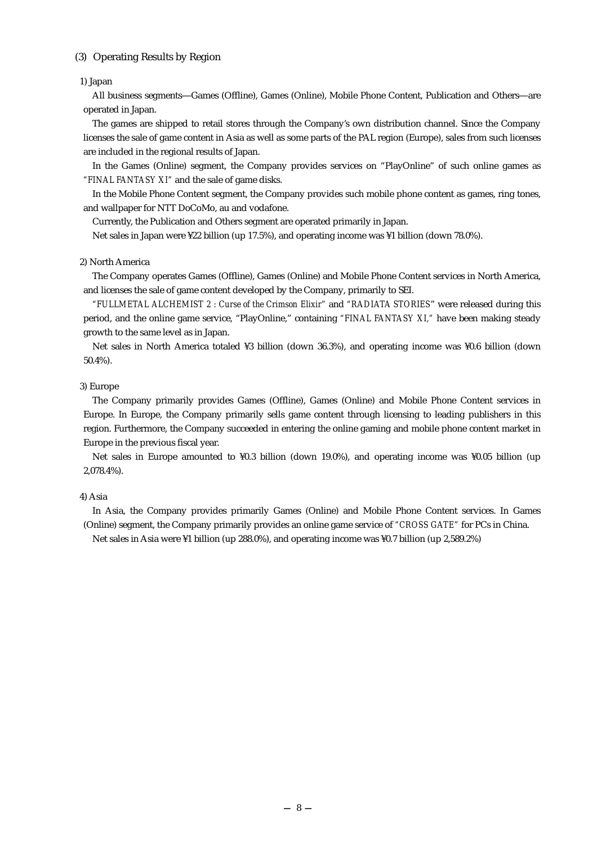### (3) Operating Results by Region

#### 1) Japan

All business segments Games (Offline), Games (Online), Mobile Phone Content, Publication and Others are operated in Japan.

The games are shipped to retail stores through the Company's own distribution channel. Since the Company licenses the sale of game content in Asia as well as some parts of the PAL region (Europe), sales from such licenses are included in the regional results of Japan.

In the Games (Online) segment, the Company provides services on "PlayOnline" of such online games as *"FINAL FANTASY XI"* and the sale of game disks.

In the Mobile Phone Content segment, the Company provides such mobile phone content as games, ring tones, and wallpaper for NTT DoCoMo, au and vodafone.

Currently, the Publication and Others segment are operated primarily in Japan.

Net sales in Japan were ¥22 billion (up 17.5%), and operating income was ¥1 billion (down 78.0%).

#### 2) North America

The Company operates Games (Offline), Games (Online) and Mobile Phone Content services in North America, and licenses the sale of game content developed by the Company, primarily to SEI.

*"FULLMETAL ALCHEMIST 2 : Curse of the Crimson Elixir"* and *"RADIATA STORIES*" were released during this period, and the online game service, "PlayOnline," containing *"FINAL FANTASY XI,"* have been making steady growth to the same level as in Japan.

Net sales in North America totaled ¥3 billion (down 36.3%), and operating income was ¥0.6 billion (down 50.4%).

#### 3) Europe

The Company primarily provides Games (Offline), Games (Online) and Mobile Phone Content services in Europe. In Europe, the Company primarily sells game content through licensing to leading publishers in this region. Furthermore, the Company succeeded in entering the online gaming and mobile phone content market in Europe in the previous fiscal year.

Net sales in Europe amounted to ¥0.3 billion (down 19.0%), and operating income was ¥0.05 billion (up 2,078.4%).

#### 4) Asia

In Asia, the Company provides primarily Games (Online) and Mobile Phone Content services. In Games (Online) segment, the Company primarily provides an online game service of *"CROSS GATE"* for PCs in China.

Net sales in Asia were ¥1 billion (up 288.0%), and operating income was ¥0.7 billion (up 2,589.2%)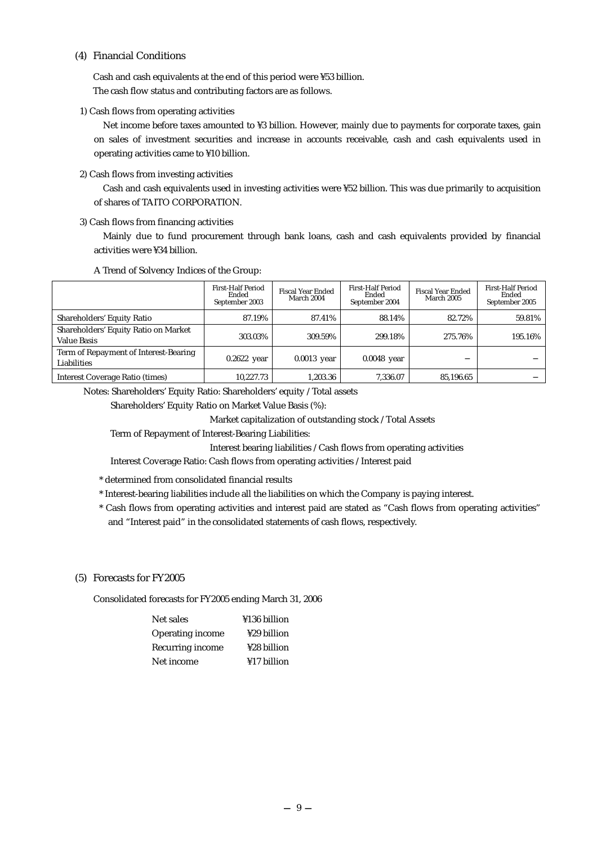### (4) Financial Conditions

Cash and cash equivalents at the end of this period were ¥53 billion. The cash flow status and contributing factors are as follows.

1) Cash flows from operating activities

Net income before taxes amounted to ¥3 billion. However, mainly due to payments for corporate taxes, gain on sales of investment securities and increase in accounts receivable, cash and cash equivalents used in operating activities came to ¥10 billion.

2) Cash flows from investing activities

Cash and cash equivalents used in investing activities were ¥52 billion. This was due primarily to acquisition of shares of TAITO CORPORATION.

3) Cash flows from financing activities

Mainly due to fund procurement through bank loans, cash and cash equivalents provided by financial activities were ¥34 billion.

|                                                            | First-Half Period<br>Ended<br>September 2003 | <b>Fiscal Year Ended</b><br>March 2004 | <b>First-Half Period</b><br>Ended<br>September 2004 | <b>Fiscal Year Ended</b><br><b>March 2005</b> | <b>First-Half Period</b><br>Ended<br>September 2005 |
|------------------------------------------------------------|----------------------------------------------|----------------------------------------|-----------------------------------------------------|-----------------------------------------------|-----------------------------------------------------|
| Shareholders' Equity Ratio                                 | 87.19%                                       | 87.41%                                 | 88.14%                                              | 82.72%                                        | 59.81%                                              |
| Shareholders' Equity Ratio on Market<br><b>Value Basis</b> | 303.03%                                      | 309.59%                                | 299.18%                                             | 275.76%                                       | 195.16%                                             |
| Term of Repayment of Interest-Bearing<br>Liabilities       | $0.2622$ year                                | $0.0013$ year                          | $0.0048$ year                                       |                                               |                                                     |
| Interest Coverage Ratio (times)                            | 10,227.73                                    | 1.203.36                               | 7.336.07                                            | 85.196.65                                     |                                                     |

Notes: Shareholders' Equity Ratio: Shareholders' equity / Total assets

Shareholders' Equity Ratio on Market Value Basis (%):

Market capitalization of outstanding stock / Total Assets

Term of Repayment of Interest-Bearing Liabilities:

Interest bearing liabilities / Cash flows from operating activities

Interest Coverage Ratio: Cash flows from operating activities / Interest paid

- \* determined from consolidated financial results
- \* Interest-bearing liabilities include all the liabilities on which the Company is paying interest.
- \* Cash flows from operating activities and interest paid are stated as "Cash flows from operating activities" and "Interest paid" in the consolidated statements of cash flows, respectively.

# (5) Forecasts for FY2005

Consolidated forecasts for FY2005 ending March 31, 2006

| Net sales               | ¥136 billion |
|-------------------------|--------------|
| <b>Operating income</b> | ¥29 billion  |
| Recurring income        | ¥28 billion  |
| Net income              | ¥17 billion  |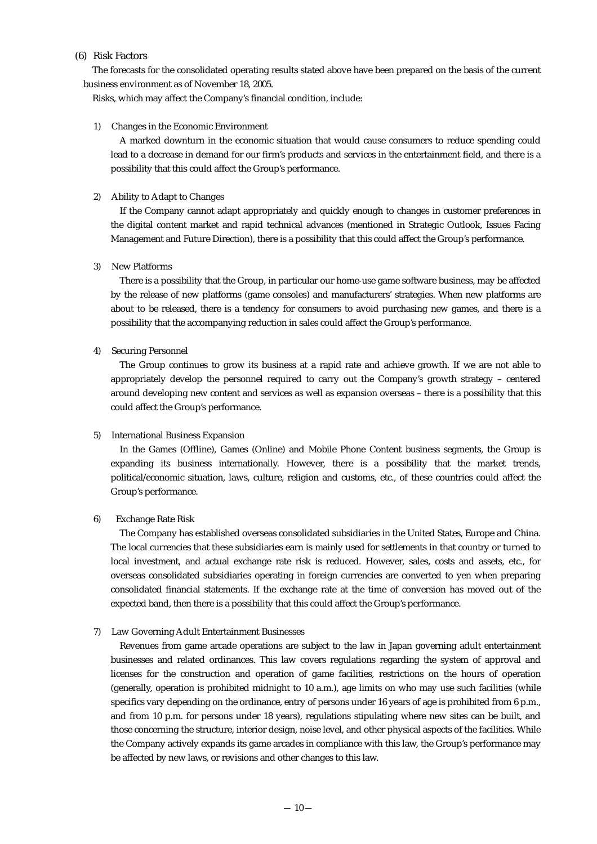#### (6) Risk Factors

The forecasts for the consolidated operating results stated above have been prepared on the basis of the current business environment as of November 18, 2005.

Risks, which may affect the Company's financial condition, include:

#### 1) Changes in the Economic Environment

A marked downturn in the economic situation that would cause consumers to reduce spending could lead to a decrease in demand for our firm's products and services in the entertainment field, and there is a possibility that this could affect the Group's performance.

#### 2) Ability to Adapt to Changes

If the Company cannot adapt appropriately and quickly enough to changes in customer preferences in the digital content market and rapid technical advances (mentioned in Strategic Outlook, Issues Facing Management and Future Direction), there is a possibility that this could affect the Group's performance.

#### 3) New Platforms

There is a possibility that the Group, in particular our home-use game software business, may be affected by the release of new platforms (game consoles) and manufacturers' strategies. When new platforms are about to be released, there is a tendency for consumers to avoid purchasing new games, and there is a possibility that the accompanying reduction in sales could affect the Group's performance.

#### 4) Securing Personnel

The Group continues to grow its business at a rapid rate and achieve growth. If we are not able to appropriately develop the personnel required to carry out the Company's growth strategy – centered around developing new content and services as well as expansion overseas – there is a possibility that this could affect the Group's performance.

#### 5) International Business Expansion

In the Games (Offline), Games (Online) and Mobile Phone Content business segments, the Group is expanding its business internationally. However, there is a possibility that the market trends, political/economic situation, laws, culture, religion and customs, etc., of these countries could affect the Group's performance.

#### 6) Exchange Rate Risk

The Company has established overseas consolidated subsidiaries in the United States, Europe and China. The local currencies that these subsidiaries earn is mainly used for settlements in that country or turned to local investment, and actual exchange rate risk is reduced. However, sales, costs and assets, etc., for overseas consolidated subsidiaries operating in foreign currencies are converted to yen when preparing consolidated financial statements. If the exchange rate at the time of conversion has moved out of the expected band, then there is a possibility that this could affect the Group's performance.

#### 7) Law Governing Adult Entertainment Businesses

Revenues from game arcade operations are subject to the law in Japan governing adult entertainment businesses and related ordinances. This law covers regulations regarding the system of approval and licenses for the construction and operation of game facilities, restrictions on the hours of operation (generally, operation is prohibited midnight to 10 a.m.), age limits on who may use such facilities (while specifics vary depending on the ordinance, entry of persons under 16 years of age is prohibited from 6 p.m., and from 10 p.m. for persons under 18 years), regulations stipulating where new sites can be built, and those concerning the structure, interior design, noise level, and other physical aspects of the facilities. While the Company actively expands its game arcades in compliance with this law, the Group's performance may be affected by new laws, or revisions and other changes to this law.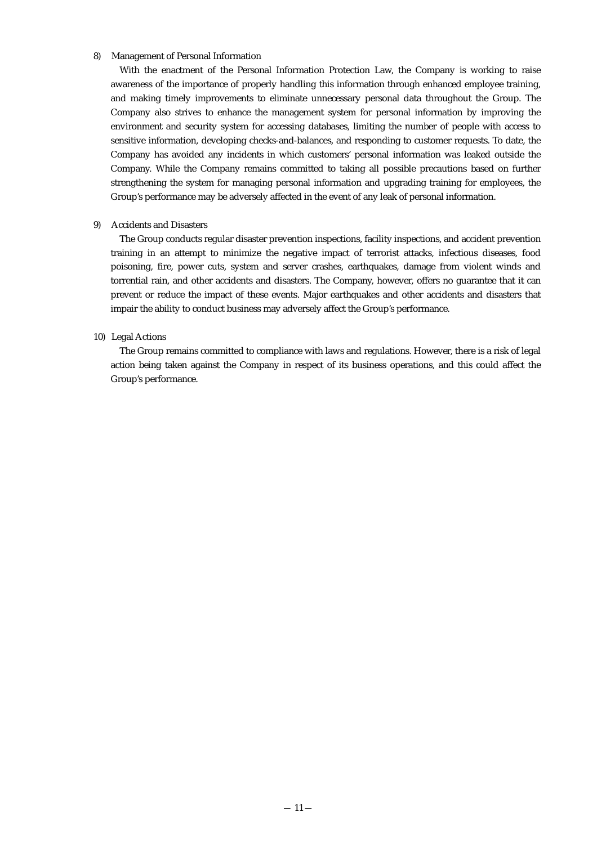#### 8) Management of Personal Information

With the enactment of the Personal Information Protection Law, the Company is working to raise awareness of the importance of properly handling this information through enhanced employee training, and making timely improvements to eliminate unnecessary personal data throughout the Group. The Company also strives to enhance the management system for personal information by improving the environment and security system for accessing databases, limiting the number of people with access to sensitive information, developing checks-and-balances, and responding to customer requests. To date, the Company has avoided any incidents in which customers' personal information was leaked outside the Company. While the Company remains committed to taking all possible precautions based on further strengthening the system for managing personal information and upgrading training for employees, the Group's performance may be adversely affected in the event of any leak of personal information.

#### 9) Accidents and Disasters

The Group conducts regular disaster prevention inspections, facility inspections, and accident prevention training in an attempt to minimize the negative impact of terrorist attacks, infectious diseases, food poisoning, fire, power cuts, system and server crashes, earthquakes, damage from violent winds and torrential rain, and other accidents and disasters. The Company, however, offers no guarantee that it can prevent or reduce the impact of these events. Major earthquakes and other accidents and disasters that impair the ability to conduct business may adversely affect the Group's performance.

#### 10) Legal Actions

The Group remains committed to compliance with laws and regulations. However, there is a risk of legal action being taken against the Company in respect of its business operations, and this could affect the Group's performance.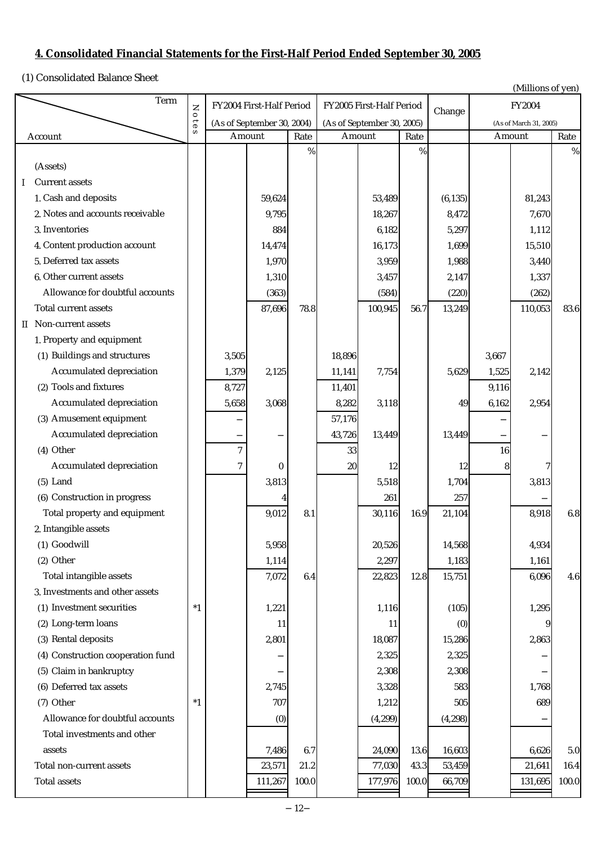# **4. Consolidated Financial Statements for the First-Half Period Ended September 30, 2005**

(1) Consolidated Balance Sheet

| (1) Consondated Dalance Sheet        |          |                                                          |                          |       |        |                          |                        |          |       | (Millions of yen) |       |
|--------------------------------------|----------|----------------------------------------------------------|--------------------------|-------|--------|--------------------------|------------------------|----------|-------|-------------------|-------|
| Term                                 | Z<br>010 |                                                          | FY2004 First-Half Period |       |        | FY2005 First-Half Period |                        | Change   |       | FY2004            |       |
|                                      |          | (As of September 30, 2004)<br>(As of September 30, 2005) |                          |       |        |                          | (As of March 31, 2005) |          |       |                   |       |
| Account                              | s        |                                                          | Amount                   | Rate  |        | Amount                   | Rate                   |          |       | Amount            | Rate  |
|                                      |          |                                                          |                          | %     |        |                          | $\%$                   |          |       |                   | $\%$  |
| (Assets)                             |          |                                                          |                          |       |        |                          |                        |          |       |                   |       |
| <b>Current assets</b><br>Ι           |          |                                                          |                          |       |        |                          |                        |          |       |                   |       |
| 1. Cash and deposits                 |          |                                                          | 59,624                   |       |        | 53,489                   |                        | (6, 135) |       | 81,243            |       |
| 2. Notes and accounts receivable     |          |                                                          | 9,795                    |       |        | 18,267                   |                        | 8,472    |       | 7,670             |       |
| 3. Inventories                       |          |                                                          | 884                      |       |        | 6,182                    |                        | 5,297    |       | 1,112             |       |
| 4. Content production account        |          |                                                          | 14,474                   |       |        | 16,173                   |                        | 1,699    |       | 15,510            |       |
| 5. Deferred tax assets               |          |                                                          | 1,970                    |       |        | 3,959                    |                        | 1,988    |       | 3,440             |       |
| 6. Other current assets              |          |                                                          | 1,310                    |       |        | 3,457                    |                        | 2,147    |       | 1,337             |       |
| Allowance for doubtful accounts      |          |                                                          | (363)                    |       |        | (584)                    |                        | (220)    |       | (262)             |       |
| Total current assets                 |          |                                                          | 87,696                   | 78.8  |        | 100,945                  | 56.7                   | 13,249   |       | 110,053           | 83.6  |
| Non-current assets<br>II.            |          |                                                          |                          |       |        |                          |                        |          |       |                   |       |
| 1. Property and equipment            |          |                                                          |                          |       |        |                          |                        |          |       |                   |       |
| (1) Buildings and structures         |          | 3,505                                                    |                          |       | 18,896 |                          |                        |          | 3,667 |                   |       |
| Accumulated depreciation             |          | 1,379                                                    | 2,125                    |       | 11,141 | 7,754                    |                        | 5,629    | 1,525 | 2,142             |       |
| (2) Tools and fixtures               |          | 8,727                                                    |                          |       | 11,401 |                          |                        |          | 9,116 |                   |       |
| Accumulated depreciation             |          | 5,658                                                    | 3,068                    |       | 8,282  | 3,118                    |                        | 49       | 6,162 | 2,954             |       |
| (3) Amusement equipment              |          |                                                          |                          |       | 57,176 |                          |                        |          |       |                   |       |
| Accumulated depreciation             |          |                                                          |                          |       | 43,726 | 13,449                   |                        | 13,449   |       |                   |       |
| (4) Other                            |          | $\tau$                                                   |                          |       | 33     |                          |                        |          | 16    |                   |       |
| Accumulated depreciation             |          | 7                                                        | $\bf{0}$                 |       | $20\,$ | 12                       |                        | $12\,$   | 8     | 7                 |       |
| $(5)$ Land                           |          |                                                          | 3,813                    |       |        | 5,518                    |                        | 1,704    |       | 3,813             |       |
| (6) Construction in progress         |          |                                                          |                          |       |        | 261                      |                        | 257      |       |                   |       |
| Total property and equipment         |          |                                                          | 9,012                    | 8.1   |        | 30,116                   | 16.9                   | 21,104   |       | 8,918             | 6.8   |
| 2. Intangible assets                 |          |                                                          |                          |       |        |                          |                        |          |       |                   |       |
| (1) Goodwill                         |          |                                                          | 5,958                    |       |        | 20,526                   |                        | 14,568   |       | 4,934             |       |
| $(2)$ Other                          |          |                                                          | 1,114                    |       |        | 2,297                    |                        | 1,183    |       | 1,161             |       |
| Total intangible assets              |          |                                                          | 7,072                    | 6.4   |        | 22,823                   | 12.8                   | 15,751   |       | 6,096             | 4.6   |
| 3. Investments and other assets      |          |                                                          |                          |       |        |                          |                        |          |       |                   |       |
| (1) Investment securities            | $^\ast1$ |                                                          | 1,221                    |       |        | 1,116                    |                        | (105)    |       | 1,295             |       |
| (2) Long-term loans                  |          |                                                          | 11                       |       |        | 11                       |                        | (0)      |       | 9                 |       |
| (3) Rental deposits                  |          |                                                          | 2,801                    |       |        | 18,087                   |                        | 15,286   |       | 2,863             |       |
| Construction cooperation fund<br>(4) |          |                                                          |                          |       |        | 2,325                    |                        | 2,325    |       |                   |       |
| (5) Claim in bankruptcy              |          |                                                          |                          |       |        | 2,308                    |                        | 2,308    |       |                   |       |
| (6) Deferred tax assets              |          |                                                          | 2,745                    |       |        | 3,328                    |                        | 583      |       | 1,768             |       |
| (7) Other                            | $*1$     |                                                          | 707                      |       |        | 1,212                    |                        | 505      |       | 689               |       |
| Allowance for doubtful accounts      |          |                                                          | (0)                      |       |        | (4, 299)                 |                        | (4, 298) |       |                   |       |
| Total investments and other          |          |                                                          |                          |       |        |                          |                        |          |       |                   |       |
| assets                               |          |                                                          | 7,486                    | 6.7   |        | 24,090                   | 13.6                   | 16,603   |       | 6,626             | 5.0   |
| Total non-current assets             |          |                                                          | 23,571                   | 21.2  |        | 77,030                   | 43.3                   | 53,459   |       | 21,641            | 16.4  |
| <b>Total assets</b>                  |          |                                                          | 111,267                  | 100.0 |        | 177,976                  | 100.0                  | 66,709   |       | 131,695           | 100.0 |
|                                      |          |                                                          |                          |       |        |                          |                        |          |       |                   |       |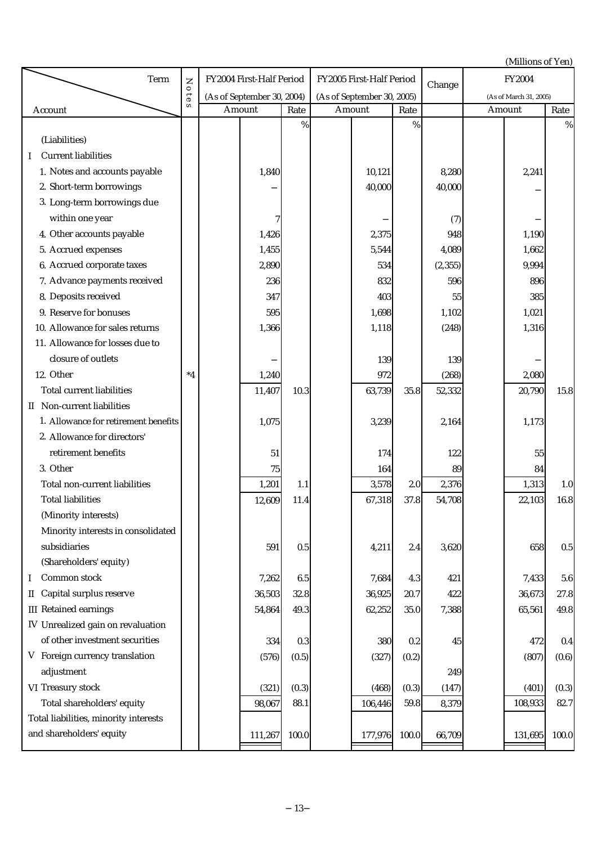|                                        |                       |                            |                          |       |  |                            |       |          |               | (Millions of Yen)      |         |
|----------------------------------------|-----------------------|----------------------------|--------------------------|-------|--|----------------------------|-------|----------|---------------|------------------------|---------|
| Term                                   | $\overline{z}$        |                            | FY2004 First-Half Period |       |  | FY2005 First-Half Period   |       |          | <b>FY2004</b> |                        |         |
|                                        | 010                   | (As of September 30, 2004) |                          |       |  | (As of September 30, 2005) |       | Change   |               | (As of March 31, 2005) |         |
| Account                                | $\boldsymbol{\omega}$ | Amount                     |                          | Rate  |  | Amount                     | Rate  |          |               | Amount                 | Rate    |
|                                        |                       |                            |                          | $\%$  |  |                            | %     |          |               |                        | %       |
| (Liabilities)                          |                       |                            |                          |       |  |                            |       |          |               |                        |         |
| <b>Current liabilities</b><br>$\bf{I}$ |                       |                            |                          |       |  |                            |       |          |               |                        |         |
| 1. Notes and accounts payable          |                       |                            | 1,840                    |       |  | 10,121                     |       | 8,280    |               | 2,241                  |         |
| 2. Short-term borrowings               |                       |                            |                          |       |  | 40,000                     |       | 40,000   |               |                        |         |
| 3. Long-term borrowings due            |                       |                            |                          |       |  |                            |       |          |               |                        |         |
| within one year                        |                       |                            | 7                        |       |  |                            |       | (7)      |               |                        |         |
| 4. Other accounts payable              |                       |                            | 1,426                    |       |  | 2,375                      |       | 948      |               | 1,190                  |         |
| 5. Accrued expenses                    |                       |                            | 1,455                    |       |  | 5,544                      |       | 4,089    |               | 1,662                  |         |
| 6. Accrued corporate taxes             |                       |                            | 2,890                    |       |  | 534                        |       | (2, 355) |               | 9,994                  |         |
| 7. Advance payments received           |                       |                            | 236                      |       |  | 832                        |       | 596      |               | 896                    |         |
| 8. Deposits received                   |                       |                            | 347                      |       |  | 403                        |       | 55       |               | 385                    |         |
| 9. Reserve for bonuses                 |                       |                            | 595                      |       |  | 1,698                      |       | 1,102    |               | 1,021                  |         |
| 10. Allowance for sales returns        |                       |                            | 1,366                    |       |  | 1,118                      |       | (248)    |               | 1,316                  |         |
| 11. Allowance for losses due to        |                       |                            |                          |       |  |                            |       |          |               |                        |         |
| closure of outlets                     |                       |                            |                          |       |  | 139                        |       | 139      |               |                        |         |
| 12. Other                              | $^*4$                 |                            | 1,240                    |       |  | 972                        |       | (268)    |               | 2,080                  |         |
| <b>Total current liabilities</b>       |                       |                            | 11,407                   | 10.3  |  | 63,739                     | 35.8  | 52,332   |               | 20,790                 | 15.8    |
| II Non-current liabilities             |                       |                            |                          |       |  |                            |       |          |               |                        |         |
| 1. Allowance for retirement benefits   |                       |                            | 1,075                    |       |  | 3,239                      |       | 2,164    |               | 1,173                  |         |
| 2. Allowance for directors'            |                       |                            |                          |       |  |                            |       |          |               |                        |         |
| retirement benefits                    |                       |                            | 51                       |       |  | 174                        |       | 122      |               | 55                     |         |
| 3. Other                               |                       |                            | $75\,$                   |       |  | 164                        |       | 89       |               | 84                     |         |
| Total non-current liabilities          |                       |                            | 1,201                    | 1.1   |  | 3,578                      | 2.0   | 2,376    |               | 1,313                  | $1.0\,$ |
| <b>Total liabilities</b>               |                       |                            | 12,609                   | 11.4  |  | 67,318                     | 37.8  | 54,708   |               | 22,103                 | 16.8    |
| (Minority interests)                   |                       |                            |                          |       |  |                            |       |          |               |                        |         |
| Minority interests in consolidated     |                       |                            |                          |       |  |                            |       |          |               |                        |         |
| subsidiaries                           |                       |                            | 591                      | 0.5   |  | 4,211                      | 2.4   | 3,620    |               | 658                    | $0.5\,$ |
| (Shareholders' equity)                 |                       |                            |                          |       |  |                            |       |          |               |                        |         |
| Common stock<br>Ι                      |                       |                            | 7,262                    | 6.5   |  | 7,684                      | 4.3   | 421      |               | 7,433                  | 5.6     |
| Capital surplus reserve<br>П           |                       |                            | 36,503                   | 32.8  |  | 36,925                     | 20.7  | 422      |               | 36,673                 | 27.8    |
| <b>III</b> Retained earnings           |                       |                            | 54,864                   | 49.3  |  | 62,252                     | 35.0  | 7,388    |               | 65,561                 | 49.8    |
| IV Unrealized gain on revaluation      |                       |                            |                          |       |  |                            |       |          |               |                        |         |
| of other investment securities         |                       |                            | 334                      | 0.3   |  | 380                        | 0.2   | 45       |               | 472                    | 0.4     |
| V Foreign currency translation         |                       |                            | (576)                    | (0.5) |  | (327)                      | (0.2) |          |               | (807)                  | (0.6)   |
| adjustment                             |                       |                            |                          |       |  |                            |       | 249      |               |                        |         |
| VI Treasury stock                      |                       |                            | (321)                    | (0.3) |  | (468)                      | (0.3) | (147)    |               | (401)                  | (0.3)   |
| Total shareholders' equity             |                       |                            | 98,067                   | 88.1  |  | 106,446                    | 59.8  | 8,379    |               | 108,933                | 82.7    |
| Total liabilities, minority interests  |                       |                            |                          |       |  |                            |       |          |               |                        |         |
| and shareholders' equity               |                       |                            | 111,267                  | 100.0 |  | 177,976                    | 100.0 | 66,709   |               | 131,695                | 100.0   |
|                                        |                       |                            |                          |       |  |                            |       |          |               |                        |         |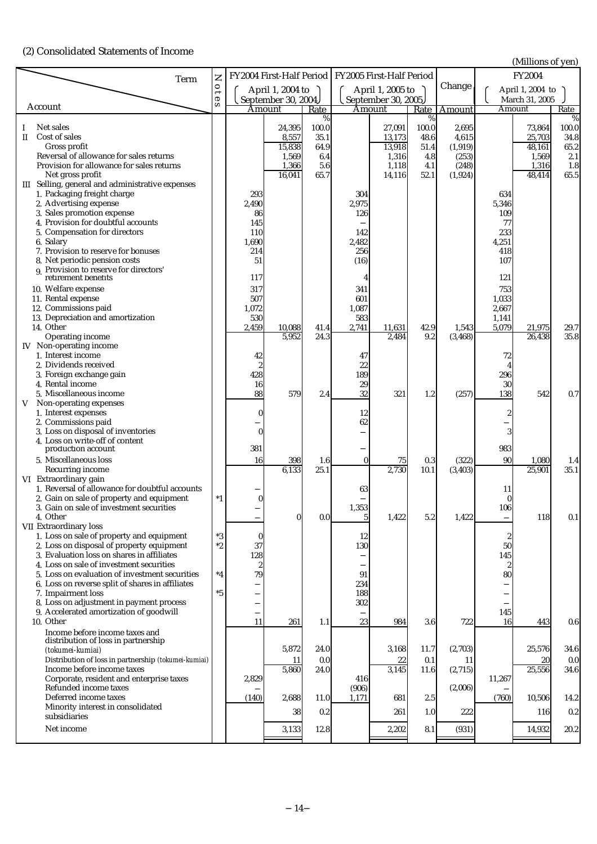(2) Consolidated Statements of Income

(Millions of yen)

| Term                                                                                               | Z                      |                    | FY2004 First-Half Period |              |                | FY2005 First-Half Period |              |                   |                         | $($ winnons or yen $\mu$<br><b>FY2004</b> |             |
|----------------------------------------------------------------------------------------------------|------------------------|--------------------|--------------------------|--------------|----------------|--------------------------|--------------|-------------------|-------------------------|-------------------------------------------|-------------|
|                                                                                                    | $0$ te                 |                    | April 1, 2004 to         |              |                | April 1, 2005 to         |              | Change            |                         | April 1, 2004 to                          |             |
| Account                                                                                            | $\mathbf{v}$           |                    | September 30, 2004       |              |                | September 30, 2005       |              |                   |                         | March 31, 2005                            |             |
|                                                                                                    |                        |                    | Amount                   | Rate<br>%    |                | Amount                   | Rate<br>$\%$ | Amount            |                         | Amount                                    | Rate<br>%   |
| Net sales                                                                                          |                        |                    | 24,395                   | 100.0        |                | 27,091                   | 100.0        | 2,695             |                         | 73,864                                    | 100.0       |
| Cost of sales<br>$\rm{II}$<br>Gross profit                                                         |                        |                    | 8,557                    | 35.1<br>64.9 |                | 13,173                   | 48.6         | 4,615             |                         | 25,703                                    | 34.8        |
| Reversal of allowance for sales returns                                                            |                        |                    | 15,838<br>1,569          | 6.4          |                | 13,918<br>1,316          | 51.4<br>4.8  | (1, 919)<br>(253) |                         | 48,161<br>1,569                           | 65.2<br>2.1 |
| Provision for allowance for sales returns                                                          |                        |                    | 1,366                    | 5.6          |                | 1,118                    | 4.1          | (248)             |                         | 1,316                                     | 1.8         |
| Net gross profit                                                                                   |                        |                    | 16,041                   | 65.7         |                | 14,116                   | 52.1         | (1, 924)          |                         | 48,414                                    | 65.5        |
| III Selling, general and administrative expenses<br>1. Packaging freight charge                    |                        | 293                |                          |              | 304            |                          |              |                   | 634                     |                                           |             |
| 2. Advertising expense                                                                             |                        | 2,490              |                          |              | 2,975          |                          |              |                   | 5,346                   |                                           |             |
| 3. Sales promotion expense                                                                         |                        | 86                 |                          |              | 126            |                          |              |                   | 109                     |                                           |             |
| 4. Provision for doubtful accounts<br>5. Compensation for directors                                |                        | 145<br>110         |                          |              | 142            |                          |              |                   | 77<br>233               |                                           |             |
| 6. Salary                                                                                          |                        | 1,690              |                          |              | 2,482          |                          |              |                   | 4,251                   |                                           |             |
| 7. Provision to reserve for bonuses                                                                |                        | 214                |                          |              | 256            |                          |              |                   | 418                     |                                           |             |
| 8. Net periodic pension costs<br>9. Provision to reserve for directors'                            |                        | 51                 |                          |              | (16)           |                          |              |                   | 107                     |                                           |             |
| retirement benefits                                                                                |                        | 117                |                          |              |                |                          |              |                   | 121                     |                                           |             |
| 10. Welfare expense                                                                                |                        | 317                |                          |              | 341            |                          |              |                   | 753                     |                                           |             |
| 11. Rental expense<br>12. Commissions paid                                                         |                        | 507<br>1,072       |                          |              | 601<br>1,087   |                          |              |                   | 1,033<br>2,667          |                                           |             |
| 13. Depreciation and amortization                                                                  |                        | 530                |                          |              | 583            |                          |              |                   | 1,141                   |                                           |             |
| 14. Other                                                                                          |                        | 2,459              | 10,088                   | 41.4         | 2,741          | 11,631                   | 42.9         | 1,543             | 5,079                   | 21,975                                    | 29.7        |
| Operating income                                                                                   |                        |                    | 5,952                    | 24.3         |                | 2,484                    | 9.2          | (3, 468)          |                         | 26,438                                    | 35.8        |
| IV Non-operating income<br>1. Interest income                                                      |                        | 42                 |                          |              | 47             |                          |              |                   | 72                      |                                           |             |
| 2. Dividends received                                                                              |                        | $\overline{2}$     |                          |              | 22             |                          |              |                   |                         |                                           |             |
| 3. Foreign exchange gain                                                                           |                        | 428                |                          |              | 189            |                          |              |                   | 296                     |                                           |             |
| 4. Rental income<br>5. Miscellaneous income                                                        |                        | 16<br>88           | 579                      | 2.4          | 29<br>32       | 321                      | 1.2          | (257)             | 30<br>138               | 542                                       | 0.7         |
| Non-operating expenses<br>V                                                                        |                        |                    |                          |              |                |                          |              |                   |                         |                                           |             |
| 1. Interest expenses                                                                               |                        | O                  |                          |              | 12             |                          |              |                   |                         |                                           |             |
| 2. Commissions paid<br>3. Loss on disposal of inventories                                          |                        | $\Omega$           |                          |              | 62             |                          |              |                   |                         |                                           |             |
| 4. Loss on write-off of content                                                                    |                        |                    |                          |              |                |                          |              |                   |                         |                                           |             |
| production account                                                                                 |                        | 381                |                          |              |                |                          |              |                   | 983                     |                                           |             |
| 5. Miscellaneous loss<br>Recurring income                                                          |                        | 16                 | 398<br>6,133             | 1.6<br>25.1  | $\bf{0}$       | 75<br>2,730              | 0.3<br>10.1  | (322)<br>(3, 403) | 90                      | 1,080<br>25,901                           | 1.4<br>35.1 |
| VI Extraordinary gain                                                                              |                        |                    |                          |              |                |                          |              |                   |                         |                                           |             |
| 1. Reversal of allowance for doubtful accounts                                                     |                        |                    |                          |              | 63             |                          |              |                   | 11                      |                                           |             |
| 2. Gain on sale of property and equipment<br>3. Gain on sale of investment securities              | $^*1$                  |                    |                          |              | 1,353          |                          |              |                   | $\boldsymbol{0}$<br>106 |                                           |             |
| 4. Other                                                                                           |                        |                    | $\overline{0}$           | 0.0          | 5 <sub>l</sub> | 1,422                    | 5.2          | 1,422             |                         | 118                                       | 0.1         |
| VII Extraordinary loss                                                                             |                        |                    |                          |              |                |                          |              |                   |                         |                                           |             |
| 1. Loss on sale of property and equipment<br>2. Loss on disposal of property equipment             | $^\ast 3$<br>$^\ast 2$ | $\mathbf{0}$<br>37 |                          |              | 12<br>130      |                          |              |                   | 2<br>50                 |                                           |             |
| 3. Evaluation loss on shares in affiliates                                                         |                        | 128                |                          |              |                |                          |              |                   | 145                     |                                           |             |
| 4. Loss on sale of investment securities                                                           |                        | $\overline{2}$     |                          |              |                |                          |              |                   | $\boldsymbol{2}$        |                                           |             |
| 5. Loss on evaluation of investment securities<br>6. Loss on reverse split of shares in affiliates | $^*4$                  | 79                 |                          |              | 91<br>234      |                          |              |                   | 80                      |                                           |             |
| 7. Impairment loss                                                                                 | $*5$                   |                    |                          |              | 188            |                          |              |                   |                         |                                           |             |
| 8. Loss on adjustment in payment process                                                           |                        |                    |                          |              | 302            |                          |              |                   |                         |                                           |             |
| 9. Accelerated amortization of goodwill<br>10. Other                                               |                        | 11                 | 261                      | 1.1          | 23             | 984                      | 3.6          | 722               | 145<br>16               | 443                                       | 0.6         |
| Income before income taxes and                                                                     |                        |                    |                          |              |                |                          |              |                   |                         |                                           |             |
| distribution of loss in partnership<br>(tokumei-kumiai)                                            |                        |                    | 5,872                    | 24.0         |                | 3,168                    | 11.7         | (2,703)           |                         | 25,576                                    | 34.6        |
| Distribution of loss in partnership (tokumei-kumiai)                                               |                        |                    | 11                       | 0.0          |                | 22                       | 0.1          | 11                |                         | 20                                        | 0.0         |
| Income before income taxes                                                                         |                        |                    | 5,860                    | 24.0         |                | 3,145                    | 11.6         | (2,715)           |                         | 25,556                                    | 34.6        |
| Corporate, resident and enterprise taxes<br>Refunded income taxes                                  |                        | 2,829              |                          |              | 416<br>(906)   |                          |              | (2,006)           | 11,267                  |                                           |             |
| Deferred income taxes                                                                              |                        | (140)              | 2,688                    | 11.0         | 1,171          | 681                      | 2.5          |                   | (760)                   | 10,506                                    | 14.2        |
| Minority interest in consolidated                                                                  |                        |                    | 38                       | 0.2          |                | 261                      | 1.0          | 222               |                         | 116                                       | 0.2         |
| subsidiaries                                                                                       |                        |                    |                          |              |                |                          |              |                   |                         |                                           |             |
| Net income                                                                                         |                        |                    | 3,133                    | 12.8         |                | 2,202                    | 8.1          | (931)             |                         | 14,932                                    | 20.2        |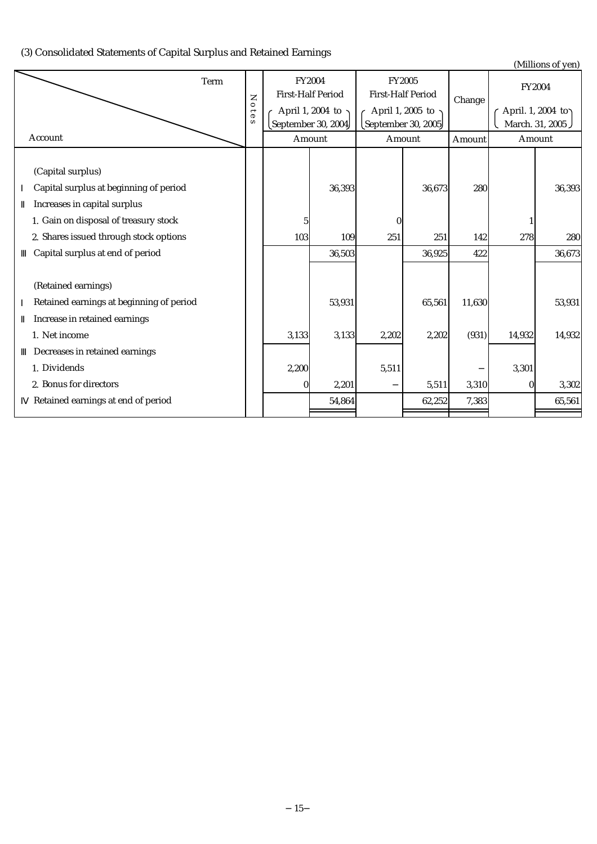(3) Consolidated Statements of Capital Surplus and Retained Earnings

(Millions of yen)

|                                          |           |         |                 |                                          |       |                                           |        |               | $\mu$ , $\mu$                          |
|------------------------------------------|-----------|---------|-----------------|------------------------------------------|-------|-------------------------------------------|--------|---------------|----------------------------------------|
|                                          | Term<br>Z |         |                 | FY2004<br><b>First-Half Period</b>       |       | FY2005<br><b>First-Half Period</b>        | Change | <b>FY2004</b> |                                        |
|                                          |           | $0$ tes |                 | April 1, 2004 to ·<br>September 30, 2004 |       | April 1, 2005 to ~<br>September 30, 2005) |        |               | April. 1, 2004 to )<br>March. 31, 2005 |
| Account                                  |           |         |                 | Amount                                   |       | Amount                                    | Amount |               | Amount                                 |
|                                          |           |         |                 |                                          |       |                                           |        |               |                                        |
| (Capital surplus)                        |           |         |                 |                                          |       |                                           |        |               |                                        |
| Capital surplus at beginning of period   |           |         |                 | 36,393                                   |       | 36,673                                    | 280    |               | 36,393                                 |
| Increases in capital surplus             |           |         |                 |                                          |       |                                           |        |               |                                        |
| 1. Gain on disposal of treasury stock    |           |         | $5\overline{ }$ |                                          | 0     |                                           |        |               |                                        |
| 2. Shares issued through stock options   |           |         | 103             | 109                                      | 251   | 251                                       | 142    | 278           | 280                                    |
| Capital surplus at end of period         |           |         |                 | 36,503                                   |       | 36,925                                    | 422    |               | 36,673                                 |
|                                          |           |         |                 |                                          |       |                                           |        |               |                                        |
| (Retained earnings)                      |           |         |                 |                                          |       |                                           |        |               |                                        |
| Retained earnings at beginning of period |           |         |                 | 53,931                                   |       | 65,561                                    | 11,630 |               | 53,931                                 |
| Increase in retained earnings            |           |         |                 |                                          |       |                                           |        |               |                                        |
| 1. Net income                            |           |         | 3,133           | 3,133                                    | 2,202 | 2,202                                     | (931)  | 14,932        | 14,932                                 |
| Decreases in retained earnings           |           |         |                 |                                          |       |                                           |        |               |                                        |
| 1. Dividends                             |           |         | 2,200           |                                          | 5,511 |                                           |        | 3,301         |                                        |
| 2. Bonus for directors                   |           |         | $\overline{0}$  | 2,201                                    |       | 5,511                                     | 3,310  | 0             | 3,302                                  |
| Retained earnings at end of period       |           |         |                 | 54,864                                   |       | 62,252                                    | 7,383  |               | 65,561                                 |
|                                          |           |         |                 |                                          |       |                                           |        |               |                                        |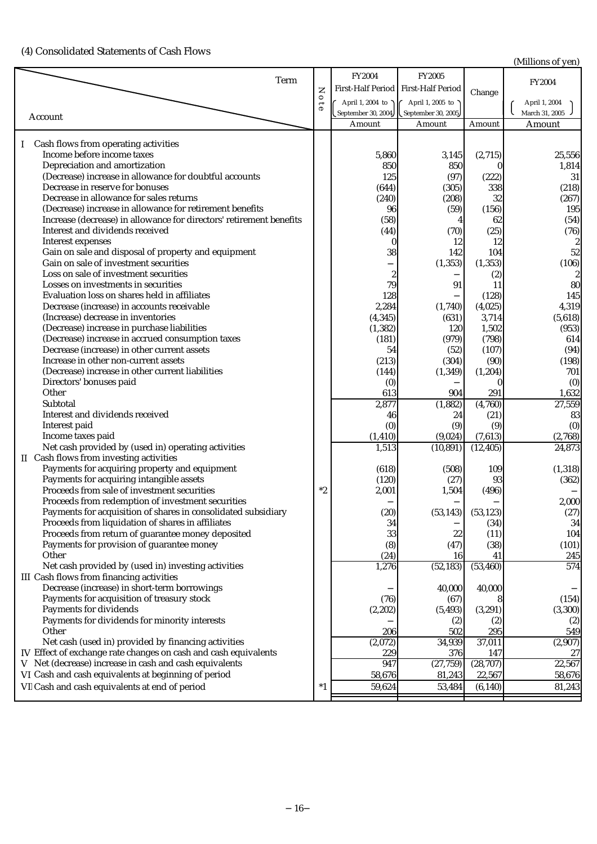(4) Consolidated Statements of Cash Flows

(Millions of yen)

| Term                                                                |                     | FY2004   | FY2005                                      |                       | <b>FY2004</b>    |
|---------------------------------------------------------------------|---------------------|----------|---------------------------------------------|-----------------------|------------------|
|                                                                     | Z                   |          | First-Half Period First-Half Period         | Change                |                  |
|                                                                     | $\circ$             |          | April 1, 2004 to $\bigcap$ April 1, 2005 to |                       | April 1, 2004    |
|                                                                     | $\overline{\theta}$ |          | September 30, 2004 September 30, 2005       |                       | March 31, 2005   |
| Account                                                             |                     | Amount   | Amount                                      | Amount                | Amount           |
|                                                                     |                     |          |                                             |                       |                  |
| Cash flows from operating activities<br>$\mathbf{I}$                |                     |          |                                             |                       |                  |
| Income before income taxes                                          |                     | 5,860    | 3,145                                       | (2,715)               | 25,556           |
| Depreciation and amortization                                       |                     | 850      | 850                                         |                       | 1,814            |
| (Decrease) increase in allowance for doubtful accounts              |                     | 125      | (97)                                        | (222)                 | 31               |
| Decrease in reserve for bonuses                                     |                     | (644)    | (305)                                       | 338                   | (218)            |
| Decrease in allowance for sales returns                             |                     | (240)    | (208)                                       | 32                    | (267)            |
| (Decrease) increase in allowance for retirement benefits            |                     |          |                                             |                       | 195              |
|                                                                     |                     | 96       | (59)                                        | (156)                 |                  |
| Increase (decrease) in allowance for directors' retirement benefits |                     | (58)     | 4                                           | 62                    | (54)             |
| Interest and dividends received                                     |                     | (44)     | (70)                                        | (25)                  | (76)             |
| <b>Interest expenses</b>                                            |                     |          | 12                                          | 12                    | 2                |
| Gain on sale and disposal of property and equipment                 |                     | 38       | 142                                         | 104                   | 52               |
| Gain on sale of investment securities                               |                     |          | (1, 353)                                    | (1, 353)              | (106)            |
| Loss on sale of investment securities                               |                     |          |                                             | (2)                   | $\boldsymbol{2}$ |
| Losses on investments in securities                                 |                     | 79       | 91                                          | 11                    | 80               |
| Evaluation loss on shares held in affiliates                        |                     | 128      |                                             | (128)                 | 145              |
| Decrease (increase) in accounts receivable                          |                     | 2,284    | (1,740)                                     | (4,025)               | 4,319            |
| (Increase) decrease in inventories                                  |                     | (4, 345) | (631)                                       | 3,714                 | (5,618)          |
| (Decrease) increase in purchase liabilities                         |                     | (1, 382) | 120                                         | 1,502                 | (953)            |
| (Decrease) increase in accrued consumption taxes                    |                     | (181)    | (979)                                       | (798)                 | 614              |
| Decrease (increase) in other current assets                         |                     | 54       | (52)                                        | (107)                 | (94)             |
| Increase in other non-current assets                                |                     | (213)    | (304)                                       | (90)                  | (198)            |
| (Decrease) increase in other current liabilities                    |                     | (144)    | (1, 349)                                    | (1, 204)              | 701              |
| Directors' bonuses paid                                             |                     | (0)      |                                             |                       | (0)              |
| Other                                                               |                     | 613      | 904                                         | 291                   | 1,632            |
| Subtotal                                                            |                     | 2,877    | (1,882)                                     | (4,760)               | 27,559           |
| Interest and dividends received                                     |                     | 46       | 24                                          | (21)                  | 83               |
| Interest paid                                                       |                     | (0)      | (9)                                         | (9)                   | (0)              |
| Income taxes paid                                                   |                     | (1, 410) | (9,024)                                     | (7,613)               | (2,768)          |
| Net cash provided by (used in) operating activities                 |                     | 1,513    | (10, 891)                                   | (12, 405)             | 24,873           |
| II Cash flows from investing activities                             |                     |          |                                             |                       |                  |
| Payments for acquiring property and equipment                       |                     | (618)    | (508)                                       | 109                   | (1, 318)         |
| Payments for acquiring intangible assets                            |                     | (120)    | (27)                                        | 93                    | (362)            |
| Proceeds from sale of investment securities                         | $*2$                | 2,001    | 1,504                                       | (496)                 |                  |
| Proceeds from redemption of investment securities                   |                     |          |                                             |                       | 2,000            |
| Payments for acquisition of shares in consolidated subsidiary       |                     | (20)     |                                             | $(53,143)$ $(53,123)$ | (27)             |
| Proceeds from liquidation of shares in affiliates                   |                     | 34       |                                             | (34)                  | 34               |
|                                                                     |                     |          |                                             |                       |                  |
| Proceeds from return of guarantee money deposited                   |                     | 33       | 22                                          | (11)                  | 104              |
| Payments for provision of guarantee money<br>Other                  |                     | (8)      | (47)                                        | (38)                  | (101)            |
|                                                                     |                     | (24)     | 16                                          | 41                    | 245              |
| Net cash provided by (used in) investing activities                 |                     | 1,276    | (52, 183)                                   | (53, 460)             | 574              |
| III Cash flows from financing activities                            |                     |          |                                             |                       |                  |
| Decrease (increase) in short-term borrowings                        |                     |          | 40,000                                      | 40,000                |                  |
| Payments for acquisition of treasury stock                          |                     | (76)     | (67)                                        |                       | (154)            |
| Payments for dividends                                              |                     | (2, 202) | (5, 493)                                    | (3,291)               | (3, 300)         |
| Payments for dividends for minority interests                       |                     |          | (2)                                         | (2)                   | (2)              |
| Other                                                               |                     | 206      | 502                                         | 295                   | 549              |
| Net cash (used in) provided by financing activities                 |                     | (2,072)  | 34,939                                      | 37,011                | (2,907)          |
| IV Effect of exchange rate changes on cash and cash equivalents     |                     | 229      | 376                                         | 147                   | $27\,$           |
| V Net (decrease) increase in cash and cash equivalents              |                     | 947      | (27, 759)                                   | (28, 707)             | 22,567           |
| VI Cash and cash equivalents at beginning of period                 |                     | 58,676   | 81,243                                      | 22,567                | 58,676           |
| VI Cash and cash equivalents at end of period                       | *1                  | 59,624   | 53,484                                      | (6, 140)              | 81,243           |
|                                                                     |                     |          |                                             |                       |                  |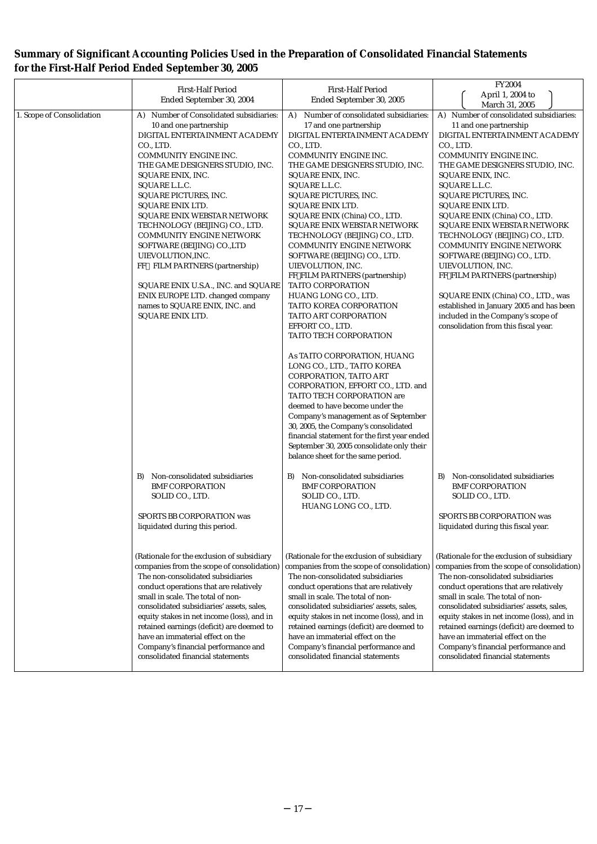# **Summary of Significant Accounting Policies Used in the Preparation of Consolidated Financial Statements for the First-Half Period Ended September 30, 2005**

|                           | <b>First-Half Period</b>                                                                | <b>First-Half Period</b>                                                                | <b>FY2004</b>                                                                           |
|---------------------------|-----------------------------------------------------------------------------------------|-----------------------------------------------------------------------------------------|-----------------------------------------------------------------------------------------|
|                           | Ended September 30, 2004                                                                | Ended September 30, 2005                                                                | April 1, 2004 to<br>March 31, 2005                                                      |
| 1. Scope of Consolidation | A) Number of Consolidated subsidiaries:                                                 | Number of consolidated subsidiaries:<br>A)                                              | A) Number of consolidated subsidiaries:                                                 |
|                           | 10 and one partnership                                                                  | 17 and one partnership                                                                  | 11 and one partnership                                                                  |
|                           | DIGITAL ENTERTAINMENT ACADEMY                                                           | DIGITAL ENTERTAINMENT ACADEMY                                                           | DIGITAL ENTERTAINMENT ACADEMY                                                           |
|                           | CO., LTD.                                                                               | CO., LTD.                                                                               | CO., LTD.                                                                               |
|                           | COMMUNITY ENGINE INC.<br>THE GAME DESIGNERS STUDIO, INC.                                | COMMUNITY ENGINE INC.<br>THE GAME DESIGNERS STUDIO, INC.                                | COMMUNITY ENGINE INC.<br>THE GAME DESIGNERS STUDIO, INC.                                |
|                           | SQUARE ENIX, INC.                                                                       | SQUARE ENIX, INC.                                                                       | SQUARE ENIX, INC.                                                                       |
|                           | SQUARE L.L.C.                                                                           | SQUARE L.L.C.                                                                           | SQUARE L.L.C.                                                                           |
|                           | SQUARE PICTURES, INC.                                                                   | SQUARE PICTURES, INC.                                                                   | SQUARE PICTURES, INC.                                                                   |
|                           | <b>SQUARE ENIX LTD.</b>                                                                 | <b>SQUARE ENIX LTD.</b>                                                                 | <b>SQUARE ENIX LTD.</b>                                                                 |
|                           | SQUARE ENIX WEBSTAR NETWORK                                                             | SQUARE ENIX (China) CO., LTD.                                                           | SQUARE ENIX (China) CO., LTD.                                                           |
|                           | TECHNOLOGY (BEIJING) CO., LTD.                                                          | SQUARE ENIX WEBSTAR NETWORK                                                             | SQUARE ENIX WEBSTAR NETWORK                                                             |
|                           | <b>COMMUNITY ENGINE NETWORK</b>                                                         | TECHNOLOGY (BEIJING) CO., LTD.                                                          | TECHNOLOGY (BEIJING) CO., LTD.                                                          |
|                           | SOFTWARE (BEIJING) CO.,LTD                                                              | COMMUNITY ENGINE NETWORK                                                                | <b>COMMUNITY ENGINE NETWORK</b>                                                         |
|                           | UIEVOLUTION, INC.<br>FF FILM PARTNERS (partnership)                                     | SOFTWARE (BEIJING) CO., LTD.<br>UIEVOLUTION, INC.                                       | SOFTWARE (BEIJING) CO., LTD.<br>UIEVOLUTION, INC.                                       |
|                           |                                                                                         | FF FILM PARTNERS (partnership)                                                          | FF FILM PARTNERS (partnership)                                                          |
|                           | SQUARE ENIX U.S.A., INC. and SQUARE                                                     | TAITO CORPORATION                                                                       |                                                                                         |
|                           | ENIX EUROPE LTD. changed company                                                        | HUANG LONG CO., LTD.                                                                    | SQUARE ENIX (China) CO., LTD., was                                                      |
|                           | names to SQUARE ENIX, INC. and<br>SQUARE ENIX LTD.                                      | <b>TAITO KOREA CORPORATION</b><br>TAITO ART CORPORATION                                 | established in January 2005 and has been<br>included in the Company's scope of          |
|                           |                                                                                         | EFFORT CO., LTD.                                                                        | consolidation from this fiscal year.                                                    |
|                           |                                                                                         | TAITO TECH CORPORATION                                                                  |                                                                                         |
|                           |                                                                                         | As TAITO CORPORATION, HUANG                                                             |                                                                                         |
|                           |                                                                                         | LONG CO., LTD., TAITO KOREA                                                             |                                                                                         |
|                           |                                                                                         | CORPORATION, TAITO ART                                                                  |                                                                                         |
|                           |                                                                                         | CORPORATION, EFFORT CO., LTD. and                                                       |                                                                                         |
|                           |                                                                                         | TAITO TECH CORPORATION are                                                              |                                                                                         |
|                           |                                                                                         | deemed to have become under the                                                         |                                                                                         |
|                           |                                                                                         | Company's management as of September<br>30, 2005, the Company's consolidated            |                                                                                         |
|                           |                                                                                         | financial statement for the first year ended                                            |                                                                                         |
|                           |                                                                                         | September 30, 2005 consolidate only their                                               |                                                                                         |
|                           |                                                                                         | balance sheet for the same period.                                                      |                                                                                         |
|                           | Non-consolidated subsidiaries<br>B)                                                     | Non-consolidated subsidiaries<br>B)                                                     | Non-consolidated subsidiaries<br>B)                                                     |
|                           | <b>BMF CORPORATION</b>                                                                  | <b>BMF CORPORATION</b>                                                                  | <b>BMF CORPORATION</b>                                                                  |
|                           | SOLID CO., LTD.                                                                         | SOLID CO., LTD.                                                                         | SOLID CO., LTD.                                                                         |
|                           | SPORTS BB CORPORATION was                                                               | HUANG LONG CO., LTD.                                                                    | SPORTS BB CORPORATION was                                                               |
|                           | liquidated during this period.                                                          |                                                                                         | liquidated during this fiscal year.                                                     |
|                           |                                                                                         |                                                                                         |                                                                                         |
|                           | (Rationale for the exclusion of subsidiary                                              | (Rationale for the exclusion of subsidiary                                              | (Rationale for the exclusion of subsidiary                                              |
|                           | companies from the scope of consolidation)                                              | companies from the scope of consolidation)                                              | companies from the scope of consolidation)                                              |
|                           | The non-consolidated subsidiaries                                                       | The non-consolidated subsidiaries                                                       | The non-consolidated subsidiaries                                                       |
|                           | conduct operations that are relatively                                                  | conduct operations that are relatively                                                  | conduct operations that are relatively                                                  |
|                           | small in scale. The total of non-                                                       | small in scale. The total of non-                                                       | small in scale. The total of non-                                                       |
|                           | consolidated subsidiaries' assets, sales,                                               | consolidated subsidiaries' assets, sales,<br>equity stakes in net income (loss), and in | consolidated subsidiaries' assets, sales,<br>equity stakes in net income (loss), and in |
|                           | equity stakes in net income (loss), and in<br>retained earnings (deficit) are deemed to | retained earnings (deficit) are deemed to                                               | retained earnings (deficit) are deemed to                                               |
|                           | have an immaterial effect on the                                                        | have an immaterial effect on the                                                        | have an immaterial effect on the                                                        |
|                           | Company's financial performance and                                                     | Company's financial performance and                                                     | Company's financial performance and                                                     |
|                           | consolidated financial statements                                                       | consolidated financial statements                                                       | consolidated financial statements                                                       |
|                           |                                                                                         |                                                                                         |                                                                                         |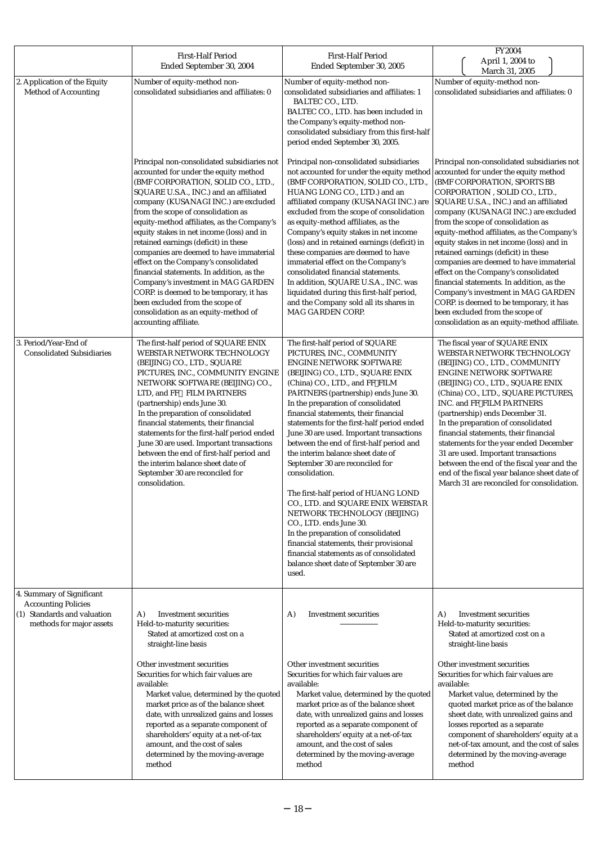|                                                                                                                    | <b>First-Half Period</b><br>Ended September 30, 2004                                                                                                                                                                                                                                                                                                                                                                                                                                                                                                                                                                                                                                                       | <b>First-Half Period</b><br>Ended September 30, 2005                                                                                                                                                                                                                                                                                                                                                                                                                                                                                                                                                                                                                                                                                                                                                                                              | FY2004<br>April 1, 2004 to<br>March 31, 2005                                                                                                                                                                                                                                                                                                                                                                                                                                                                                                                                                                                     |
|--------------------------------------------------------------------------------------------------------------------|------------------------------------------------------------------------------------------------------------------------------------------------------------------------------------------------------------------------------------------------------------------------------------------------------------------------------------------------------------------------------------------------------------------------------------------------------------------------------------------------------------------------------------------------------------------------------------------------------------------------------------------------------------------------------------------------------------|---------------------------------------------------------------------------------------------------------------------------------------------------------------------------------------------------------------------------------------------------------------------------------------------------------------------------------------------------------------------------------------------------------------------------------------------------------------------------------------------------------------------------------------------------------------------------------------------------------------------------------------------------------------------------------------------------------------------------------------------------------------------------------------------------------------------------------------------------|----------------------------------------------------------------------------------------------------------------------------------------------------------------------------------------------------------------------------------------------------------------------------------------------------------------------------------------------------------------------------------------------------------------------------------------------------------------------------------------------------------------------------------------------------------------------------------------------------------------------------------|
| 2. Application of the Equity<br><b>Method of Accounting</b>                                                        | Number of equity-method non-<br>consolidated subsidiaries and affiliates: 0                                                                                                                                                                                                                                                                                                                                                                                                                                                                                                                                                                                                                                | Number of equity-method non-<br>consolidated subsidiaries and affiliates: 1<br>BALTEC CO., LTD.<br>BALTEC CO., LTD. has been included in<br>the Company's equity-method non-<br>consolidated subsidiary from this first-half<br>period ended September 30, 2005.                                                                                                                                                                                                                                                                                                                                                                                                                                                                                                                                                                                  | Number of equity-method non-<br>consolidated subsidiaries and affiliates: 0                                                                                                                                                                                                                                                                                                                                                                                                                                                                                                                                                      |
|                                                                                                                    | Principal non-consolidated subsidiaries not<br>accounted for under the equity method<br>(BMF CORPORATION, SOLID CO., LTD.,<br>SQUARE U.S.A., INC.) and an affiliated<br>company (KUSANAGI INC.) are excluded<br>from the scope of consolidation as<br>equity-method affiliates, as the Company's<br>equity stakes in net income (loss) and in<br>retained earnings (deficit) in these<br>companies are deemed to have immaterial<br>effect on the Company's consolidated<br>financial statements. In addition, as the<br>Company's investment in MAG GARDEN<br>CORP. is deemed to be temporary, it has<br>been excluded from the scope of<br>consolidation as an equity-method of<br>accounting affiliate. | Principal non-consolidated subsidiaries<br>not accounted for under the equity method accounted for under the equity method<br>(BMF CORPORATION, SOLID CO., LTD.,<br>HUANG LONG CO., LTD.) and an<br>affiliated company (KUSANAGI INC.) are SQUARE U.S.A., INC.) and an affiliated<br>excluded from the scope of consolidation<br>as equity-method affiliates, as the<br>Company's equity stakes in net income<br>(loss) and in retained earnings (deficit) in<br>these companies are deemed to have<br>immaterial effect on the Company's<br>consolidated financial statements.<br>In addition, SQUARE U.S.A., INC. was<br>liquidated during this first-half period,<br>and the Company sold all its shares in<br>MAG GARDEN CORP.                                                                                                                | Principal non-consolidated subsidiaries not<br>(BMF CORPORATION, SPORTS BB<br>CORPORATION, SOLID CO., LTD.,<br>company (KUSANAGI INC.) are excluded<br>from the scope of consolidation as<br>equity-method affiliates, as the Company's<br>equity stakes in net income (loss) and in<br>retained earnings (deficit) in these<br>companies are deemed to have immaterial<br>effect on the Company's consolidated<br>financial statements. In addition, as the<br>Company's investment in MAG GARDEN<br>CORP. is deemed to be temporary, it has<br>been excluded from the scope of<br>consolidation as an equity-method affiliate. |
| 3. Period/Year-End of<br><b>Consolidated Subsidiaries</b>                                                          | The first-half period of SQUARE ENIX<br>WEBSTAR NETWORK TECHNOLOGY<br>(BEIJING) CO., LTD., SQUARE<br>PICTURES, INC., COMMUNITY ENGINE<br>NETWORK SOFTWARE (BEIJING) CO.,<br>LTD, and FF FILM PARTNERS<br>(partnership) ends June 30.<br>In the preparation of consolidated<br>financial statements, their financial<br>statements for the first-half period ended<br>June 30 are used. Important transactions<br>between the end of first-half period and<br>the interim balance sheet date of<br>September 30 are reconciled for<br>consolidation.                                                                                                                                                        | The first-half period of SQUARE<br>PICTURES, INC., COMMUNITY<br><b>ENGINE NETWORK SOFTWARE</b><br>(BEIJING) CO., LTD., SQUARE ENIX<br>(China) CO., LTD., and FF FILM<br>PARTNERS (partnership) ends June 30.<br>In the preparation of consolidated<br>financial statements, their financial<br>statements for the first-half period ended<br>June 30 are used. Important transactions<br>between the end of first-half period and<br>the interim balance sheet date of<br>September 30 are reconciled for<br>consolidation.<br>The first-half period of HUANG LOND<br>CO., LTD. and SQUARE ENIX WEBSTAR<br>NETWORK TECHNOLOGY (BEIJING)<br>CO., LTD. ends June 30.<br>In the preparation of consolidated<br>financial statements, their provisional<br>financial statements as of consolidated<br>balance sheet date of September 30 are<br>used. | The fiscal year of SQUARE ENIX<br>WEBSTAR NETWORK TECHNOLOGY<br>(BEIJING) CO., LTD., COMMUNITY<br><b>ENGINE NETWORK SOFTWARE</b><br>(BEIJING) CO., LTD., SQUARE ENIX<br>(China) CO., LTD., SQUARE PICTURES,<br>INC. and FF FILM PARTNERS<br>(partnership) ends December 31.<br>In the preparation of consolidated<br>financial statements, their financial<br>statements for the year ended December<br>31 are used. Important transactions<br>between the end of the fiscal year and the<br>end of the fiscal year balance sheet date of<br>March 31 are reconciled for consolidation.                                          |
| 4. Summary of Significant<br><b>Accounting Policies</b><br>(1) Standards and valuation<br>methods for major assets | <b>Investment securities</b><br>A)<br>Held-to-maturity securities:<br>Stated at amortized cost on a<br>straight-line basis<br>Other investment securities<br>Securities for which fair values are<br>available:<br>Market value, determined by the quoted<br>market price as of the balance sheet<br>date, with unrealized gains and losses                                                                                                                                                                                                                                                                                                                                                                | A)<br>Investment securities<br>Other investment securities<br>Securities for which fair values are<br>available:<br>Market value, determined by the quoted<br>market price as of the balance sheet<br>date, with unrealized gains and losses                                                                                                                                                                                                                                                                                                                                                                                                                                                                                                                                                                                                      | A)<br><b>Investment securities</b><br>Held-to-maturity securities:<br>Stated at amortized cost on a<br>straight-line basis<br>Other investment securities<br>Securities for which fair values are<br>available:<br>Market value, determined by the<br>quoted market price as of the balance<br>sheet date, with unrealized gains and                                                                                                                                                                                                                                                                                             |
|                                                                                                                    | reported as a separate component of<br>shareholders' equity at a net-of-tax<br>amount, and the cost of sales<br>determined by the moving-average<br>method                                                                                                                                                                                                                                                                                                                                                                                                                                                                                                                                                 | reported as a separate component of<br>shareholders' equity at a net-of-tax<br>amount, and the cost of sales<br>determined by the moving-average<br>method                                                                                                                                                                                                                                                                                                                                                                                                                                                                                                                                                                                                                                                                                        | losses reported as a separate<br>component of shareholders' equity at a<br>net-of-tax amount, and the cost of sales<br>determined by the moving-average<br>method                                                                                                                                                                                                                                                                                                                                                                                                                                                                |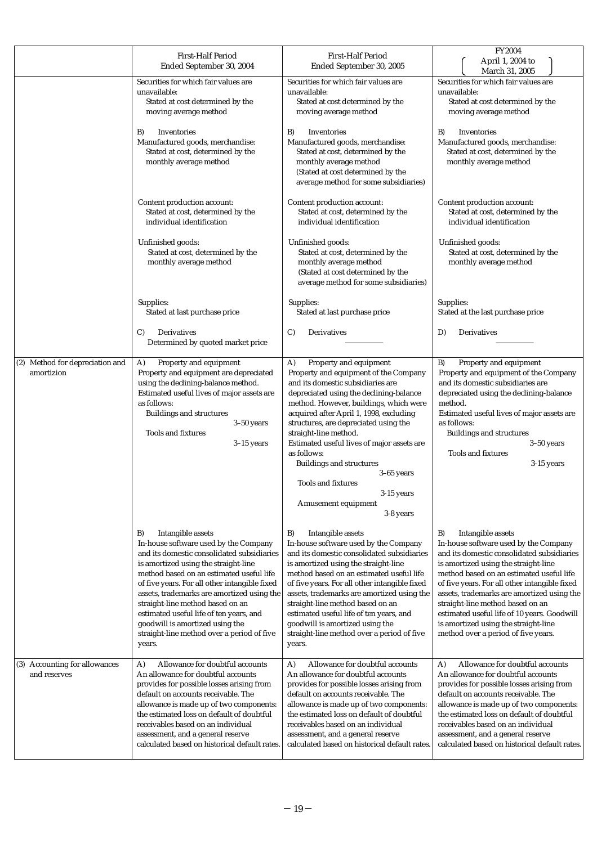|                                               | <b>First-Half Period</b><br>Ended September 30, 2004                                                                                                                                                                                                                                                                                                                                                                                                                        | <b>First-Half Period</b><br>Ended September 30, 2005                                                                                                                                                                                                                                                                                                                                                                                                                                                        | FY2004<br>April 1, 2004 to                                                                                                                                                                                                                                                                                                                                                                                                                                          |
|-----------------------------------------------|-----------------------------------------------------------------------------------------------------------------------------------------------------------------------------------------------------------------------------------------------------------------------------------------------------------------------------------------------------------------------------------------------------------------------------------------------------------------------------|-------------------------------------------------------------------------------------------------------------------------------------------------------------------------------------------------------------------------------------------------------------------------------------------------------------------------------------------------------------------------------------------------------------------------------------------------------------------------------------------------------------|---------------------------------------------------------------------------------------------------------------------------------------------------------------------------------------------------------------------------------------------------------------------------------------------------------------------------------------------------------------------------------------------------------------------------------------------------------------------|
|                                               | Securities for which fair values are<br>unavailable:<br>Stated at cost determined by the<br>moving average method                                                                                                                                                                                                                                                                                                                                                           | Securities for which fair values are<br>unavailable:<br>Stated at cost determined by the<br>moving average method                                                                                                                                                                                                                                                                                                                                                                                           | March 31, 2005<br>Securities for which fair values are<br>unavailable:<br>Stated at cost determined by the<br>moving average method                                                                                                                                                                                                                                                                                                                                 |
|                                               | B)<br>Inventories<br>Manufactured goods, merchandise:<br>Stated at cost, determined by the<br>monthly average method                                                                                                                                                                                                                                                                                                                                                        | B)<br>Inventories<br>Manufactured goods, merchandise:<br>Stated at cost, determined by the<br>monthly average method<br>(Stated at cost determined by the<br>average method for some subsidiaries)                                                                                                                                                                                                                                                                                                          | B)<br>Inventories<br>Manufactured goods, merchandise:<br>Stated at cost, determined by the<br>monthly average method                                                                                                                                                                                                                                                                                                                                                |
|                                               | Content production account:<br>Stated at cost, determined by the<br>individual identification                                                                                                                                                                                                                                                                                                                                                                               | Content production account:<br>Stated at cost, determined by the<br>individual identification                                                                                                                                                                                                                                                                                                                                                                                                               | Content production account:<br>Stated at cost, determined by the<br>individual identification                                                                                                                                                                                                                                                                                                                                                                       |
|                                               | Unfinished goods:<br>Stated at cost, determined by the<br>monthly average method                                                                                                                                                                                                                                                                                                                                                                                            | Unfinished goods:<br>Stated at cost, determined by the<br>monthly average method<br>(Stated at cost determined by the<br>average method for some subsidiaries)                                                                                                                                                                                                                                                                                                                                              | Unfinished goods:<br>Stated at cost, determined by the<br>monthly average method                                                                                                                                                                                                                                                                                                                                                                                    |
|                                               | Supplies:<br>Stated at last purchase price                                                                                                                                                                                                                                                                                                                                                                                                                                  | Supplies:<br>Stated at last purchase price                                                                                                                                                                                                                                                                                                                                                                                                                                                                  | Supplies:<br>Stated at the last purchase price                                                                                                                                                                                                                                                                                                                                                                                                                      |
|                                               | C)<br>Derivatives<br>Determined by quoted market price                                                                                                                                                                                                                                                                                                                                                                                                                      | Derivatives<br>C)                                                                                                                                                                                                                                                                                                                                                                                                                                                                                           | Derivatives<br>D)                                                                                                                                                                                                                                                                                                                                                                                                                                                   |
| (2) Method for depreciation and<br>amortizion | Property and equipment<br>A)<br>Property and equipment are depreciated<br>using the declining-balance method.<br>Estimated useful lives of major assets are<br>as follows:<br><b>Buildings and structures</b><br>$3-50$ years<br><b>Tools and fixtures</b><br>$3-15$ years                                                                                                                                                                                                  | Property and equipment<br>A)<br>Property and equipment of the Company<br>and its domestic subsidiaries are<br>depreciated using the declining-balance<br>method. However, buildings, which were<br>acquired after April 1, 1998, excluding<br>structures, are depreciated using the<br>straight-line method.<br>Estimated useful lives of major assets are<br>as follows:<br><b>Buildings and structures</b><br>$3-65$ years<br><b>Tools and fixtures</b><br>3-15 years<br>Amusement equipment<br>3-8 years | Property and equipment<br>B)<br>Property and equipment of the Company<br>and its domestic subsidiaries are<br>depreciated using the declining-balance<br>method.<br>Estimated useful lives of major assets are<br>as follows:<br><b>Buildings and structures</b><br>$3-50$ years<br><b>Tools and fixtures</b><br>$3-15$ years                                                                                                                                       |
|                                               | Intangible assets<br>B)<br>In-house software used by the Company<br>and its domestic consolidated subsidiaries<br>is amortized using the straight-line<br>method based on an estimated useful life<br>of five years. For all other intangible fixed<br>assets, trademarks are amortized using the<br>straight-line method based on an<br>estimated useful life of ten years, and<br>goodwill is amortized using the<br>straight-line method over a period of five<br>years. | Intangible assets<br>B)<br>In-house software used by the Company<br>and its domestic consolidated subsidiaries<br>is amortized using the straight-line<br>method based on an estimated useful life<br>of five years. For all other intangible fixed<br>assets, trademarks are amortized using the<br>straight-line method based on an<br>estimated useful life of ten years, and<br>goodwill is amortized using the<br>straight-line method over a period of five<br>years.                                 | B)<br>Intangible assets<br>In-house software used by the Company<br>and its domestic consolidated subsidiaries<br>is amortized using the straight-line<br>method based on an estimated useful life<br>of five years. For all other intangible fixed<br>assets, trademarks are amortized using the<br>straight-line method based on an<br>estimated useful life of 10 years. Goodwill<br>is amortized using the straight-line<br>method over a period of five years. |
| (3) Accounting for allowances<br>and reserves | Allowance for doubtful accounts<br>A)<br>An allowance for doubtful accounts<br>provides for possible losses arising from<br>default on accounts receivable. The<br>allowance is made up of two components:<br>the estimated loss on default of doubtful<br>receivables based on an individual<br>assessment, and a general reserve<br>calculated based on historical default rates.                                                                                         | Allowance for doubtful accounts<br>A)<br>An allowance for doubtful accounts<br>provides for possible losses arising from<br>default on accounts receivable. The<br>allowance is made up of two components:<br>the estimated loss on default of doubtful<br>receivables based on an individual<br>assessment, and a general reserve<br>calculated based on historical default rates.                                                                                                                         | Allowance for doubtful accounts<br>A)<br>An allowance for doubtful accounts<br>provides for possible losses arising from<br>default on accounts receivable. The<br>allowance is made up of two components:<br>the estimated loss on default of doubtful<br>receivables based on an individual<br>assessment, and a general reserve<br>calculated based on historical default rates.                                                                                 |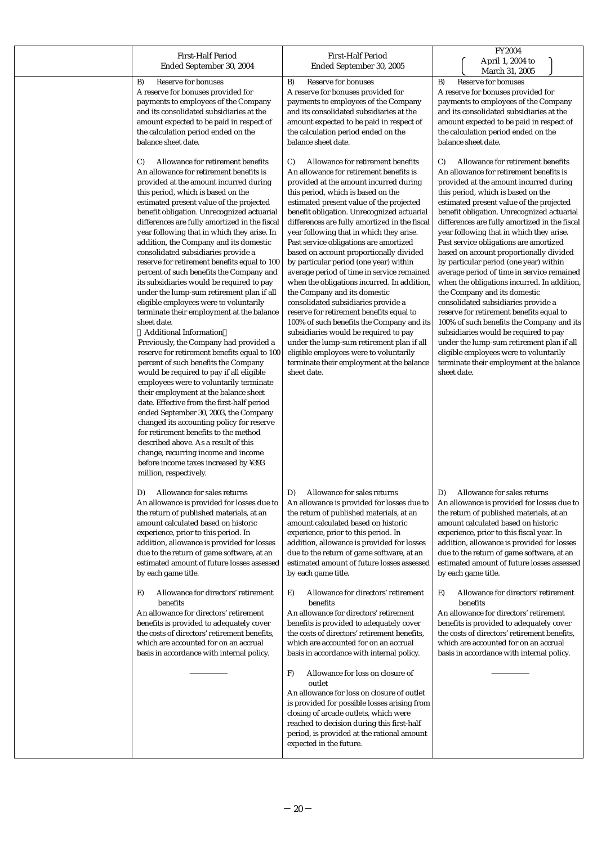| <b>First-Half Period</b><br>Ended September 30, 2004                                                                                                                                                                                                                                                                                                                                                                                                                                                                                                                                                                                                                                                                                                                                                                                                                                                                                                                                                                                                                                                                                                                                                                                                                                                                                                                        | <b>First-Half Period</b><br>Ended September 30, 2005                                                                                                                                                                                                                                                                                                                                                                                                                                                                                                                                                                                                                                                                                                                                                                                                                                                                                                         | FY2004<br>April 1, 2004 to<br>March 31, 2005                                                                                                                                                                                                                                                                                                                                                                                                                                                                                                                                                                                                                                                                                                                                                                                                                                                                                                      |
|-----------------------------------------------------------------------------------------------------------------------------------------------------------------------------------------------------------------------------------------------------------------------------------------------------------------------------------------------------------------------------------------------------------------------------------------------------------------------------------------------------------------------------------------------------------------------------------------------------------------------------------------------------------------------------------------------------------------------------------------------------------------------------------------------------------------------------------------------------------------------------------------------------------------------------------------------------------------------------------------------------------------------------------------------------------------------------------------------------------------------------------------------------------------------------------------------------------------------------------------------------------------------------------------------------------------------------------------------------------------------------|--------------------------------------------------------------------------------------------------------------------------------------------------------------------------------------------------------------------------------------------------------------------------------------------------------------------------------------------------------------------------------------------------------------------------------------------------------------------------------------------------------------------------------------------------------------------------------------------------------------------------------------------------------------------------------------------------------------------------------------------------------------------------------------------------------------------------------------------------------------------------------------------------------------------------------------------------------------|---------------------------------------------------------------------------------------------------------------------------------------------------------------------------------------------------------------------------------------------------------------------------------------------------------------------------------------------------------------------------------------------------------------------------------------------------------------------------------------------------------------------------------------------------------------------------------------------------------------------------------------------------------------------------------------------------------------------------------------------------------------------------------------------------------------------------------------------------------------------------------------------------------------------------------------------------|
| Reserve for bonuses                                                                                                                                                                                                                                                                                                                                                                                                                                                                                                                                                                                                                                                                                                                                                                                                                                                                                                                                                                                                                                                                                                                                                                                                                                                                                                                                                         | Reserve for bonuses                                                                                                                                                                                                                                                                                                                                                                                                                                                                                                                                                                                                                                                                                                                                                                                                                                                                                                                                          | Reserve for bonuses                                                                                                                                                                                                                                                                                                                                                                                                                                                                                                                                                                                                                                                                                                                                                                                                                                                                                                                               |
| B)                                                                                                                                                                                                                                                                                                                                                                                                                                                                                                                                                                                                                                                                                                                                                                                                                                                                                                                                                                                                                                                                                                                                                                                                                                                                                                                                                                          | B)                                                                                                                                                                                                                                                                                                                                                                                                                                                                                                                                                                                                                                                                                                                                                                                                                                                                                                                                                           | B)                                                                                                                                                                                                                                                                                                                                                                                                                                                                                                                                                                                                                                                                                                                                                                                                                                                                                                                                                |
| A reserve for bonuses provided for                                                                                                                                                                                                                                                                                                                                                                                                                                                                                                                                                                                                                                                                                                                                                                                                                                                                                                                                                                                                                                                                                                                                                                                                                                                                                                                                          | A reserve for bonuses provided for                                                                                                                                                                                                                                                                                                                                                                                                                                                                                                                                                                                                                                                                                                                                                                                                                                                                                                                           | A reserve for bonuses provided for                                                                                                                                                                                                                                                                                                                                                                                                                                                                                                                                                                                                                                                                                                                                                                                                                                                                                                                |
| payments to employees of the Company                                                                                                                                                                                                                                                                                                                                                                                                                                                                                                                                                                                                                                                                                                                                                                                                                                                                                                                                                                                                                                                                                                                                                                                                                                                                                                                                        | payments to employees of the Company                                                                                                                                                                                                                                                                                                                                                                                                                                                                                                                                                                                                                                                                                                                                                                                                                                                                                                                         | payments to employees of the Company                                                                                                                                                                                                                                                                                                                                                                                                                                                                                                                                                                                                                                                                                                                                                                                                                                                                                                              |
| and its consolidated subsidiaries at the                                                                                                                                                                                                                                                                                                                                                                                                                                                                                                                                                                                                                                                                                                                                                                                                                                                                                                                                                                                                                                                                                                                                                                                                                                                                                                                                    | and its consolidated subsidiaries at the                                                                                                                                                                                                                                                                                                                                                                                                                                                                                                                                                                                                                                                                                                                                                                                                                                                                                                                     | and its consolidated subsidiaries at the                                                                                                                                                                                                                                                                                                                                                                                                                                                                                                                                                                                                                                                                                                                                                                                                                                                                                                          |
| amount expected to be paid in respect of                                                                                                                                                                                                                                                                                                                                                                                                                                                                                                                                                                                                                                                                                                                                                                                                                                                                                                                                                                                                                                                                                                                                                                                                                                                                                                                                    | amount expected to be paid in respect of                                                                                                                                                                                                                                                                                                                                                                                                                                                                                                                                                                                                                                                                                                                                                                                                                                                                                                                     | amount expected to be paid in respect of                                                                                                                                                                                                                                                                                                                                                                                                                                                                                                                                                                                                                                                                                                                                                                                                                                                                                                          |
| the calculation period ended on the                                                                                                                                                                                                                                                                                                                                                                                                                                                                                                                                                                                                                                                                                                                                                                                                                                                                                                                                                                                                                                                                                                                                                                                                                                                                                                                                         | the calculation period ended on the                                                                                                                                                                                                                                                                                                                                                                                                                                                                                                                                                                                                                                                                                                                                                                                                                                                                                                                          | the calculation period ended on the                                                                                                                                                                                                                                                                                                                                                                                                                                                                                                                                                                                                                                                                                                                                                                                                                                                                                                               |
| balance sheet date.                                                                                                                                                                                                                                                                                                                                                                                                                                                                                                                                                                                                                                                                                                                                                                                                                                                                                                                                                                                                                                                                                                                                                                                                                                                                                                                                                         | balance sheet date.                                                                                                                                                                                                                                                                                                                                                                                                                                                                                                                                                                                                                                                                                                                                                                                                                                                                                                                                          | balance sheet date.                                                                                                                                                                                                                                                                                                                                                                                                                                                                                                                                                                                                                                                                                                                                                                                                                                                                                                                               |
| Allowance for retirement benefits<br>C)<br>An allowance for retirement benefits is<br>provided at the amount incurred during<br>this period, which is based on the<br>estimated present value of the projected<br>benefit obligation. Unrecognized actuarial<br>differences are fully amortized in the fiscal<br>year following that in which they arise. In<br>addition, the Company and its domestic<br>consolidated subsidiaries provide a<br>reserve for retirement benefits equal to 100<br>percent of such benefits the Company and<br>its subsidiaries would be required to pay<br>under the lump-sum retirement plan if all<br>eligible employees were to voluntarily<br>terminate their employment at the balance<br>sheet date.<br><b>Additional Information</b><br>Previously, the Company had provided a<br>reserve for retirement benefits equal to 100<br>percent of such benefits the Company<br>would be required to pay if all eligible<br>employees were to voluntarily terminate<br>their employment at the balance sheet<br>date. Effective from the first-half period<br>ended September 30, 2003, the Company<br>changed its accounting policy for reserve<br>for retirement benefits to the method<br>described above. As a result of this<br>change, recurring income and income<br>before income taxes increased by ¥393<br>million, respectively. | Allowance for retirement benefits<br>$\mathcal{C}$<br>An allowance for retirement benefits is<br>provided at the amount incurred during<br>this period, which is based on the<br>estimated present value of the projected<br>benefit obligation. Unrecognized actuarial<br>differences are fully amortized in the fiscal<br>year following that in which they arise.<br>Past service obligations are amortized<br>based on account proportionally divided<br>by particular period (one year) within<br>average period of time in service remained<br>when the obligations incurred. In addition,<br>the Company and its domestic<br>consolidated subsidiaries provide a<br>reserve for retirement benefits equal to<br>100% of such benefits the Company and its<br>subsidiaries would be required to pay<br>under the lump-sum retirement plan if all<br>eligible employees were to voluntarily<br>terminate their employment at the balance<br>sheet date. | Allowance for retirement benefits<br>C)<br>An allowance for retirement benefits is<br>provided at the amount incurred during<br>this period, which is based on the<br>estimated present value of the projected<br>benefit obligation. Unrecognized actuarial<br>differences are fully amortized in the fiscal<br>year following that in which they arise.<br>Past service obligations are amortized<br>based on account proportionally divided<br>by particular period (one year) within<br>average period of time in service remained<br>when the obligations incurred. In addition,<br>the Company and its domestic<br>consolidated subsidiaries provide a<br>reserve for retirement benefits equal to<br>100% of such benefits the Company and its<br>subsidiaries would be required to pay<br>under the lump-sum retirement plan if all<br>eligible employees were to voluntarily<br>terminate their employment at the balance<br>sheet date. |
| Allowance for sales returns                                                                                                                                                                                                                                                                                                                                                                                                                                                                                                                                                                                                                                                                                                                                                                                                                                                                                                                                                                                                                                                                                                                                                                                                                                                                                                                                                 | Allowance for sales returns                                                                                                                                                                                                                                                                                                                                                                                                                                                                                                                                                                                                                                                                                                                                                                                                                                                                                                                                  | D)                                                                                                                                                                                                                                                                                                                                                                                                                                                                                                                                                                                                                                                                                                                                                                                                                                                                                                                                                |
| D)                                                                                                                                                                                                                                                                                                                                                                                                                                                                                                                                                                                                                                                                                                                                                                                                                                                                                                                                                                                                                                                                                                                                                                                                                                                                                                                                                                          | D)                                                                                                                                                                                                                                                                                                                                                                                                                                                                                                                                                                                                                                                                                                                                                                                                                                                                                                                                                           | Allowance for sales returns                                                                                                                                                                                                                                                                                                                                                                                                                                                                                                                                                                                                                                                                                                                                                                                                                                                                                                                       |
| An allowance is provided for losses due to                                                                                                                                                                                                                                                                                                                                                                                                                                                                                                                                                                                                                                                                                                                                                                                                                                                                                                                                                                                                                                                                                                                                                                                                                                                                                                                                  | An allowance is provided for losses due to                                                                                                                                                                                                                                                                                                                                                                                                                                                                                                                                                                                                                                                                                                                                                                                                                                                                                                                   | An allowance is provided for losses due to                                                                                                                                                                                                                                                                                                                                                                                                                                                                                                                                                                                                                                                                                                                                                                                                                                                                                                        |
| the return of published materials, at an                                                                                                                                                                                                                                                                                                                                                                                                                                                                                                                                                                                                                                                                                                                                                                                                                                                                                                                                                                                                                                                                                                                                                                                                                                                                                                                                    | the return of published materials, at an                                                                                                                                                                                                                                                                                                                                                                                                                                                                                                                                                                                                                                                                                                                                                                                                                                                                                                                     | the return of published materials, at an                                                                                                                                                                                                                                                                                                                                                                                                                                                                                                                                                                                                                                                                                                                                                                                                                                                                                                          |
| amount calculated based on historic                                                                                                                                                                                                                                                                                                                                                                                                                                                                                                                                                                                                                                                                                                                                                                                                                                                                                                                                                                                                                                                                                                                                                                                                                                                                                                                                         | amount calculated based on historic                                                                                                                                                                                                                                                                                                                                                                                                                                                                                                                                                                                                                                                                                                                                                                                                                                                                                                                          | amount calculated based on historic                                                                                                                                                                                                                                                                                                                                                                                                                                                                                                                                                                                                                                                                                                                                                                                                                                                                                                               |
| experience, prior to this period. In                                                                                                                                                                                                                                                                                                                                                                                                                                                                                                                                                                                                                                                                                                                                                                                                                                                                                                                                                                                                                                                                                                                                                                                                                                                                                                                                        | experience, prior to this period. In                                                                                                                                                                                                                                                                                                                                                                                                                                                                                                                                                                                                                                                                                                                                                                                                                                                                                                                         | experience, prior to this fiscal year. In                                                                                                                                                                                                                                                                                                                                                                                                                                                                                                                                                                                                                                                                                                                                                                                                                                                                                                         |
| addition, allowance is provided for losses                                                                                                                                                                                                                                                                                                                                                                                                                                                                                                                                                                                                                                                                                                                                                                                                                                                                                                                                                                                                                                                                                                                                                                                                                                                                                                                                  | addition, allowance is provided for losses                                                                                                                                                                                                                                                                                                                                                                                                                                                                                                                                                                                                                                                                                                                                                                                                                                                                                                                   | addition, allowance is provided for losses                                                                                                                                                                                                                                                                                                                                                                                                                                                                                                                                                                                                                                                                                                                                                                                                                                                                                                        |
| due to the return of game software, at an                                                                                                                                                                                                                                                                                                                                                                                                                                                                                                                                                                                                                                                                                                                                                                                                                                                                                                                                                                                                                                                                                                                                                                                                                                                                                                                                   | due to the return of game software, at an                                                                                                                                                                                                                                                                                                                                                                                                                                                                                                                                                                                                                                                                                                                                                                                                                                                                                                                    | due to the return of game software, at an                                                                                                                                                                                                                                                                                                                                                                                                                                                                                                                                                                                                                                                                                                                                                                                                                                                                                                         |
| estimated amount of future losses assessed                                                                                                                                                                                                                                                                                                                                                                                                                                                                                                                                                                                                                                                                                                                                                                                                                                                                                                                                                                                                                                                                                                                                                                                                                                                                                                                                  | estimated amount of future losses assessed                                                                                                                                                                                                                                                                                                                                                                                                                                                                                                                                                                                                                                                                                                                                                                                                                                                                                                                   | estimated amount of future losses assessed                                                                                                                                                                                                                                                                                                                                                                                                                                                                                                                                                                                                                                                                                                                                                                                                                                                                                                        |
| by each game title.                                                                                                                                                                                                                                                                                                                                                                                                                                                                                                                                                                                                                                                                                                                                                                                                                                                                                                                                                                                                                                                                                                                                                                                                                                                                                                                                                         | by each game title.                                                                                                                                                                                                                                                                                                                                                                                                                                                                                                                                                                                                                                                                                                                                                                                                                                                                                                                                          | by each game title.                                                                                                                                                                                                                                                                                                                                                                                                                                                                                                                                                                                                                                                                                                                                                                                                                                                                                                                               |
| Allowance for directors' retirement                                                                                                                                                                                                                                                                                                                                                                                                                                                                                                                                                                                                                                                                                                                                                                                                                                                                                                                                                                                                                                                                                                                                                                                                                                                                                                                                         | Allowance for directors' retirement                                                                                                                                                                                                                                                                                                                                                                                                                                                                                                                                                                                                                                                                                                                                                                                                                                                                                                                          | Allowance for directors' retirement                                                                                                                                                                                                                                                                                                                                                                                                                                                                                                                                                                                                                                                                                                                                                                                                                                                                                                               |
| E)                                                                                                                                                                                                                                                                                                                                                                                                                                                                                                                                                                                                                                                                                                                                                                                                                                                                                                                                                                                                                                                                                                                                                                                                                                                                                                                                                                          | E)                                                                                                                                                                                                                                                                                                                                                                                                                                                                                                                                                                                                                                                                                                                                                                                                                                                                                                                                                           | E)                                                                                                                                                                                                                                                                                                                                                                                                                                                                                                                                                                                                                                                                                                                                                                                                                                                                                                                                                |
| benefits                                                                                                                                                                                                                                                                                                                                                                                                                                                                                                                                                                                                                                                                                                                                                                                                                                                                                                                                                                                                                                                                                                                                                                                                                                                                                                                                                                    | benefits                                                                                                                                                                                                                                                                                                                                                                                                                                                                                                                                                                                                                                                                                                                                                                                                                                                                                                                                                     | benefits                                                                                                                                                                                                                                                                                                                                                                                                                                                                                                                                                                                                                                                                                                                                                                                                                                                                                                                                          |
| An allowance for directors' retirement                                                                                                                                                                                                                                                                                                                                                                                                                                                                                                                                                                                                                                                                                                                                                                                                                                                                                                                                                                                                                                                                                                                                                                                                                                                                                                                                      | An allowance for directors' retirement                                                                                                                                                                                                                                                                                                                                                                                                                                                                                                                                                                                                                                                                                                                                                                                                                                                                                                                       | An allowance for directors' retirement                                                                                                                                                                                                                                                                                                                                                                                                                                                                                                                                                                                                                                                                                                                                                                                                                                                                                                            |
| benefits is provided to adequately cover                                                                                                                                                                                                                                                                                                                                                                                                                                                                                                                                                                                                                                                                                                                                                                                                                                                                                                                                                                                                                                                                                                                                                                                                                                                                                                                                    | benefits is provided to adequately cover                                                                                                                                                                                                                                                                                                                                                                                                                                                                                                                                                                                                                                                                                                                                                                                                                                                                                                                     | benefits is provided to adequately cover                                                                                                                                                                                                                                                                                                                                                                                                                                                                                                                                                                                                                                                                                                                                                                                                                                                                                                          |
| the costs of directors' retirement benefits,                                                                                                                                                                                                                                                                                                                                                                                                                                                                                                                                                                                                                                                                                                                                                                                                                                                                                                                                                                                                                                                                                                                                                                                                                                                                                                                                | the costs of directors' retirement benefits,                                                                                                                                                                                                                                                                                                                                                                                                                                                                                                                                                                                                                                                                                                                                                                                                                                                                                                                 | the costs of directors' retirement benefits,                                                                                                                                                                                                                                                                                                                                                                                                                                                                                                                                                                                                                                                                                                                                                                                                                                                                                                      |
| which are accounted for on an accrual                                                                                                                                                                                                                                                                                                                                                                                                                                                                                                                                                                                                                                                                                                                                                                                                                                                                                                                                                                                                                                                                                                                                                                                                                                                                                                                                       | which are accounted for on an accrual                                                                                                                                                                                                                                                                                                                                                                                                                                                                                                                                                                                                                                                                                                                                                                                                                                                                                                                        | which are accounted for on an accrual                                                                                                                                                                                                                                                                                                                                                                                                                                                                                                                                                                                                                                                                                                                                                                                                                                                                                                             |
| basis in accordance with internal policy.                                                                                                                                                                                                                                                                                                                                                                                                                                                                                                                                                                                                                                                                                                                                                                                                                                                                                                                                                                                                                                                                                                                                                                                                                                                                                                                                   | basis in accordance with internal policy.                                                                                                                                                                                                                                                                                                                                                                                                                                                                                                                                                                                                                                                                                                                                                                                                                                                                                                                    | basis in accordance with internal policy.                                                                                                                                                                                                                                                                                                                                                                                                                                                                                                                                                                                                                                                                                                                                                                                                                                                                                                         |
|                                                                                                                                                                                                                                                                                                                                                                                                                                                                                                                                                                                                                                                                                                                                                                                                                                                                                                                                                                                                                                                                                                                                                                                                                                                                                                                                                                             | Allowance for loss on closure of<br>F)<br>outlet<br>An allowance for loss on closure of outlet<br>is provided for possible losses arising from<br>closing of arcade outlets, which were<br>reached to decision during this first-half<br>period, is provided at the rational amount<br>expected in the future.                                                                                                                                                                                                                                                                                                                                                                                                                                                                                                                                                                                                                                               |                                                                                                                                                                                                                                                                                                                                                                                                                                                                                                                                                                                                                                                                                                                                                                                                                                                                                                                                                   |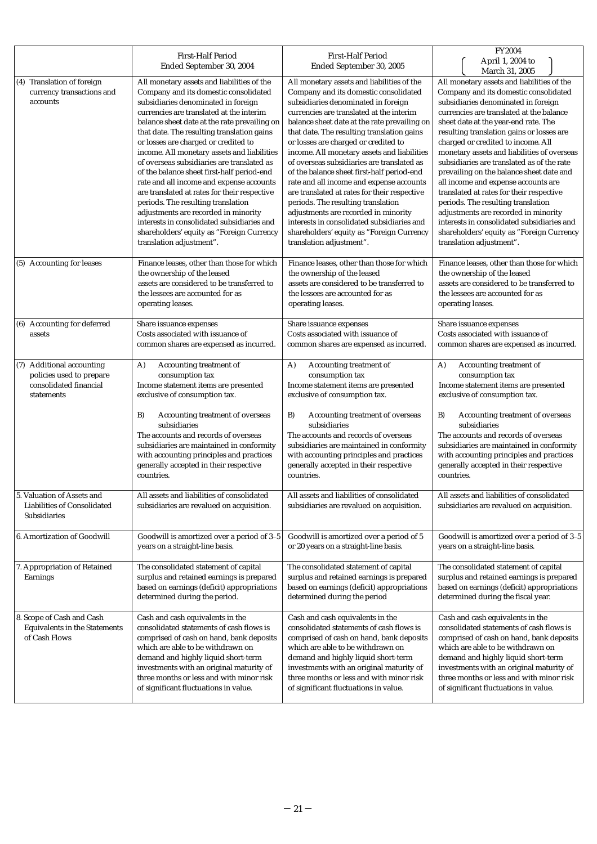|                                                                                               | <b>First-Half Period</b><br>Ended September 30, 2004                                                                                                                                                                                                                                                                                                                                                                                                                                                                                                                                                                                                                                                                                                     | <b>First-Half Period</b><br>Ended September 30, 2005                                                                                                                                                                                                                                                                                                                                                                                                                                                                                                                                                                                                                                                                                                     | FY2004<br>April 1, 2004 to                                                                                                                                                                                                                                                                                                                                                                                                                                                                                                                                                                                                                                                                                                                           |
|-----------------------------------------------------------------------------------------------|----------------------------------------------------------------------------------------------------------------------------------------------------------------------------------------------------------------------------------------------------------------------------------------------------------------------------------------------------------------------------------------------------------------------------------------------------------------------------------------------------------------------------------------------------------------------------------------------------------------------------------------------------------------------------------------------------------------------------------------------------------|----------------------------------------------------------------------------------------------------------------------------------------------------------------------------------------------------------------------------------------------------------------------------------------------------------------------------------------------------------------------------------------------------------------------------------------------------------------------------------------------------------------------------------------------------------------------------------------------------------------------------------------------------------------------------------------------------------------------------------------------------------|------------------------------------------------------------------------------------------------------------------------------------------------------------------------------------------------------------------------------------------------------------------------------------------------------------------------------------------------------------------------------------------------------------------------------------------------------------------------------------------------------------------------------------------------------------------------------------------------------------------------------------------------------------------------------------------------------------------------------------------------------|
| (4) Translation of foreign<br>currency transactions and<br>accounts                           | All monetary assets and liabilities of the<br>Company and its domestic consolidated<br>subsidiaries denominated in foreign<br>currencies are translated at the interim<br>balance sheet date at the rate prevailing on<br>that date. The resulting translation gains<br>or losses are charged or credited to<br>income. All monetary assets and liabilities<br>of overseas subsidiaries are translated as<br>of the balance sheet first-half period-end<br>rate and all income and expense accounts<br>are translated at rates for their respective<br>periods. The resulting translation<br>adjustments are recorded in minority<br>interests in consolidated subsidiaries and<br>shareholders' equity as "Foreign Currency<br>translation adjustment". | All monetary assets and liabilities of the<br>Company and its domestic consolidated<br>subsidiaries denominated in foreign<br>currencies are translated at the interim<br>balance sheet date at the rate prevailing on<br>that date. The resulting translation gains<br>or losses are charged or credited to<br>income. All monetary assets and liabilities<br>of overseas subsidiaries are translated as<br>of the balance sheet first-half period-end<br>rate and all income and expense accounts<br>are translated at rates for their respective<br>periods. The resulting translation<br>adjustments are recorded in minority<br>interests in consolidated subsidiaries and<br>shareholders' equity as "Foreign Currency<br>translation adjustment". | March 31, 2005<br>All monetary assets and liabilities of the<br>Company and its domestic consolidated<br>subsidiaries denominated in foreign<br>currencies are translated at the balance<br>sheet date at the year-end rate. The<br>resulting translation gains or losses are<br>charged or credited to income. All<br>monetary assets and liabilities of overseas<br>subsidiaries are translated as of the rate<br>prevailing on the balance sheet date and<br>all income and expense accounts are<br>translated at rates for their respective<br>periods. The resulting translation<br>adjustments are recorded in minority<br>interests in consolidated subsidiaries and<br>shareholders' equity as "Foreign Currency<br>translation adjustment". |
| (5) Accounting for leases                                                                     | Finance leases, other than those for which<br>the ownership of the leased<br>assets are considered to be transferred to<br>the lessees are accounted for as<br>operating leases.                                                                                                                                                                                                                                                                                                                                                                                                                                                                                                                                                                         | Finance leases, other than those for which<br>the ownership of the leased<br>assets are considered to be transferred to<br>the lessees are accounted for as<br>operating leases.                                                                                                                                                                                                                                                                                                                                                                                                                                                                                                                                                                         | Finance leases, other than those for which<br>the ownership of the leased<br>assets are considered to be transferred to<br>the lessees are accounted for as<br>operating leases.                                                                                                                                                                                                                                                                                                                                                                                                                                                                                                                                                                     |
| (6) Accounting for deferred<br>assets                                                         | Share issuance expenses<br>Costs associated with issuance of<br>common shares are expensed as incurred.                                                                                                                                                                                                                                                                                                                                                                                                                                                                                                                                                                                                                                                  | Share issuance expenses<br>Costs associated with issuance of<br>common shares are expensed as incurred.                                                                                                                                                                                                                                                                                                                                                                                                                                                                                                                                                                                                                                                  | Share issuance expenses<br>Costs associated with issuance of<br>common shares are expensed as incurred.                                                                                                                                                                                                                                                                                                                                                                                                                                                                                                                                                                                                                                              |
| (7) Additional accounting<br>policies used to prepare<br>consolidated financial<br>statements | Accounting treatment of<br>A)<br>consumption tax<br>Income statement items are presented<br>exclusive of consumption tax.<br>Accounting treatment of overseas<br>B)<br>subsidiaries<br>The accounts and records of overseas<br>subsidiaries are maintained in conformity<br>with accounting principles and practices<br>generally accepted in their respective<br>countries.                                                                                                                                                                                                                                                                                                                                                                             | Accounting treatment of<br>A)<br>consumption tax<br>Income statement items are presented<br>exclusive of consumption tax.<br>B)<br>Accounting treatment of overseas<br>subsidiaries<br>The accounts and records of overseas<br>subsidiaries are maintained in conformity<br>with accounting principles and practices<br>generally accepted in their respective<br>countries.                                                                                                                                                                                                                                                                                                                                                                             | Accounting treatment of<br>A)<br>consumption tax<br>Income statement items are presented<br>exclusive of consumption tax.<br>Accounting treatment of overseas<br>B)<br>subsidiaries<br>The accounts and records of overseas<br>subsidiaries are maintained in conformity<br>with accounting principles and practices<br>generally accepted in their respective<br>countries.                                                                                                                                                                                                                                                                                                                                                                         |
| 5. Valuation of Assets and<br>Liabilities of Consolidated<br>Subsidiaries                     | All assets and liabilities of consolidated<br>subsidiaries are revalued on acquisition.                                                                                                                                                                                                                                                                                                                                                                                                                                                                                                                                                                                                                                                                  | All assets and liabilities of consolidated<br>subsidiaries are revalued on acquisition.                                                                                                                                                                                                                                                                                                                                                                                                                                                                                                                                                                                                                                                                  | All assets and liabilities of consolidated<br>subsidiaries are revalued on acquisition.                                                                                                                                                                                                                                                                                                                                                                                                                                                                                                                                                                                                                                                              |
| 6. Amortization of Goodwill                                                                   | Goodwill is amortized over a period of 3-5<br>years on a straight-line basis.                                                                                                                                                                                                                                                                                                                                                                                                                                                                                                                                                                                                                                                                            | Goodwill is amortized over a period of 5<br>or 20 years on a straight-line basis.                                                                                                                                                                                                                                                                                                                                                                                                                                                                                                                                                                                                                                                                        | Goodwill is amortized over a period of 3-5<br>years on a straight-line basis.                                                                                                                                                                                                                                                                                                                                                                                                                                                                                                                                                                                                                                                                        |
| 7. Appropriation of Retained<br>Earnings                                                      | The consolidated statement of capital<br>surplus and retained earnings is prepared<br>based on earnings (deficit) appropriations<br>determined during the period.                                                                                                                                                                                                                                                                                                                                                                                                                                                                                                                                                                                        | The consolidated statement of capital<br>surplus and retained earnings is prepared<br>based on earnings (deficit) appropriations<br>determined during the period                                                                                                                                                                                                                                                                                                                                                                                                                                                                                                                                                                                         | The consolidated statement of capital<br>surplus and retained earnings is prepared<br>based on earnings (deficit) appropriations<br>determined during the fiscal year.                                                                                                                                                                                                                                                                                                                                                                                                                                                                                                                                                                               |
| 8. Scope of Cash and Cash<br>Equivalents in the Statements<br>of Cash Flows                   | Cash and cash equivalents in the<br>consolidated statements of cash flows is<br>comprised of cash on hand, bank deposits<br>which are able to be withdrawn on<br>demand and highly liquid short-term<br>investments with an original maturity of<br>three months or less and with minor risk<br>of significant fluctuations in value.                                                                                                                                                                                                                                                                                                                                                                                                                    | Cash and cash equivalents in the<br>consolidated statements of cash flows is<br>comprised of cash on hand, bank deposits<br>which are able to be withdrawn on<br>demand and highly liquid short-term<br>investments with an original maturity of<br>three months or less and with minor risk<br>of significant fluctuations in value.                                                                                                                                                                                                                                                                                                                                                                                                                    | Cash and cash equivalents in the<br>consolidated statements of cash flows is<br>comprised of cash on hand, bank deposits<br>which are able to be withdrawn on<br>demand and highly liquid short-term<br>investments with an original maturity of<br>three months or less and with minor risk<br>of significant fluctuations in value.                                                                                                                                                                                                                                                                                                                                                                                                                |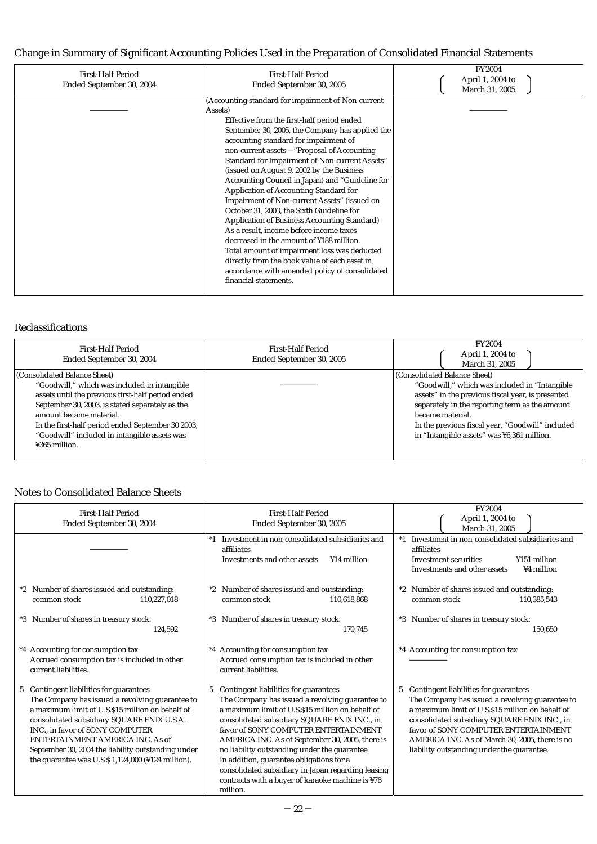# Change in Summary of Significant Accounting Policies Used in the Preparation of Consolidated Financial Statements

| <b>First-Half Period</b><br>Ended September 30, 2004 | <b>First-Half Period</b><br>Ended September 30, 2005 | <b>FY2004</b><br>April 1, 2004 to<br>March 31, 2005 |
|------------------------------------------------------|------------------------------------------------------|-----------------------------------------------------|
|                                                      | (Accounting standard for impairment of Non-current   |                                                     |
|                                                      | Assets)                                              |                                                     |
|                                                      | Effective from the first-half period ended           |                                                     |
|                                                      | September 30, 2005, the Company has applied the      |                                                     |
|                                                      | accounting standard for impairment of                |                                                     |
|                                                      | non-current assets "Proposal of Accounting"          |                                                     |
|                                                      | Standard for Impairment of Non-current Assets"       |                                                     |
|                                                      | (issued on August 9, 2002 by the Business            |                                                     |
|                                                      | Accounting Council in Japan) and "Guideline for      |                                                     |
|                                                      | Application of Accounting Standard for               |                                                     |
|                                                      | Impairment of Non-current Assets" (issued on         |                                                     |
|                                                      | October 31, 2003, the Sixth Guideline for            |                                                     |
|                                                      | Application of Business Accounting Standard)         |                                                     |
|                                                      | As a result, income before income taxes              |                                                     |
|                                                      | decreased in the amount of ¥188 million.             |                                                     |
|                                                      | Total amount of impairment loss was deducted         |                                                     |
|                                                      | directly from the book value of each asset in        |                                                     |
|                                                      | accordance with amended policy of consolidated       |                                                     |
|                                                      | financial statements.                                |                                                     |
|                                                      |                                                      |                                                     |
|                                                      |                                                      |                                                     |

### Reclassifications

| First-Half Period<br>Ended September 30, 2004     | First-Half Period<br>Ended September 30, 2005 | <b>FY2004</b><br>April 1, 2004 to<br>March 31, 2005 |
|---------------------------------------------------|-----------------------------------------------|-----------------------------------------------------|
| (Consolidated Balance Sheet)                      |                                               | (Consolidated Balance Sheet)                        |
| "Goodwill," which was included in intangible      |                                               | "Goodwill," which was included in "Intangible"      |
| assets until the previous first-half period ended |                                               | assets" in the previous fiscal year, is presented   |
| September 30, 2003, is stated separately as the   |                                               | separately in the reporting term as the amount      |
| amount became material.                           |                                               | became material.                                    |
| In the first-half period ended September 30 2003, |                                               | In the previous fiscal year, "Goodwill" included    |
| "Goodwill" included in intangible assets was      |                                               | in "Intangible assets" was ¥6,361 million.          |
| ¥365 million.                                     |                                               |                                                     |
|                                                   |                                               |                                                     |

# Notes to Consolidated Balance Sheets

| <b>First-Half Period</b><br>Ended September 30, 2004                                                                                                                                                                                                                                                                                                                                | <b>First-Half Period</b><br>Ended September 30, 2005                                                                                                                                                                                                                                                                                                                                                                                                                                                            | <b>FY2004</b><br>April 1, 2004 to<br>March 31, 2005                                                                                                                                                                                                                                                                                       |
|-------------------------------------------------------------------------------------------------------------------------------------------------------------------------------------------------------------------------------------------------------------------------------------------------------------------------------------------------------------------------------------|-----------------------------------------------------------------------------------------------------------------------------------------------------------------------------------------------------------------------------------------------------------------------------------------------------------------------------------------------------------------------------------------------------------------------------------------------------------------------------------------------------------------|-------------------------------------------------------------------------------------------------------------------------------------------------------------------------------------------------------------------------------------------------------------------------------------------------------------------------------------------|
|                                                                                                                                                                                                                                                                                                                                                                                     | *1 Investment in non-consolidated subsidiaries and<br>affiliates<br>Investments and other assets<br>¥14 million                                                                                                                                                                                                                                                                                                                                                                                                 | *1 Investment in non-consolidated subsidiaries and<br>affiliates<br>¥151 million<br><b>Investment securities</b><br>¥4 million<br>Investments and other assets                                                                                                                                                                            |
| *2 Number of shares issued and outstanding:<br>110,227,018<br>common stock                                                                                                                                                                                                                                                                                                          | Number of shares issued and outstanding:<br>$^*2$<br>common stock<br>110,618,868                                                                                                                                                                                                                                                                                                                                                                                                                                | *2 Number of shares issued and outstanding:<br>110,385,543<br>common stock                                                                                                                                                                                                                                                                |
| Number of shares in treasury stock:<br>*3<br>124,592                                                                                                                                                                                                                                                                                                                                | *3 Number of shares in treasury stock:<br>170.745                                                                                                                                                                                                                                                                                                                                                                                                                                                               | *3 Number of shares in treasury stock:<br>150,650                                                                                                                                                                                                                                                                                         |
| *4 Accounting for consumption tax<br>Accrued consumption tax is included in other<br>current liabilities.                                                                                                                                                                                                                                                                           | *4 Accounting for consumption tax<br>Accrued consumption tax is included in other<br>current liabilities.                                                                                                                                                                                                                                                                                                                                                                                                       | *4 Accounting for consumption tax                                                                                                                                                                                                                                                                                                         |
| Contingent liabilities for guarantees<br>5<br>The Company has issued a revolving guarantee to<br>a maximum limit of U.S.\$15 million on behalf of<br>consolidated subsidiary SQUARE ENIX U.S.A.<br>INC., in favor of SONY COMPUTER<br>ENTERTAINMENT AMERICA INC. As of<br>September 30, 2004 the liability outstanding under<br>the guarantee was U.S. $$1,124,000$ (¥124 million). | Contingent liabilities for guarantees<br>5<br>The Company has issued a revolving guarantee to<br>a maximum limit of U.S.\$15 million on behalf of<br>consolidated subsidiary SQUARE ENIX INC., in<br>favor of SONY COMPUTER ENTERTAINMENT<br>AMERICA INC. As of September 30, 2005, there is<br>no liability outstanding under the guarantee.<br>In addition, guarantee obligations for a<br>consolidated subsidiary in Japan regarding leasing<br>contracts with a buyer of karaoke machine is ¥78<br>million. | Contingent liabilities for guarantees<br>5<br>The Company has issued a revolving guarantee to<br>a maximum limit of U.S.\$15 million on behalf of<br>consolidated subsidiary SQUARE ENIX INC., in<br>favor of SONY COMPUTER ENTERTAINMENT<br>AMERICA INC. As of March 30, 2005, there is no<br>liability outstanding under the guarantee. |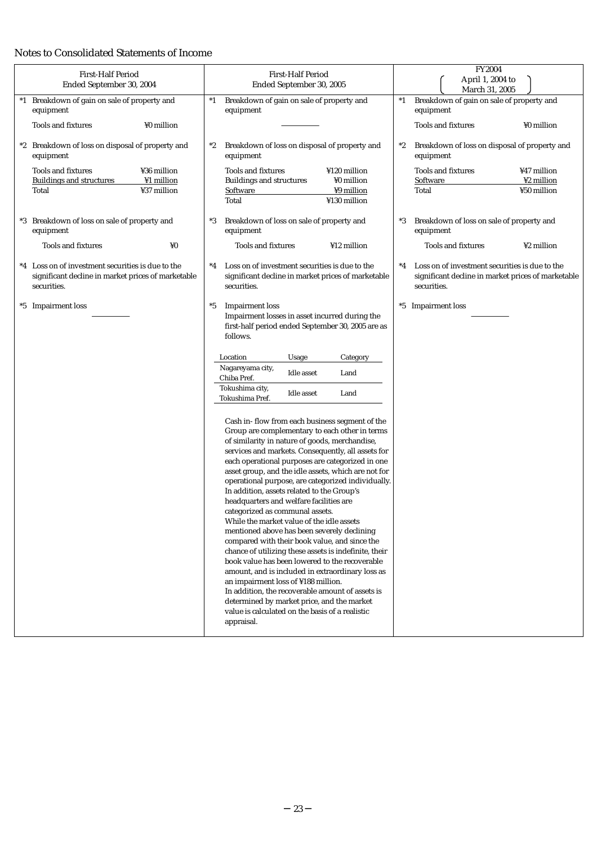# Notes to Consolidated Statements of Income

| <b>First-Half Period</b><br>Ended September 30, 2004                                                                   | <b>First-Half Period</b><br>Ended September 30, 2005                                                                                                                                                                                                                                                                                                                                                                                                                                                                                                                                                                                                                                          | <b>FY2004</b><br>April 1, 2004 to<br>March 31, 2005                                                                          |  |  |
|------------------------------------------------------------------------------------------------------------------------|-----------------------------------------------------------------------------------------------------------------------------------------------------------------------------------------------------------------------------------------------------------------------------------------------------------------------------------------------------------------------------------------------------------------------------------------------------------------------------------------------------------------------------------------------------------------------------------------------------------------------------------------------------------------------------------------------|------------------------------------------------------------------------------------------------------------------------------|--|--|
| *1 Breakdown of gain on sale of property and<br>equipment                                                              | Breakdown of gain on sale of property and<br>$^*1$<br>equipment                                                                                                                                                                                                                                                                                                                                                                                                                                                                                                                                                                                                                               | Breakdown of gain on sale of property and<br>$^*1$<br>equipment                                                              |  |  |
| ¥0 million<br><b>Tools and fixtures</b>                                                                                |                                                                                                                                                                                                                                                                                                                                                                                                                                                                                                                                                                                                                                                                                               | <b>Tools and fixtures</b><br>¥0 million                                                                                      |  |  |
| *2 Breakdown of loss on disposal of property and<br>equipment                                                          | Breakdown of loss on disposal of property and<br>$^*2$<br>equipment                                                                                                                                                                                                                                                                                                                                                                                                                                                                                                                                                                                                                           | Breakdown of loss on disposal of property and<br>$^*2$<br>equipment                                                          |  |  |
| <b>Tools and fixtures</b><br>¥36 million<br><b>Buildings and structures</b><br>¥1 million<br>¥37 million<br>Total      | <b>Tools and fixtures</b><br>¥120 million<br>¥0 million<br><b>Buildings and structures</b><br>Software<br>¥9 million<br>Total<br>¥130 million                                                                                                                                                                                                                                                                                                                                                                                                                                                                                                                                                 | <b>Tools and fixtures</b><br>¥47 million<br>Software<br>¥2 million<br>¥50 million<br>Total                                   |  |  |
| *3 Breakdown of loss on sale of property and<br>equipment                                                              | Breakdown of loss on sale of property and<br>*3<br>equipment                                                                                                                                                                                                                                                                                                                                                                                                                                                                                                                                                                                                                                  | Breakdown of loss on sale of property and<br>$^*3$<br>equipment                                                              |  |  |
| <b>Tools and fixtures</b><br>¥0                                                                                        | <b>Tools and fixtures</b><br>¥12 million                                                                                                                                                                                                                                                                                                                                                                                                                                                                                                                                                                                                                                                      | <b>Tools and fixtures</b><br>¥2 million                                                                                      |  |  |
| *4 Loss on of investment securities is due to the<br>significant decline in market prices of marketable<br>securities. | $^*4$<br>Loss on of investment securities is due to the<br>significant decline in market prices of marketable<br>securities.                                                                                                                                                                                                                                                                                                                                                                                                                                                                                                                                                                  | Loss on of investment securities is due to the<br>$^*4$<br>significant decline in market prices of marketable<br>securities. |  |  |
| *5 Impairment loss                                                                                                     | $^*5$<br><b>Impairment</b> loss<br>Impairment losses in asset incurred during the<br>first-half period ended September 30, 2005 are as<br>follows.<br>Location<br>Usage<br>Category<br>Nagareyama city,<br><b>Idle</b> asset<br>Land<br>Chiba Pref.<br>Tokushima city,<br>Land<br>Idle asset<br>Tokushima Pref.<br>Cash in- flow from each business segment of the<br>Group are complementary to each other in terms<br>of similarity in nature of goods, merchandise,<br>services and markets. Consequently, all assets for<br>each operational purposes are categorized in one<br>asset group, and the idle assets, which are not for<br>operational purpose, are categorized individually. | *5 Impairment loss                                                                                                           |  |  |
|                                                                                                                        | In addition, assets related to the Group's<br>headquarters and welfare facilities are<br>categorized as communal assets.<br>While the market value of the idle assets<br>mentioned above has been severely declining<br>compared with their book value, and since the<br>chance of utilizing these assets is indefinite, their<br>book value has been lowered to the recoverable<br>amount, and is included in extraordinary loss as<br>an impairment loss of ¥188 million.<br>In addition, the recoverable amount of assets is<br>determined by market price, and the market<br>value is calculated on the basis of a realistic<br>appraisal.                                                |                                                                                                                              |  |  |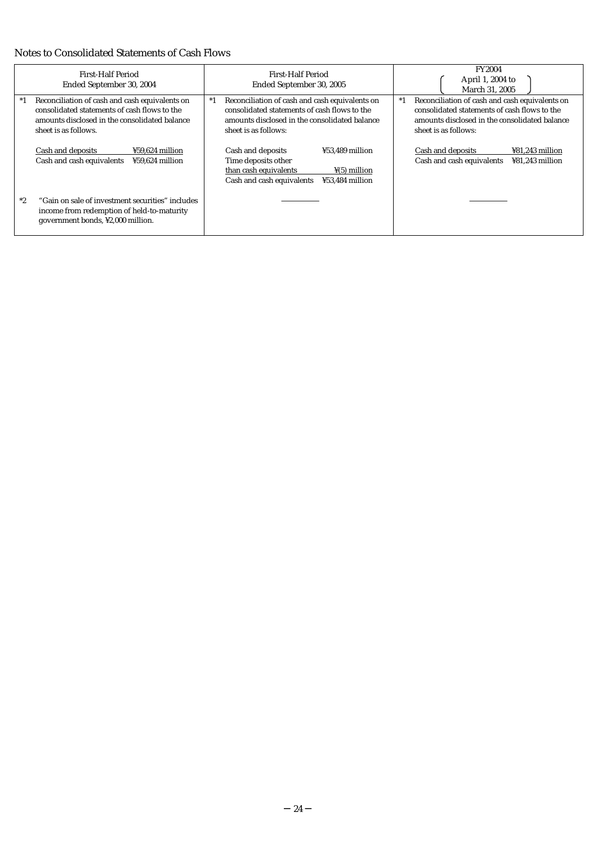# Notes to Consolidated Statements of Cash Flows

| First-Half Period<br>Ended September 30, 2004                                                                                                                                    | First-Half Period<br>Ended September 30, 2005                                                                                                                                   | <b>FY2004</b><br>April 1, 2004 to<br>March 31, 2005                                                                                                                             |  |  |  |
|----------------------------------------------------------------------------------------------------------------------------------------------------------------------------------|---------------------------------------------------------------------------------------------------------------------------------------------------------------------------------|---------------------------------------------------------------------------------------------------------------------------------------------------------------------------------|--|--|--|
| Reconciliation of cash and cash equivalents on<br>$^*1$<br>consolidated statements of cash flows to the<br>amounts disclosed in the consolidated balance<br>sheet is as follows. | Reconciliation of cash and cash equivalents on<br>$*1$<br>consolidated statements of cash flows to the<br>amounts disclosed in the consolidated balance<br>sheet is as follows: | Reconciliation of cash and cash equivalents on<br>$*1$<br>consolidated statements of cash flows to the<br>amounts disclosed in the consolidated balance<br>sheet is as follows: |  |  |  |
| Cash and deposits<br>¥59,624 million<br>Cash and cash equivalents<br>¥59.624 million                                                                                             | ¥53.489 million<br>Cash and deposits<br>Time deposits other<br>than cash equivalents<br>$\frac{1}{2}(5)$ million<br>Cash and cash equivalents<br>¥53.484 million                | Cash and deposits<br>¥81,243 million<br>Cash and cash equivalents<br>¥81.243 million                                                                                            |  |  |  |
| *2<br>"Gain on sale of investment securities" includes<br>income from redemption of held-to-maturity<br>government bonds, ¥2,000 million.                                        |                                                                                                                                                                                 |                                                                                                                                                                                 |  |  |  |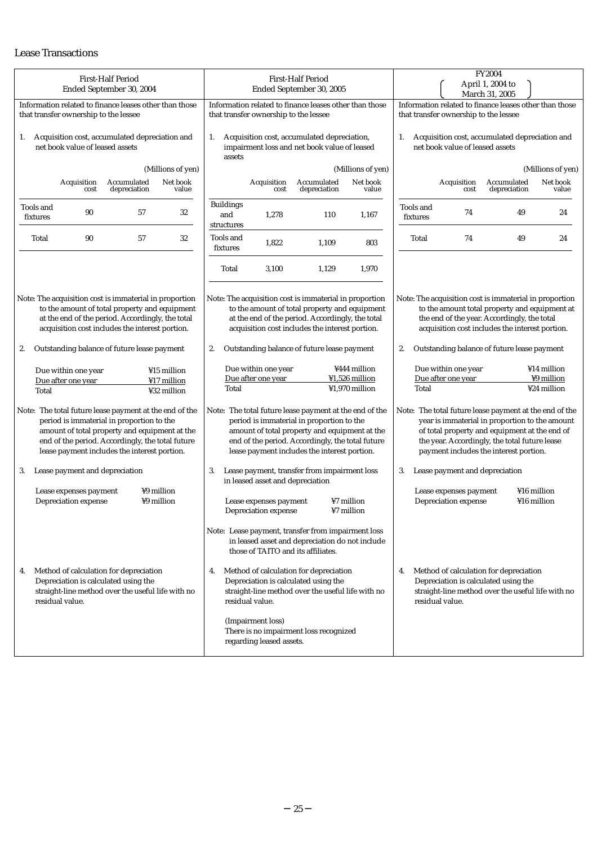# Lease Transactions

| <b>First-Half Period</b><br>Ended September 30, 2004                                                                                                                                                                                                                | <b>First-Half Period</b><br>Ended September 30, 2005                                                                                                                                                                                                                | FY2004<br>April 1, 2004 to<br>March 31, 2005                                                                                                                                                                                                                   |  |  |  |  |
|---------------------------------------------------------------------------------------------------------------------------------------------------------------------------------------------------------------------------------------------------------------------|---------------------------------------------------------------------------------------------------------------------------------------------------------------------------------------------------------------------------------------------------------------------|----------------------------------------------------------------------------------------------------------------------------------------------------------------------------------------------------------------------------------------------------------------|--|--|--|--|
| Information related to finance leases other than those<br>that transfer ownership to the lessee                                                                                                                                                                     | Information related to finance leases other than those<br>that transfer ownership to the lessee                                                                                                                                                                     |                                                                                                                                                                                                                                                                |  |  |  |  |
| Acquisition cost, accumulated depreciation and<br>1.<br>net book value of leased assets                                                                                                                                                                             | Acquisition cost, accumulated depreciation,<br>1.<br>impairment loss and net book value of leased<br>assets                                                                                                                                                         | Acquisition cost, accumulated depreciation and<br>1.<br>net book value of leased assets                                                                                                                                                                        |  |  |  |  |
| (Millions of yen)                                                                                                                                                                                                                                                   | (Millions of yen)                                                                                                                                                                                                                                                   | (Millions of yen)                                                                                                                                                                                                                                              |  |  |  |  |
| Accumulated<br>Net book<br>Acquisition<br>depreciation<br>value<br>cost                                                                                                                                                                                             | Accumulated<br>Net book<br>Acquisition<br>depreciation<br>value<br>cost                                                                                                                                                                                             | Accumulated<br>Net book<br>Acquisition<br>depreciation<br>value<br>cost                                                                                                                                                                                        |  |  |  |  |
| Tools and<br>90<br>57<br>32<br>fixtures                                                                                                                                                                                                                             | <b>Buildings</b><br>and<br>1,278<br>110<br>1,167<br>structures                                                                                                                                                                                                      | Tools and<br>74<br>49<br>24<br>fixtures                                                                                                                                                                                                                        |  |  |  |  |
| 90<br>57<br>32<br>Total                                                                                                                                                                                                                                             | Tools and<br>1,822<br>803<br>1,109<br>fixtures                                                                                                                                                                                                                      | 74<br>49<br>24<br>Total                                                                                                                                                                                                                                        |  |  |  |  |
|                                                                                                                                                                                                                                                                     | 3,100<br>1,129<br>1,970<br>Total                                                                                                                                                                                                                                    |                                                                                                                                                                                                                                                                |  |  |  |  |
| Note: The acquisition cost is immaterial in proportion<br>to the amount of total property and equipment<br>at the end of the period. Accordingly, the total<br>acquisition cost includes the interest portion.<br>Outstanding balance of future lease payment<br>2. | Note: The acquisition cost is immaterial in proportion<br>to the amount of total property and equipment<br>at the end of the period. Accordingly, the total<br>acquisition cost includes the interest portion.<br>2.<br>Outstanding balance of future lease payment | Note: The acquisition cost is immaterial in proportion<br>to the amount total property and equipment at<br>the end of the year. Accordingly, the total<br>acquisition cost includes the interest portion.<br>2.<br>Outstanding balance of future lease payment |  |  |  |  |
| Due within one year<br>¥15 million                                                                                                                                                                                                                                  | Due within one year<br>¥444 million                                                                                                                                                                                                                                 | Due within one year<br>¥14 million                                                                                                                                                                                                                             |  |  |  |  |
| Due after one year<br>¥17 million<br>¥32 million<br>Total                                                                                                                                                                                                           | Due after one year<br>¥1,526 million<br>¥1,970 million<br>Total                                                                                                                                                                                                     | Due after one year<br>¥9 million<br>¥24 million<br>Total                                                                                                                                                                                                       |  |  |  |  |
| Note: The total future lease payment at the end of the<br>period is immaterial in proportion to the<br>amount of total property and equipment at the<br>end of the period. Accordingly, the total future<br>lease payment includes the interest portion.            | Note: The total future lease payment at the end of the<br>period is immaterial in proportion to the<br>amount of total property and equipment at the<br>end of the period. Accordingly, the total future<br>lease payment includes the interest portion.            | Note: The total future lease payment at the end of the<br>year is immaterial in proportion to the amount<br>of total property and equipment at the end of<br>the year. Accordingly, the total future lease<br>payment includes the interest portion.           |  |  |  |  |
| Lease payment and depreciation<br>3.                                                                                                                                                                                                                                | Lease payment, transfer from impairment loss<br>3.<br>in leased asset and depreciation                                                                                                                                                                              | Lease payment and depreciation<br>3.                                                                                                                                                                                                                           |  |  |  |  |
| ¥9 million<br>Lease expenses payment<br>Depreciation expense<br>¥9 million                                                                                                                                                                                          | ¥7 million<br>Lease expenses payment<br>¥7 million<br>Depreciation expense                                                                                                                                                                                          | ¥16 million<br>Lease expenses payment<br>Depreciation expense<br>¥16 million                                                                                                                                                                                   |  |  |  |  |
|                                                                                                                                                                                                                                                                     | Note: Lease payment, transfer from impairment loss<br>in leased asset and depreciation do not include<br>those of TAITO and its affiliates.                                                                                                                         |                                                                                                                                                                                                                                                                |  |  |  |  |
| Method of calculation for depreciation<br>4.<br>Depreciation is calculated using the<br>straight-line method over the useful life with no<br>residual value.                                                                                                        | Method of calculation for depreciation<br>4.<br>Depreciation is calculated using the<br>straight-line method over the useful life with no<br>residual value.                                                                                                        | Method of calculation for depreciation<br>4.<br>Depreciation is calculated using the<br>straight-line method over the useful life with no<br>residual value.                                                                                                   |  |  |  |  |
|                                                                                                                                                                                                                                                                     | (Impairment loss)<br>There is no impairment loss recognized<br>regarding leased assets.                                                                                                                                                                             |                                                                                                                                                                                                                                                                |  |  |  |  |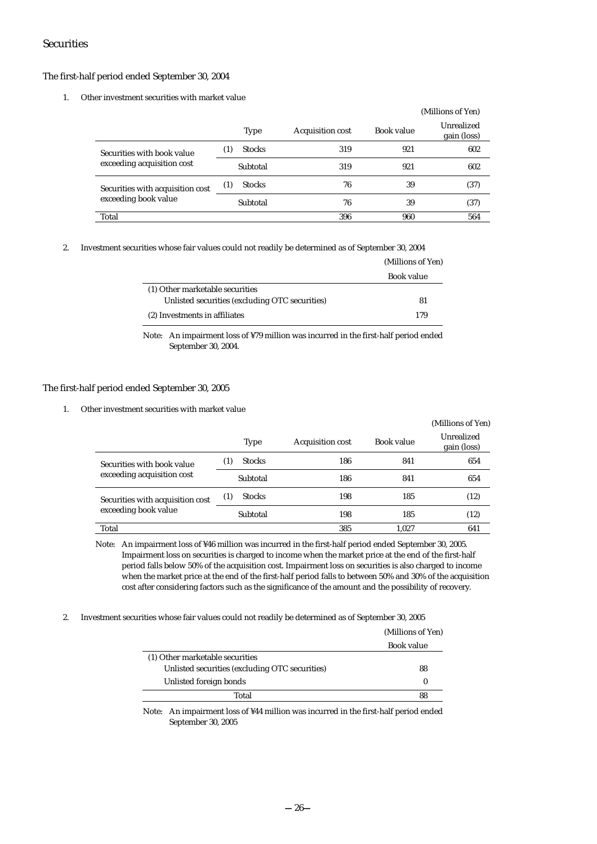### Securities

#### The first-half period ended September 30, 2004

#### 1. Other investment securities with market value

|                                  |                      |                  |            | (Millions of Yen)         |
|----------------------------------|----------------------|------------------|------------|---------------------------|
|                                  | <b>Type</b>          | Acquisition cost | Book value | Unrealized<br>gain (loss) |
| Securities with book value       | <b>Stocks</b><br>(1) | 319              | 921        | 602                       |
| exceeding acquisition cost       | Subtotal             | 319              | 921        | 602                       |
| Securities with acquisition cost | <b>Stocks</b><br>(1) | 76               | 39         | (37)                      |
| exceeding book value             | Subtotal             | 76               | 39         | (37)                      |
| Total                            |                      | 396              | 960        | 564                       |

2. Investment securities whose fair values could not readily be determined as of September 30, 2004

|                                                | (Millions of Yen) |  |
|------------------------------------------------|-------------------|--|
|                                                | Book value        |  |
| (1) Other marketable securities                |                   |  |
| Unlisted securities (excluding OTC securities) | 81                |  |
| (2) Investments in affiliates                  | 179               |  |

Note: An impairment loss of ¥79 million was incurred in the first-half period ended September 30, 2004.

#### The first-half period ended September 30, 2005

1. Other investment securities with market value

|                                  |                      |                  |            | (Millions of Yen)         |
|----------------------------------|----------------------|------------------|------------|---------------------------|
|                                  | <b>Type</b>          | Acquisition cost | Book value | Unrealized<br>gain (loss) |
| Securities with book value       | <b>Stocks</b><br>(1) | 186              | 841        | 654                       |
| exceeding acquisition cost       | Subtotal             | 186              | 841        | 654                       |
| Securities with acquisition cost | <b>Stocks</b><br>(1) | 198              | 185        | (12)                      |
| exceeding book value             | Subtotal             | 198              | 185        | (12)                      |
| Total                            |                      | 385              | 1.027      | 641                       |

Note: An impairment loss of ¥46 million was incurred in the first-half period ended September 30, 2005. Impairment loss on securities is charged to income when the market price at the end of the first-half period falls below 50% of the acquisition cost. Impairment loss on securities is also charged to income when the market price at the end of the first-half period falls to between 50% and 30% of the acquisition cost after considering factors such as the significance of the amount and the possibility of recovery.

2. Investment securities whose fair values could not readily be determined as of September 30, 2005

| (Millions of Yen) |
|-------------------|
| Book value        |
|                   |
|                   |
|                   |
|                   |
| 88<br>88          |

Note: An impairment loss of ¥44 million was incurred in the first-half period ended September 30, 2005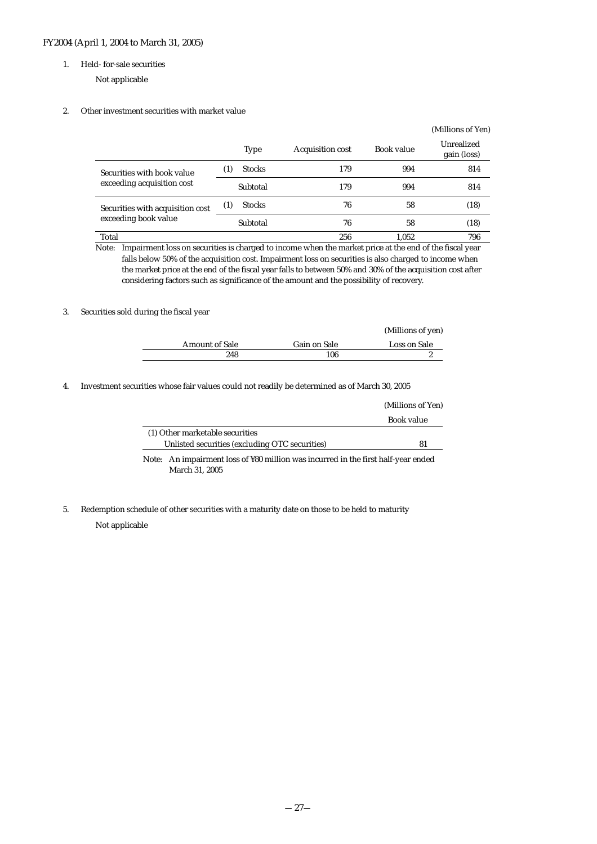#### FY2004 (April 1, 2004 to March 31, 2005)

#### 1. Held- for-sale securities

Not applicable

#### 2. Other investment securities with market value

|                                                          |                                   |                         |            | (Millions of Yen)         |
|----------------------------------------------------------|-----------------------------------|-------------------------|------------|---------------------------|
|                                                          | <b>Type</b>                       | <b>Acquisition cost</b> | Book value | Unrealized<br>gain (loss) |
| Securities with book value<br>exceeding acquisition cost | <b>Stocks</b><br>$\left(1\right)$ | 179                     | 994        | 814                       |
|                                                          | Subtotal                          | 179                     | 994        | 814                       |
| Securities with acquisition cost                         | <b>Stocks</b><br>(1)              | 76                      | 58         | (18)                      |
| exceeding book value                                     | Subtotal                          | 76                      | 58         | (18)                      |
| Total                                                    |                                   | 256                     | 1.052      | 796                       |

Note: Impairment loss on securities is charged to income when the market price at the end of the fiscal year falls below 50% of the acquisition cost. Impairment loss on securities is also charged to income when the market price at the end of the fiscal year falls to between 50% and 30% of the acquisition cost after considering factors such as significance of the amount and the possibility of recovery.

#### 3. Securities sold during the fiscal year

|                       |              | (Millions of yen) |
|-----------------------|--------------|-------------------|
| <b>Amount of Sale</b> | Gain on Sale | Loss on Sale      |
| 248                   | 106          |                   |

4. Investment securities whose fair values could not readily be determined as of March 30, 2005

|                                                | (Millions of Yen) |
|------------------------------------------------|-------------------|
|                                                | Book value        |
| (1) Other marketable securities                |                   |
| Unlisted securities (excluding OTC securities) | -81               |

Note: An impairment loss of ¥80 million was incurred in the first half-year ended March 31, 2005

5. Redemption schedule of other securities with a maturity date on those to be held to maturity

#### Not applicable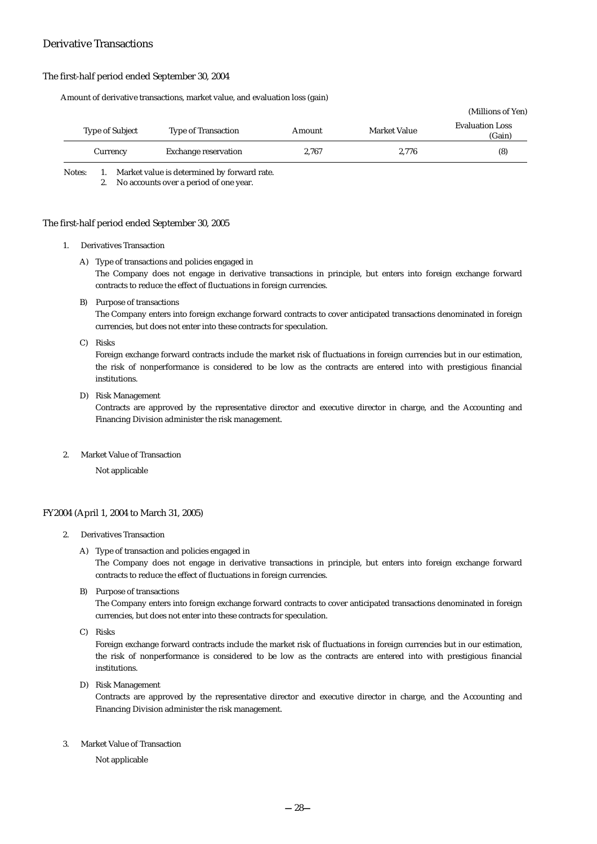### Derivative Transactions

#### The first-half period ended September 30, 2004

Amount of derivative transactions, market value, and evaluation loss (gain)

|                        |                            |        |                     | (Millions of Yen)                |
|------------------------|----------------------------|--------|---------------------|----------------------------------|
| <b>Type of Subject</b> | <b>Type of Transaction</b> | Amount | <b>Market Value</b> | <b>Evaluation Loss</b><br>(Gain) |
| Currency               | Exchange reservation       | 2.767  | 2.776               | (8)                              |

Notes: 1. Market value is determined by forward rate.

2. No accounts over a period of one year.

#### The first-half period ended September 30, 2005

1. Derivatives Transaction

#### A) Type of transactions and policies engaged in

The Company does not engage in derivative transactions in principle, but enters into foreign exchange forward contracts to reduce the effect of fluctuations in foreign currencies.

B) Purpose of transactions

The Company enters into foreign exchange forward contracts to cover anticipated transactions denominated in foreign currencies, but does not enter into these contracts for speculation.

C) Risks

Foreign exchange forward contracts include the market risk of fluctuations in foreign currencies but in our estimation, the risk of nonperformance is considered to be low as the contracts are entered into with prestigious financial institutions.

D) Risk Management

Contracts are approved by the representative director and executive director in charge, and the Accounting and Financing Division administer the risk management.

2. Market Value of Transaction

Not applicable

#### FY2004 (April 1, 2004 to March 31, 2005)

- 2. Derivatives Transaction
	- A) Type of transaction and policies engaged in

The Company does not engage in derivative transactions in principle, but enters into foreign exchange forward contracts to reduce the effect of fluctuations in foreign currencies.

B) Purpose of transactions

The Company enters into foreign exchange forward contracts to cover anticipated transactions denominated in foreign currencies, but does not enter into these contracts for speculation.

C) Risks

Foreign exchange forward contracts include the market risk of fluctuations in foreign currencies but in our estimation, the risk of nonperformance is considered to be low as the contracts are entered into with prestigious financial institutions.

D) Risk Management

Contracts are approved by the representative director and executive director in charge, and the Accounting and Financing Division administer the risk management.

3. Market Value of Transaction

Not applicable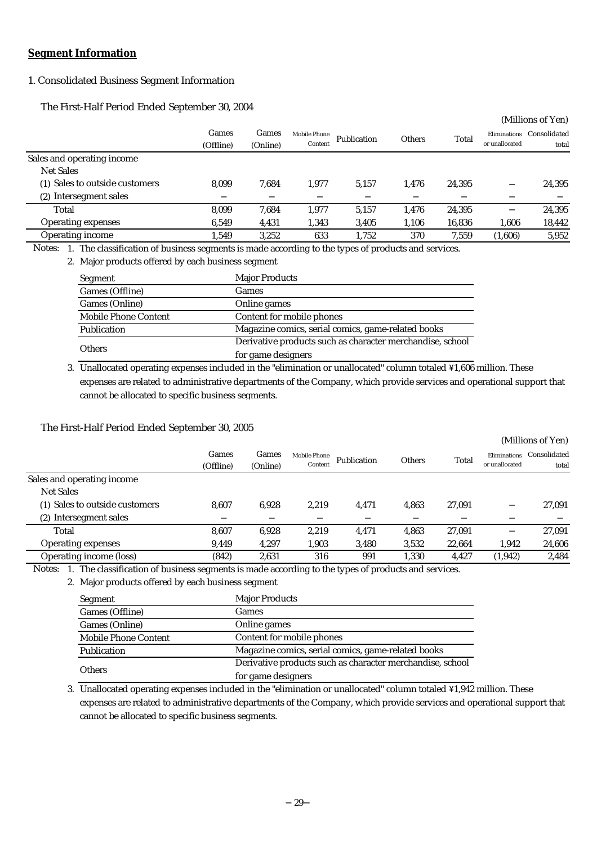# **Segment Information**

# 1. Consolidated Business Segment Information

The First-Half Period Ended September 30, 2004

|                                |                    |                   |                         |             |        |        |                                | (Millions of Yen)     |
|--------------------------------|--------------------|-------------------|-------------------------|-------------|--------|--------|--------------------------------|-----------------------|
|                                | Games<br>(Offline) | Games<br>(Online) | Mobile Phone<br>Content | Publication | Others | Total  | Eliminations<br>or unallocated | Consolidated<br>total |
| Sales and operating income.    |                    |                   |                         |             |        |        |                                |                       |
| <b>Net Sales</b>               |                    |                   |                         |             |        |        |                                |                       |
| (1) Sales to outside customers | 8.099              | 7.684             | 1.977                   | 5,157       | 1.476  | 24.395 |                                | 24,395                |
| Intersegment sales<br>(2)      |                    |                   |                         |             |        |        |                                |                       |
| Total                          | 8,099              | 7.684             | 1.977                   | 5,157       | 1,476  | 24,395 |                                | 24,395                |
| <b>Operating expenses</b>      | 6.549              | 4,431             | 1,343                   | 3,405       | 1,106  | 16,836 | 1,606                          | 18,442                |
| <b>Operating income</b>        | 1,549              | 3,252             | 633                     | 1,752       | 370    | 7,559  | (1,606)                        | 5,952                 |
|                                |                    |                   |                         |             |        |        |                                |                       |

1. The classification of business segments is made according to the types of products and services. Notes:

2. Major products offered by each business segment

| Segment              | <b>Major Products</b>                                     |
|----------------------|-----------------------------------------------------------|
| Games (Offline)      | Games                                                     |
| Games (Online)       | Online games                                              |
| Mobile Phone Content | Content for mobile phones                                 |
| Publication          | Magazine comics, serial comics, game-related books        |
| <b>Others</b>        | Derivative products such as character merchandise, school |
|                      | for game designers                                        |

3. Unallocated operating expenses included in the "elimination or unallocated" column totaled \1,606 million. These expenses are related to administrative departments of the Company, which provide services and operational support that cannot be allocated to specific business segments.

# The First-Half Period Ended September 30, 2005

|                                |           |          |              |             |        |        |                | (Millions of Yen) |
|--------------------------------|-----------|----------|--------------|-------------|--------|--------|----------------|-------------------|
|                                | Games     | Games    | Mobile Phone | Publication | Others | Total  | Eliminations   | Consolidated      |
|                                | (Offline) | (Online) | Content      |             |        |        | or unallocated | total             |
| Sales and operating income.    |           |          |              |             |        |        |                |                   |
| <b>Net Sales</b>               |           |          |              |             |        |        |                |                   |
| (1) Sales to outside customers | 8.607     | 6.928    | 2.219        | 4.471       | 4.863  | 27.091 |                | 27,091            |
| (2) Intersegment sales         |           |          |              |             |        |        |                |                   |
| Total                          | 8.607     | 6.928    | 2.219        | 4,471       | 4.863  | 27.091 |                | 27.091            |
| <b>Operating expenses</b>      | 9,449     | 4,297    | 1,903        | 3,480       | 3,532  | 22,664 | 1,942          | 24,606            |
| Operating income (loss)        | (842)     | 2.631    | 316          | 991         | 1.330  | 4.427  | (1, 942)       | 2.484             |

1. The classification of business segments is made according to the types of products and services. Notes:

2. Major products offered by each business segment

| Segment              | <b>Major Products</b>                                     |
|----------------------|-----------------------------------------------------------|
| Games (Offline)      | Games                                                     |
| Games (Online)       | Online games                                              |
| Mobile Phone Content | Content for mobile phones                                 |
| Publication          | Magazine comics, serial comics, game-related books        |
|                      | Derivative products such as character merchandise, school |
| <b>Others</b>        | for game designers                                        |

3. Unallocated operating expenses included in the "elimination or unallocated" column totaled \1,942 million. These expenses are related to administrative departments of the Company, which provide services and operational support that cannot be allocated to specific business segments.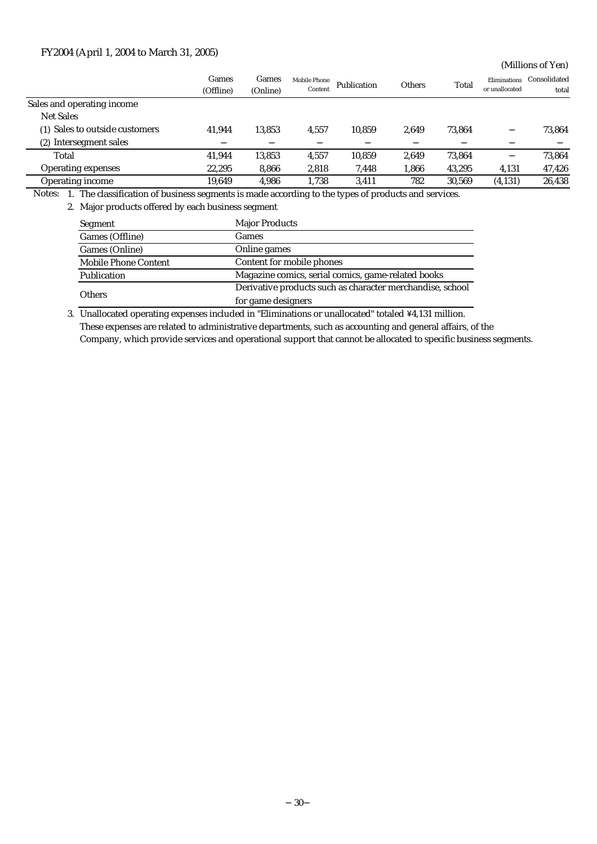# FY2004 (April 1, 2004 to March 31, 2005)

(Millions of Yen)

|                                | Games<br>(Offline) | Games<br>(Online) | Mobile Phone<br>Content | Publication | <b>Others</b> | Total  | <b>Eliminations</b><br>or unallocated | Consolidated<br>total |
|--------------------------------|--------------------|-------------------|-------------------------|-------------|---------------|--------|---------------------------------------|-----------------------|
| Sales and operating income     |                    |                   |                         |             |               |        |                                       |                       |
| <b>Net Sales</b>               |                    |                   |                         |             |               |        |                                       |                       |
| (1) Sales to outside customers | 41.944             | 13,853            | 4.557                   | 10.859      | 2.649         | 73.864 |                                       | 73,864                |
| (2) Intersegment sales         |                    |                   |                         |             |               |        |                                       |                       |
| Total                          | 41.944             | 13,853            | 4.557                   | 10,859      | 2.649         | 73.864 |                                       | 73,864                |
| <b>Operating expenses</b>      | 22,295             | 8,866             | 2,818                   | 7,448       | 1,866         | 43,295 | 4,131                                 | 47,426                |
| <b>Operating income</b>        | 19.649             | 4,986             | 1,738                   | 3,411       | 782           | 30,569 | (4, 131)                              | 26,438                |

1. The classification of business segments is made according to the types of products and services. Notes:

2. Major products offered by each business segment

| Segment                     | <b>Major Products</b>                                     |  |  |  |
|-----------------------------|-----------------------------------------------------------|--|--|--|
| Games (Offline)             | Games                                                     |  |  |  |
| Games (Online)              | Online games                                              |  |  |  |
| <b>Mobile Phone Content</b> | Content for mobile phones                                 |  |  |  |
| Publication                 | Magazine comics, serial comics, game-related books        |  |  |  |
|                             | Derivative products such as character merchandise, school |  |  |  |
| <b>Others</b>               | for game designers                                        |  |  |  |

3. Unallocated operating expenses included in "Eliminations or unallocated" totaled ¥4,131 million. These expenses are related to administrative departments, such as accounting and general affairs, of the Company, which provide services and operational support that cannot be allocated to specific business segments.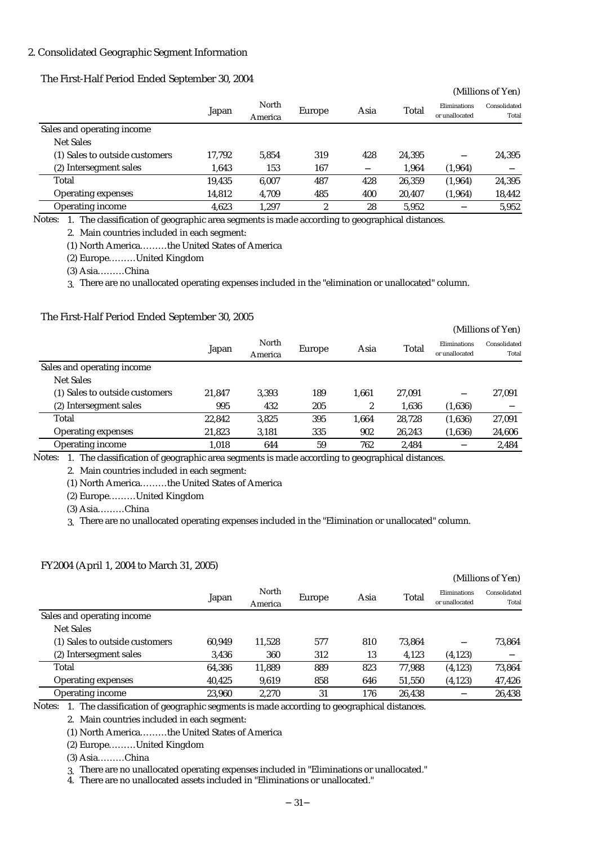### 2. Consolidated Geographic Segment Information

#### The First-Half Period Ended September 30, 2004

|                                |        |                  |        |      |        |                                | (Millions of Yen)     |
|--------------------------------|--------|------------------|--------|------|--------|--------------------------------|-----------------------|
|                                | Japan  | North<br>America | Europe | Asia | Total  | Eliminations<br>or unallocated | Consolidated<br>Total |
| Sales and operating income.    |        |                  |        |      |        |                                |                       |
| Net Sales                      |        |                  |        |      |        |                                |                       |
| (1) Sales to outside customers | 17.792 | 5.854            | 319    | 428  | 24.395 |                                | 24,395                |
| (2) Intersegment sales         | 1,643  | 153              | 167    |      | 1,964  | (1,964)                        |                       |
| Total                          | 19,435 | 6.007            | 487    | 428  | 26,359 | (1,964)                        | 24,395                |
| <b>Operating expenses</b>      | 14,812 | 4,709            | 485    | 400  | 20,407 | (1,964)                        | 18,442                |
| <b>Operating income</b>        | 4,623  | 1,297            | 2      | 28   | 5,952  |                                | 5,952                 |

1. The classification of geographic area segments is made according to geographical distances. Notes:

2. Main countries included in each segment:

(1) North America………the United States of America

(2) Europe………United Kingdom

(3) Asia………China

3. There are no unallocated operating expenses included in the "elimination or unallocated" column.

#### The First-Half Period Ended September 30, 2005

|                                |        |                  |        |       |        |                                | (Millions of Yen)     |
|--------------------------------|--------|------------------|--------|-------|--------|--------------------------------|-----------------------|
|                                | Japan  | North<br>America | Europe | Asia  | Total  | Eliminations<br>or unallocated | Consolidated<br>Total |
| Sales and operating income     |        |                  |        |       |        |                                |                       |
| Net Sales                      |        |                  |        |       |        |                                |                       |
| (1) Sales to outside customers | 21.847 | 3.393            | 189    | 1.661 | 27,091 |                                | 27,091                |
| (2) Intersegment sales         | 995    | 432              | 205    | 2     | 1,636  | (1,636)                        |                       |
| Total                          | 22,842 | 3,825            | 395    | 1.664 | 28.728 | (1,636)                        | 27,091                |
| <b>Operating expenses</b>      | 21,823 | 3,181            | 335    | 902   | 26,243 | (1,636)                        | 24,606                |
| <b>Operating income</b>        | 1,018  | 644              | 59     | 762   | 2,484  |                                | 2,484                 |

1. The classification of geographic area segments is made according to geographical distances. Notes:

2. Main countries included in each segment:

(1) North America………the United States of America

(2) Europe………United Kingdom

(3) Asia………China

3. There are no unallocated operating expenses included in the "Elimination or unallocated" column.

#### FY2004 (April 1, 2004 to March 31, 2005)

|                                |        |                  |        |      |        |                                | (Millions of Yen)     |
|--------------------------------|--------|------------------|--------|------|--------|--------------------------------|-----------------------|
|                                | Japan  | North<br>America | Europe | Asia | Total  | Eliminations<br>or unallocated | Consolidated<br>Total |
| Sales and operating income     |        |                  |        |      |        |                                |                       |
| <b>Net Sales</b>               |        |                  |        |      |        |                                |                       |
| (1) Sales to outside customers | 60.949 | 11.528           | 577    | 810  | 73.864 |                                | 73.864                |
| (2) Intersegment sales         | 3,436  | 360              | 312    | 13   | 4,123  | (4,123)                        |                       |
| Total                          | 64,386 | 11,889           | 889    | 823  | 77.988 | (4, 123)                       | 73,864                |
| <b>Operating expenses</b>      | 40,425 | 9,619            | 858    | 646  | 51,550 | (4,123)                        | 47,426                |
| <b>Operating income</b>        | 23.960 | 2.270            | 31     | 176  | 26,438 |                                | 26,438                |

Notes:  $\,$  1. The classification of geographic segments is made according to geographical distances.

2. Main countries included in each segment:

(1) North America………the United States of America

(2) Europe………United Kingdom

(3) Asia………China

3. There are no unallocated operating expenses included in "Eliminations or unallocated."

4. There are no unallocated assets included in "Eliminations or unallocated."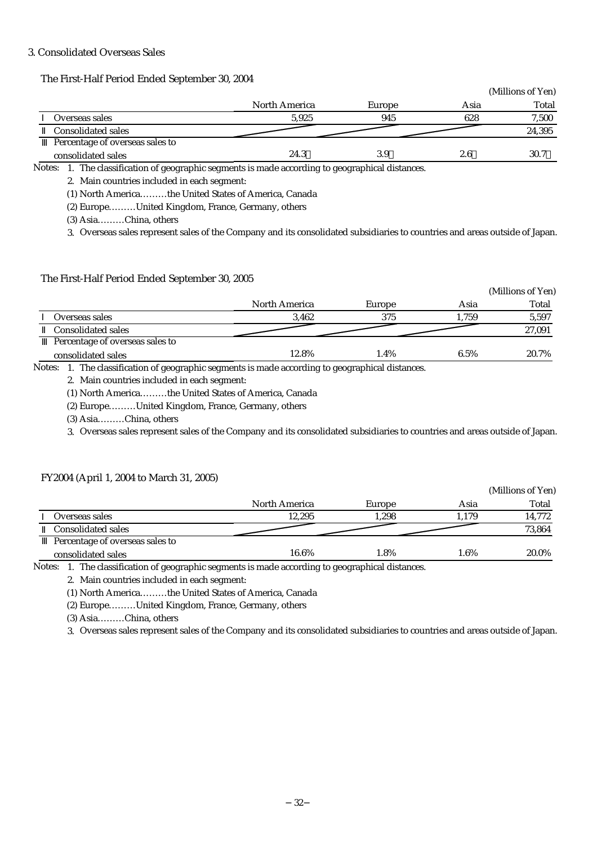### 3. Consolidated Overseas Sales

|                                                                                                  |               |        |      | (Millions of Yen) |
|--------------------------------------------------------------------------------------------------|---------------|--------|------|-------------------|
|                                                                                                  | North America | Europe | Asia | Total             |
| Overseas sales                                                                                   | 5.925         | 945    | 628  | 7,500             |
| <b>Consolidated sales</b>                                                                        |               |        |      | 24,395            |
| Percentage of overseas sales to                                                                  |               |        |      |                   |
| consolidated sales                                                                               | 24.3          | 3.9    | 2.6  | 30.7              |
| Notes:<br>The classification of geographic segments is made according to geographical distances. |               |        |      |                   |

2. Main countries included in each segment:

The First-Half Period Ended September 30, 2004

(1) North America………the United States of America, Canada

(2) Europe………United Kingdom, France, Germany, others

(3) Asia………China, others

3. Overseas sales represent sales of the Company and its consolidated subsidiaries to countries and areas outside of Japan.

#### The First-Half Period Ended September 30, 2005

|                                                                                                         |                                             |        |       | (Millions of Yen) |
|---------------------------------------------------------------------------------------------------------|---------------------------------------------|--------|-------|-------------------|
|                                                                                                         | North America                               | Europe | Asia  | Total             |
| Overseas sales                                                                                          | 3.462                                       | 375    | 1,759 | 5,597             |
| <b>Consolidated sales</b>                                                                               |                                             |        |       | 27,091            |
| Percentage of overseas sales to                                                                         |                                             |        |       |                   |
| consolidated sales                                                                                      | 12.8%                                       | 1.4%   | 6.5%  | 20.7%             |
| $\tau$ .<br>$\sim$ $\sim$ $\sim$ $\sim$ $\sim$ $\sim$<br>$\sim$ $\sim$ $\sim$<br>$\sim$<br>$\mathbf{r}$ | $\mathbf{u}$ . The contract of $\mathbf{v}$ | .      |       |                   |

Notes: 1. The classification of geographic segments is made according to geographical distances.

2. Main countries included in each segment:

(1) North America………the United States of America, Canada

(2) Europe………United Kingdom, France, Germany, others

(3) Asia………China, others

3. Overseas sales represent sales of the Company and its consolidated subsidiaries to countries and areas outside of Japan.

#### FY2004 (April 1, 2004 to March 31, 2005)

|                                 |               |        |         | (Millions of Yen) |
|---------------------------------|---------------|--------|---------|-------------------|
|                                 | North America | Europe | Asia    | Total             |
| Overseas sales                  | 12.295        | 1.298  | 1.179   | 14,772            |
| <b>Consolidated sales</b>       |               |        |         | 73,864            |
| Percentage of overseas sales to |               |        |         |                   |
| consolidated sales              | 16.6%         | 1.8%   | $1.6\%$ | 20.0%             |

Notes: 1. The classification of geographic segments is made according to geographical distances.

2. Main countries included in each segment:

(1) North America………the United States of America, Canada

(2) Europe………United Kingdom, France, Germany, others

(3) Asia………China, others

3. Overseas sales represent sales of the Company and its consolidated subsidiaries to countries and areas outside of Japan.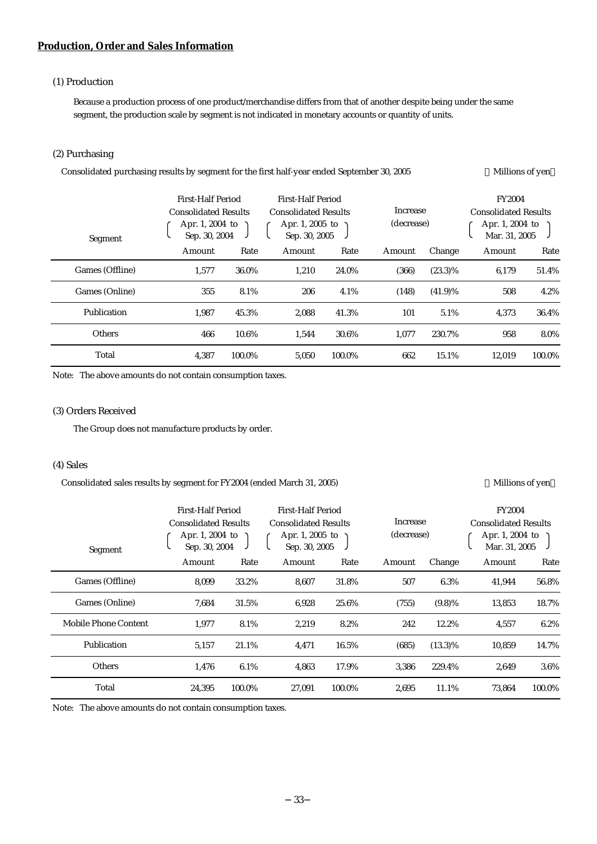# **Production, Order and Sales Information**

# (1) Production

Because a production process of one product/merchandise differs from that of another despite being under the same segment, the production scale by segment is not indicated in monetary accounts or quantity of units.

#### (2) Purchasing

| Consolidated purchasing results by segment for the first half-year ended September 30, 2005 |                                                                                      |        |                                                                                      |        |          |            |        | Millions of yen |            |  |                                                                                  |  |
|---------------------------------------------------------------------------------------------|--------------------------------------------------------------------------------------|--------|--------------------------------------------------------------------------------------|--------|----------|------------|--------|-----------------|------------|--|----------------------------------------------------------------------------------|--|
| Segment                                                                                     | First-Half Period<br><b>Consolidated Results</b><br>Apr. 1, 2004 to<br>Sep. 30, 2004 |        | First-Half Period<br><b>Consolidated Results</b><br>Apr. 1, 2005 to<br>Sep. 30, 2005 |        | Increase |            |        |                 | (decrease) |  | <b>FY2004</b><br><b>Consolidated Results</b><br>Apr. 1, 2004 to<br>Mar. 31, 2005 |  |
|                                                                                             | Amount                                                                               | Rate   | Amount                                                                               | Rate   | Amount   | Change     | Amount | Rate            |            |  |                                                                                  |  |
| Games (Offline)                                                                             | 1.577                                                                                | 36.0%  | 1,210                                                                                | 24.0%  | (366)    | $(23.3)\%$ | 6,179  | 51.4%           |            |  |                                                                                  |  |
| Games (Online)                                                                              | 355                                                                                  | 8.1%   | 206                                                                                  | 4.1%   | (148)    | $(41.9)\%$ | 508    | 4.2%            |            |  |                                                                                  |  |
| Publication                                                                                 | 1,987                                                                                | 45.3%  | 2,088                                                                                | 41.3%  | 101      | 5.1%       | 4,373  | 36.4%           |            |  |                                                                                  |  |
| <b>Others</b>                                                                               | 466                                                                                  | 10.6%  | 1,544                                                                                | 30.6%  | 1,077    | 230.7%     | 958    | 8.0%            |            |  |                                                                                  |  |
| Total                                                                                       | 4,387                                                                                | 100.0% | 5,050                                                                                | 100.0% | 662      | 15.1%      | 12,019 | 100.0%          |            |  |                                                                                  |  |

Note: The above amounts do not contain consumption taxes.

### (3) Orders Received

The Group does not manufacture products by order.

#### (4) Sales

Consolidated sales results by segment for FY2004 (ended March 31, 2005) Millions of yen

| Segment              | <b>First-Half Period</b><br><b>Consolidated Results</b><br>Apr. 1, 2004 to<br>Sep. 30, 2004 |        | First-Half Period<br><b>Consolidated Results</b><br>Apr. 1, 2005 to<br>Sep. 30, 2005 |        | Increase<br>(decrease) |            | <b>FY2004</b><br><b>Consolidated Results</b><br>Apr. 1, 2004 to<br>Mar. 31, 2005 |        |
|----------------------|---------------------------------------------------------------------------------------------|--------|--------------------------------------------------------------------------------------|--------|------------------------|------------|----------------------------------------------------------------------------------|--------|
|                      | Amount                                                                                      | Rate   | Amount                                                                               | Rate   | Amount                 | Change     | Amount                                                                           | Rate   |
| Games (Offline)      | 8.099                                                                                       | 33.2%  | 8.607                                                                                | 31.8%  | 507                    | 6.3%       | 41,944                                                                           | 56.8%  |
| Games (Online)       | 7,684                                                                                       | 31.5%  | 6,928                                                                                | 25.6%  | (755)                  | $(9.8)\%$  | 13,853                                                                           | 18.7%  |
| Mobile Phone Content | 1.977                                                                                       | 8.1%   | 2,219                                                                                | 8.2%   | 242                    | 12.2%      | 4.557                                                                            | 6.2%   |
| Publication          | 5,157                                                                                       | 21.1%  | 4,471                                                                                | 16.5%  | (685)                  | $(13.3)\%$ | 10,859                                                                           | 14.7%  |
| <b>Others</b>        | 1.476                                                                                       | 6.1%   | 4.863                                                                                | 17.9%  | 3.386                  | 229.4%     | 2.649                                                                            | 3.6%   |
| Total                | 24,395                                                                                      | 100.0% | 27,091                                                                               | 100.0% | 2,695                  | 11.1%      | 73,864                                                                           | 100.0% |

Note: The above amounts do not contain consumption taxes.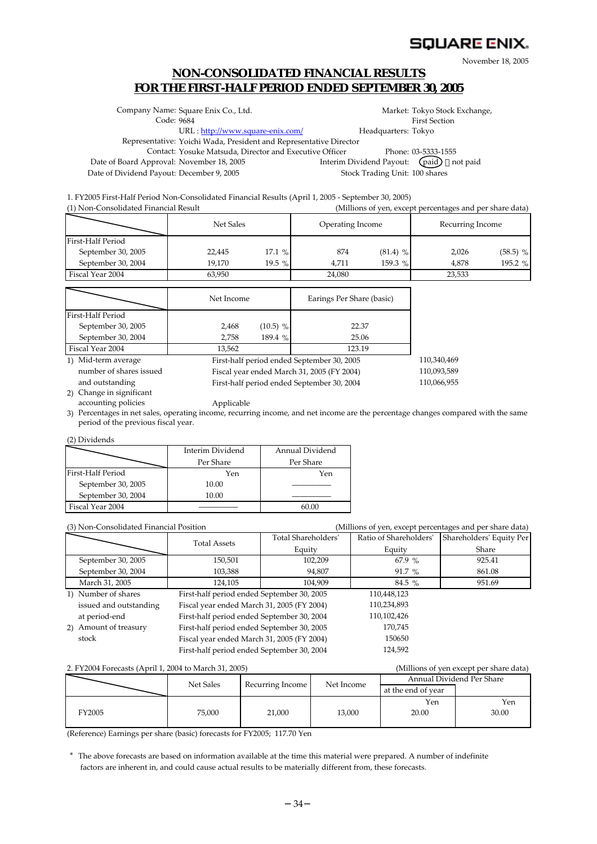# **SQUARE ENIX.**

110,066,955

November 18, 2005

# **NON-CONSOLIDATED FINANCIAL RESULTS FOR THE FIRST-HALF PERIOD ENDED SEPTEMBER 30, 2005**

|                                           | Company Name: Square Enix Co., Ltd.                                |                                 | Market: Tokyo Stock Exchange, |
|-------------------------------------------|--------------------------------------------------------------------|---------------------------------|-------------------------------|
| Code: 9684                                |                                                                    |                                 | <b>First Section</b>          |
|                                           | URL: http://www.square-enix.com/                                   | Headquarters: Tokyo             |                               |
|                                           | Representative: Yoichi Wada, President and Representative Director |                                 |                               |
|                                           | Contact: Yosuke Matsuda, Director and Executive Officer            |                                 | Phone: 03-5333-1555           |
| Date of Board Approval: November 18, 2005 |                                                                    | Interim Dividend Payout: (paid) | not paid                      |
| Date of Dividend Payout: December 9, 2005 |                                                                    | Stock Trading Unit: 100 shares  |                               |
|                                           |                                                                    |                                 |                               |

1. FY2005 First-Half Period Non-Consolidated Financial Results (April 1, 2005 - September 30, 2005) (1) Non-Consolidated Financial Result (Millions of yen, except percentages and per share data)

|                    | Net Sales |          | Operating Income |            | Recurring Income |            |  |
|--------------------|-----------|----------|------------------|------------|------------------|------------|--|
| First-Half Period  |           |          |                  |            |                  |            |  |
| September 30, 2005 | 22,445    | 17.1%    | 874              | $(81.4)$ % | 2,026            | $(58.5)$ % |  |
| September 30, 2004 | 19.170    | $19.5\%$ | 4.711            | 159.3 %    | 4.878            | 195.2 %    |  |
| Fiscal Year 2004   | 63,950    |          | 24,080           |            | 23,533           |            |  |

|                         | Net Income |            | Earings Per Share (basic)                  |             |
|-------------------------|------------|------------|--------------------------------------------|-------------|
| First-Half Period       |            |            |                                            |             |
| September 30, 2005      | 2,468      | $(10.5)$ % | 22.37                                      |             |
| September 30, 2004      | 2,758      | 189.4 %    | 25.06                                      |             |
| Fiscal Year 2004        | 13.562     |            | 123.19                                     |             |
| 1) Mid-term average     |            |            | First-half period ended September 30, 2005 | 110,340,469 |
| number of shares issued |            |            | Fiscal year ended March 31, 2005 (FY 2004) | 110,093,589 |

and outstanding

Fiscal year ended March 31, 2005 (FY 2004) First-half period ended September 30, 2004

2) Change in significant accounting policies

Applicable 3) Percentages in net sales, operating income, recurring income, and net income are the percentage changes compared with the same period of the previous fiscal year.

#### (2) Dividends

|                    | Interim Dividend | Annual Dividend |
|--------------------|------------------|-----------------|
|                    | Per Share        | Per Share       |
| First-Half Period  | Yen              | Yen             |
| September 30, 2005 | 10.00            |                 |
| September 30, 2004 | 10.00            |                 |
| Fiscal Year 2004   |                  |                 |

| (3) Non-Consolidated Financial Position |                                            |                     |                        | (Millions of yen, except percentages and per share data) |
|-----------------------------------------|--------------------------------------------|---------------------|------------------------|----------------------------------------------------------|
|                                         | <b>Total Assets</b>                        | Total Shareholders' | Ratio of Shareholders' | Shareholders' Equity Per                                 |
|                                         |                                            | Equity              | Equity                 | Share                                                    |
| September 30, 2005                      | 150,501                                    | 102,209             | 67.9%                  | 925.41                                                   |
| September 30, 2004                      | 103,388                                    | 94,807              | $91.7 \%$              | 861.08                                                   |
| March 31, 2005                          | 124,105                                    | 104.909             | $84.5\%$               | 951.69                                                   |
| 1) Number of shares                     | First-half period ended September 30, 2005 |                     | 110,448,123            |                                                          |
| issued and outstanding                  | Fiscal year ended March 31, 2005 (FY 2004) |                     | 110,234,893            |                                                          |
| at period-end                           | First-half period ended September 30, 2004 |                     | 110,102,426            |                                                          |
| 2) Amount of treasury                   | First-half period ended September 30, 2005 |                     | 170.745                |                                                          |
| stock                                   | Fiscal year ended March 31, 2005 (FY 2004) |                     | 150650                 |                                                          |
|                                         | First-half period ended September 30, 2004 |                     | 124,592                |                                                          |

#### 2. FY2004 Forecasts (April 1, 2004 to March 31, 2005) (Millions of yen except per share data)

|        | Net Sales | Recurring Income | Net Income | Annual Dividend Per Share |              |  |
|--------|-----------|------------------|------------|---------------------------|--------------|--|
|        |           |                  |            | at the end of year        |              |  |
| FY2005 | 75,000    | 21,000           | 13,000     | Yen<br>20.00              | Yen<br>30.00 |  |

(Reference) Earnings per share (basic) forecasts for FY2005; 117.70 Yen

\* The above forecasts are based on information available at the time this material were prepared. A number of indefinite factors are inherent in, and could cause actual results to be materially different from, these forecasts.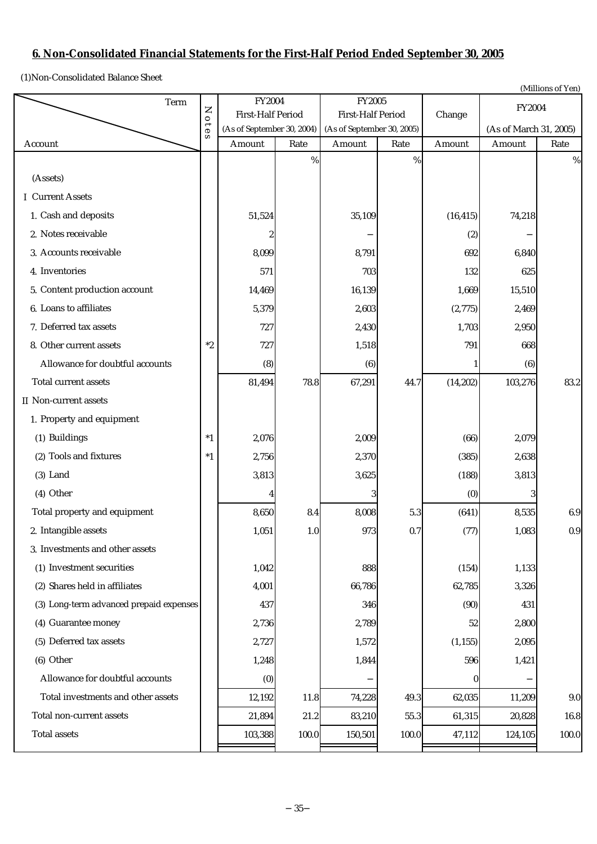# **6. Non-Consolidated Financial Statements for the First-Half Period Ended September 30, 2005**

(1)Non-Consolidated Balance Sheet

|                                         |             |                                    |                            |                                    |                            |           |                        | (Millions of Yen) |
|-----------------------------------------|-------------|------------------------------------|----------------------------|------------------------------------|----------------------------|-----------|------------------------|-------------------|
| Term                                    | $\mathsf Z$ | FY2004<br><b>First-Half Period</b> |                            | FY2005<br><b>First-Half Period</b> |                            |           | FY2004                 |                   |
|                                         | 010         |                                    | (As of September 30, 2004) |                                    | (As of September 30, 2005) | Change    | (As of March 31, 2005) |                   |
| Account                                 | S           | Amount                             | Rate                       | Amount                             | Rate                       | Amount    | Amount                 | Rate              |
|                                         |             |                                    | $\%$                       |                                    | $\%$                       |           |                        | $\%$              |
| (Assets)                                |             |                                    |                            |                                    |                            |           |                        |                   |
| <b>I</b> Current Assets                 |             |                                    |                            |                                    |                            |           |                        |                   |
| 1. Cash and deposits                    |             | 51,524                             |                            | 35,109                             |                            | (16, 415) | 74,218                 |                   |
| 2. Notes receivable                     |             | 2                                  |                            |                                    |                            | (2)       |                        |                   |
| 3. Accounts receivable                  |             | 8,099                              |                            | 8,791                              |                            | 692       | 6,840                  |                   |
| 4. Inventories                          |             | 571                                |                            | 703                                |                            | 132       | 625                    |                   |
| 5. Content production account           |             | 14,469                             |                            | 16,139                             |                            | 1,669     | 15,510                 |                   |
| 6. Loans to affiliates                  |             | 5,379                              |                            | 2,603                              |                            | (2,775)   | 2,469                  |                   |
| 7. Deferred tax assets                  |             | 727                                |                            | 2,430                              |                            | 1,703     | 2,950                  |                   |
| 8. Other current assets                 | $^\ast 2$   | 727                                |                            | 1,518                              |                            | 791       | 668                    |                   |
| Allowance for doubtful accounts         |             | (8)                                |                            | (6)                                |                            |           | (6)                    |                   |
| Total current assets                    |             | 81,494                             | 78.8                       | 67,291                             | 44.7                       | (14, 202) | 103,276                | 83.2              |
| II Non-current assets                   |             |                                    |                            |                                    |                            |           |                        |                   |
| 1. Property and equipment               |             |                                    |                            |                                    |                            |           |                        |                   |
| (1) Buildings                           | $*1$        | 2,076                              |                            | 2,009                              |                            | (66)      | 2,079                  |                   |
| (2) Tools and fixtures                  | $*1$        | 2,756                              |                            | 2,370                              |                            | (385)     | 2,638                  |                   |
| $(3)$ Land                              |             | 3,813                              |                            | 3,625                              |                            | (188)     | 3,813                  |                   |
| (4) Other                               |             |                                    |                            |                                    |                            | (0)       | 3                      |                   |
| Total property and equipment            |             | 8,650                              | 8.4                        | 8,008                              | 5.3                        | (641)     | 8,535                  | 6.9               |
| 2. Intangible assets                    |             | 1,051                              | 1.0                        | 973                                | 0.7                        | (77)      | 1,083                  | 0.9               |
| 3. Investments and other assets         |             |                                    |                            |                                    |                            |           |                        |                   |
| (1) Investment securities               |             | 1,042                              |                            | 888                                |                            | (154)     | 1,133                  |                   |
| (2) Shares held in affiliates           |             | 4,001                              |                            | 66,786                             |                            | 62,785    | 3,326                  |                   |
| (3) Long-term advanced prepaid expenses |             | 437                                |                            | 346                                |                            | (90)      | 431                    |                   |
| (4) Guarantee money                     |             | 2,736                              |                            | 2,789                              |                            | 52        | 2,800                  |                   |
| (5) Deferred tax assets                 |             | 2,727                              |                            | 1,572                              |                            | (1, 155)  | 2,095                  |                   |
| (6) Other                               |             | 1,248                              |                            | 1,844                              |                            | 596       | 1,421                  |                   |
| Allowance for doubtful accounts         |             | (0)                                |                            |                                    |                            | $\bf{0}$  |                        |                   |
| Total investments and other assets      |             | 12,192                             | 11.8                       | 74,228                             | 49.3                       | 62,035    | 11,209                 | 9.0               |
| Total non-current assets                |             | 21,894                             | 21.2                       | 83,210                             | $55.3\,$                   | 61,315    | 20,828                 | 16.8              |
| <b>Total assets</b>                     |             | 103,388                            | 100.0                      | 150,501                            | 100.0                      | 47,112    | 124,105                | 100.0             |
|                                         |             |                                    |                            |                                    |                            |           |                        |                   |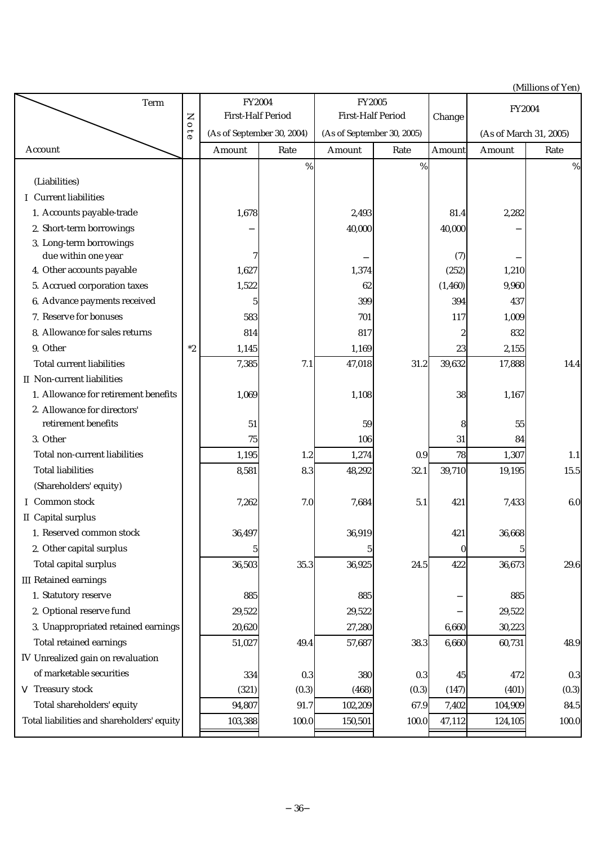(Millions of Yen)

| Term                                           |           | <b>FY2004</b>              |                          | FY2005                     |                          | <b>FY2004</b>          |         |         |
|------------------------------------------------|-----------|----------------------------|--------------------------|----------------------------|--------------------------|------------------------|---------|---------|
|                                                |           |                            | <b>First-Half Period</b> |                            | <b>First-Half Period</b> |                        |         |         |
|                                                | Note      | (As of September 30, 2004) |                          | (As of September 30, 2005) |                          | (As of March 31, 2005) |         |         |
| Account                                        |           | Amount                     | Rate                     | Amount                     | Rate                     | Amount                 | Amount  | Rate    |
|                                                |           |                            | $\%$                     |                            | $\%$                     |                        |         | %       |
| (Liabilities)                                  |           |                            |                          |                            |                          |                        |         |         |
| I Current liabilities                          |           |                            |                          |                            |                          |                        |         |         |
| 1. Accounts payable-trade                      |           | 1,678                      |                          | 2,493                      |                          | 81.4                   | 2,282   |         |
| 2. Short-term borrowings                       |           |                            |                          | 40,000                     |                          | 40,000                 |         |         |
| 3. Long-term borrowings<br>due within one year |           | 7                          |                          |                            |                          | (7)                    |         |         |
| 4. Other accounts payable                      |           | 1,627                      |                          | 1,374                      |                          | (252)                  | 1,210   |         |
| 5. Accrued corporation taxes                   |           | 1,522                      |                          | 62                         |                          | (1, 460)               | 9,960   |         |
| 6. Advance payments received                   |           | 5                          |                          | 399                        |                          | 394                    | 437     |         |
| 7. Reserve for bonuses                         |           | 583                        |                          | 701                        |                          | 117                    | 1,009   |         |
| 8. Allowance for sales returns                 |           | 814                        |                          | 817                        |                          | $\boldsymbol{2}$       | 832     |         |
| 9. Other                                       | $^\ast 2$ | 1,145                      |                          | 1,169                      |                          | 23                     | 2,155   |         |
| <b>Total current liabilities</b>               |           | 7,385                      | 7.1                      | 47,018                     | 31.2                     | 39,632                 | 17,888  | 14.4    |
| II Non-current liabilities                     |           |                            |                          |                            |                          |                        |         |         |
| 1. Allowance for retirement benefits           |           | 1,069                      |                          | 1,108                      |                          | 38                     | 1,167   |         |
| 2. Allowance for directors'                    |           |                            |                          |                            |                          |                        |         |         |
| retirement benefits                            |           | 51                         |                          | 59                         |                          | 8                      | 55      |         |
| 3. Other                                       |           | 75                         |                          | 106                        |                          | 31                     | 84      |         |
| Total non-current liabilities                  |           | 1,195                      | 1.2                      | 1,274                      | 0.9                      | 78                     | 1,307   | 1.1     |
| <b>Total liabilities</b>                       |           | 8,581                      | 8.3                      | 48,292                     | 32.1                     | 39,710                 | 19,195  | 15.5    |
| (Shareholders' equity)                         |           |                            |                          |                            |                          |                        |         |         |
| I Common stock                                 |           | 7,262                      | 7.0                      | 7,684                      | 5.1                      | 421                    | 7,433   | 6.0     |
| II Capital surplus                             |           |                            |                          |                            |                          |                        |         |         |
| 1. Reserved common stock                       |           | 36,497                     |                          | 36,919                     |                          | 421                    | 36,668  |         |
| 2. Other capital surplus                       |           | 5                          |                          | 5                          |                          | 0                      |         |         |
| Total capital surplus                          |           | 36,503                     | 35.3                     | 36,925                     | 24.5                     | 422                    | 36,673  | 29.6    |
| <b>III</b> Retained earnings                   |           |                            |                          |                            |                          |                        |         |         |
| 1. Statutory reserve                           |           | 885                        |                          | 885                        |                          |                        | 885     |         |
| 2. Optional reserve fund                       |           | 29,522                     |                          | 29,522                     |                          |                        | 29,522  |         |
| 3. Unappropriated retained earnings            |           | 20,620                     |                          | 27,280                     |                          | 6,660                  | 30,223  |         |
| Total retained earnings                        |           | 51,027                     | 49.4                     | 57,687                     | 38.3                     | 6,660                  | 60,731  | 48.9    |
| IV Unrealized gain on revaluation              |           |                            |                          |                            |                          |                        |         |         |
| of marketable securities                       |           | 334                        | 0.3                      | 380                        | 0.3                      | 45                     | 472     | $0.3\,$ |
| Treasury stock                                 |           | (321)                      | (0.3)                    | (468)                      | (0.3)                    | (147)                  | (401)   | (0.3)   |
| Total shareholders' equity                     |           | 94,807                     | 91.7                     | 102,209                    | 67.9                     | 7,402                  | 104,909 | 84.5    |
| Total liabilities and shareholders' equity     |           | 103,388                    | 100.0                    | 150,501                    | 100.0                    | 47,112                 | 124,105 | 100.0   |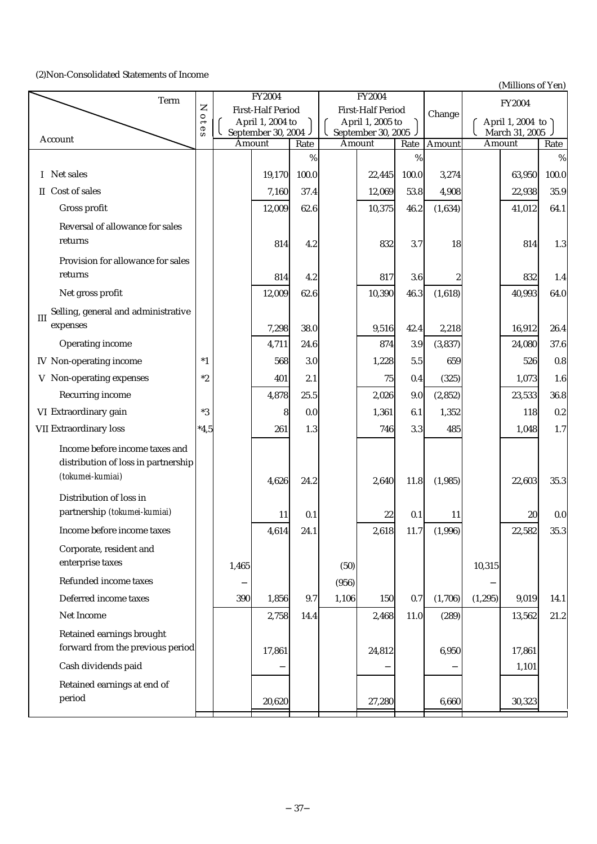# (2)Non-Consolidated Statements of Income

| Term                                       |                          |        | FY2004                                 |       |       | <b>FY2004</b>                           |       |          |          | $\mu$ , and $\mu$ or $\mu$ or $\mu$<br>FY2004 |                  |
|--------------------------------------------|--------------------------|--------|----------------------------------------|-------|-------|-----------------------------------------|-------|----------|----------|-----------------------------------------------|------------------|
|                                            | Z<br>$\circ$             |        | <b>First-Half Period</b>               |       |       | <b>First-Half Period</b>                |       | Change   |          |                                               |                  |
|                                            | $\overline{\theta}$<br>S |        | April 1, 2004 to<br>September 30, 2004 |       |       | April 1, 2005 to<br>September 30, 2005. |       |          |          | April 1, 2004 to<br>March 31, 2005            |                  |
| Account                                    |                          | Amount |                                        | Rate  |       | Amount                                  | Rate  | Amount   |          | Amount                                        | Rate             |
|                                            |                          |        |                                        | $\%$  |       |                                         | $\%$  |          |          |                                               | $\%$             |
| I Net sales                                |                          |        | 19,170                                 | 100.0 |       | 22,445                                  | 100.0 | 3,274    |          | 63,950                                        | 100.0            |
| II Cost of sales                           |                          |        | 7,160                                  | 37.4  |       | 12,069                                  | 53.8  | 4,908    |          | 22,938                                        | 35.9             |
| Gross profit                               |                          |        | 12,009                                 | 62.6  |       | 10,375                                  | 46.2  | (1,634)  |          | 41,012                                        | 64.1             |
| Reversal of allowance for sales            |                          |        |                                        |       |       |                                         |       |          |          |                                               |                  |
| returns                                    |                          |        | 814                                    | 4.2   |       | 832                                     | 3.7   | 18       |          | 814                                           | 1.3              |
| Provision for allowance for sales          |                          |        |                                        |       |       |                                         |       |          |          |                                               |                  |
| returns                                    |                          |        | 814                                    | 4.2   |       | 817                                     | 3.6   |          |          | 832                                           | 1.4              |
| Net gross profit                           |                          |        | 12,009                                 | 62.6  |       | 10,390                                  | 46.3  | (1,618)  |          | 40,993                                        | 64.0             |
| Selling, general and administrative<br>III |                          |        |                                        |       |       |                                         |       |          |          |                                               |                  |
| expenses                                   |                          |        | 7,298                                  | 38.0  |       | 9,516                                   | 42.4  | 2,218    |          | 16,912                                        | 26.4             |
| Operating income                           |                          |        | 4,711                                  | 24.6  |       | 874                                     | 3.9   | (3,837)  |          | 24,080                                        | 37.6             |
| <b>IV</b> Non-operating income             | $*1$                     |        | 568                                    | 3.0   |       | 1,228                                   | 5.5   | 659      |          | 526                                           | $0.8\,$          |
| V Non-operating expenses                   | $*2$                     |        | 401                                    | 2.1   |       | 75                                      | 0.4   | (325)    |          | 1,073                                         | $1.6\phantom{0}$ |
| Recurring income                           |                          |        | 4,878                                  | 25.5  |       | 2,026                                   | 9.0   | (2, 852) |          | 23,533                                        | 36.8             |
| VI Extraordinary gain                      | $*3$                     |        | 8                                      | 0.0   |       | 1,361                                   | 6.1   | 1,352    |          | 118                                           | 0.2              |
| VII Extraordinary loss                     | $*4,5$                   |        | 261                                    | 1.3   |       | 746                                     | 3.3   | 485      |          | 1,048                                         | 1.7              |
| Income before income taxes and             |                          |        |                                        |       |       |                                         |       |          |          |                                               |                  |
| distribution of loss in partnership        |                          |        |                                        |       |       |                                         |       |          |          |                                               |                  |
| (tokumei-kumiai)                           |                          |        | 4,626                                  | 24.2  |       | 2,640                                   | 11.8  | (1,985)  |          | 22,603                                        | 35.3             |
| Distribution of loss in                    |                          |        |                                        |       |       |                                         |       |          |          |                                               |                  |
| partnership (tokumei-kumiai)               |                          |        | 11                                     | 0.1   |       | 22                                      | 0.1   | 11       |          | 20                                            | 0.0              |
| Income before income taxes                 |                          |        | 4,614                                  | 24.1  |       | 2,618                                   | 11.7  | (1,996)  |          | 22,582                                        | 35.3             |
| Corporate, resident and                    |                          |        |                                        |       |       |                                         |       |          |          |                                               |                  |
| enterprise taxes                           |                          | 1,465  |                                        |       | (50)  |                                         |       |          | 10,315   |                                               |                  |
| Refunded income taxes                      |                          |        |                                        |       | (956) |                                         |       |          |          |                                               |                  |
| Deferred income taxes                      |                          | 390    | 1,856                                  | 9.7   | 1,106 | 150                                     | 0.7   | (1,706)  | (1, 295) | 9,019                                         | 14.1             |
| Net Income                                 |                          |        | 2,758                                  | 14.4  |       | 2,468                                   | 11.0  | (289)    |          | 13,562                                        | 21.2             |
| Retained earnings brought                  |                          |        |                                        |       |       |                                         |       |          |          |                                               |                  |
| forward from the previous period           |                          |        | 17,861                                 |       |       | 24,812                                  |       | 6,950    |          | 17,861                                        |                  |
| Cash dividends paid                        |                          |        |                                        |       |       |                                         |       |          |          | 1,101                                         |                  |
| Retained earnings at end of                |                          |        |                                        |       |       |                                         |       |          |          |                                               |                  |
| period                                     |                          |        | 20,620                                 |       |       | 27,280                                  |       | 6,660    |          | 30,323                                        |                  |
|                                            |                          |        |                                        |       |       |                                         |       |          |          |                                               |                  |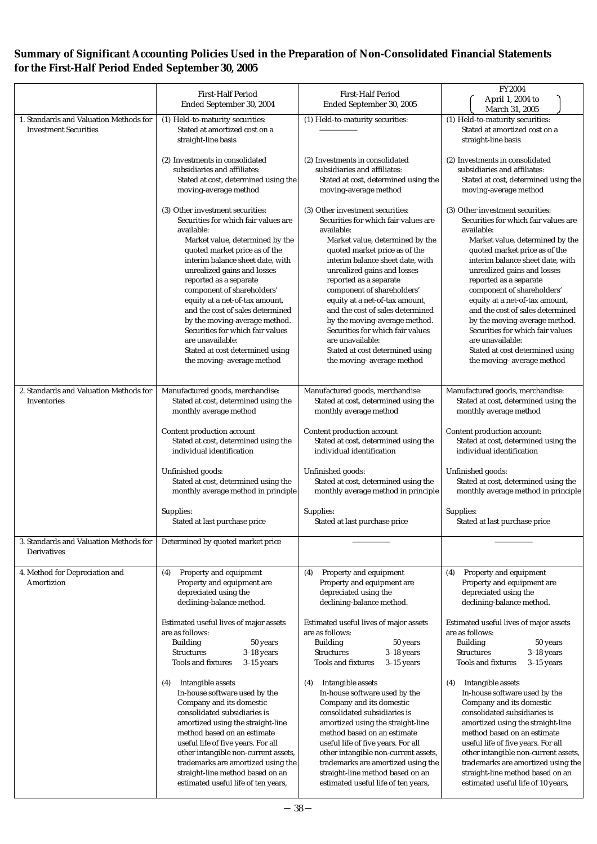# **Summary of Significant Accounting Policies Used in the Preparation of Non-Consolidated Financial Statements for the First-Half Period Ended September 30, 2005**

|                                                                        | <b>First-Half Period</b>                                                                                                                                                                                                                                                                                                                                                                                                                                                                                             | <b>First-Half Period</b>                                                                                                                                                                                                                                                                                                                                                                                                                                                                                             | FY2004                                                                                                                                                                                                                                                                                                                                                                                                                                                                                                               |  |  |  |
|------------------------------------------------------------------------|----------------------------------------------------------------------------------------------------------------------------------------------------------------------------------------------------------------------------------------------------------------------------------------------------------------------------------------------------------------------------------------------------------------------------------------------------------------------------------------------------------------------|----------------------------------------------------------------------------------------------------------------------------------------------------------------------------------------------------------------------------------------------------------------------------------------------------------------------------------------------------------------------------------------------------------------------------------------------------------------------------------------------------------------------|----------------------------------------------------------------------------------------------------------------------------------------------------------------------------------------------------------------------------------------------------------------------------------------------------------------------------------------------------------------------------------------------------------------------------------------------------------------------------------------------------------------------|--|--|--|
|                                                                        | Ended September 30, 2004                                                                                                                                                                                                                                                                                                                                                                                                                                                                                             | Ended September 30, 2005                                                                                                                                                                                                                                                                                                                                                                                                                                                                                             | April 1, 2004 to<br>March 31, 2005                                                                                                                                                                                                                                                                                                                                                                                                                                                                                   |  |  |  |
| 1. Standards and Valuation Methods for<br><b>Investment Securities</b> | (1) Held-to-maturity securities:<br>Stated at amortized cost on a<br>straight-line basis                                                                                                                                                                                                                                                                                                                                                                                                                             | (1) Held-to-maturity securities:                                                                                                                                                                                                                                                                                                                                                                                                                                                                                     | (1) Held-to-maturity securities:<br>Stated at amortized cost on a<br>straight-line basis                                                                                                                                                                                                                                                                                                                                                                                                                             |  |  |  |
|                                                                        | (2) Investments in consolidated<br>subsidiaries and affiliates:<br>Stated at cost, determined using the<br>moving-average method                                                                                                                                                                                                                                                                                                                                                                                     | (2) Investments in consolidated<br>subsidiaries and affiliates:<br>Stated at cost, determined using the<br>moving-average method                                                                                                                                                                                                                                                                                                                                                                                     | (2) Investments in consolidated<br>subsidiaries and affiliates:<br>Stated at cost, determined using the<br>moving-average method                                                                                                                                                                                                                                                                                                                                                                                     |  |  |  |
|                                                                        | (3) Other investment securities:<br>Securities for which fair values are<br>available:<br>Market value, determined by the<br>quoted market price as of the<br>interim balance sheet date, with<br>unrealized gains and losses<br>reported as a separate<br>component of shareholders'<br>equity at a net-of-tax amount,<br>and the cost of sales determined<br>by the moving-average method.<br>Securities for which fair values<br>are unavailable:<br>Stated at cost determined using<br>the moving-average method | (3) Other investment securities:<br>Securities for which fair values are<br>available:<br>Market value, determined by the<br>quoted market price as of the<br>interim balance sheet date, with<br>unrealized gains and losses<br>reported as a separate<br>component of shareholders'<br>equity at a net-of-tax amount,<br>and the cost of sales determined<br>by the moving-average method.<br>Securities for which fair values<br>are unavailable:<br>Stated at cost determined using<br>the moving-average method | (3) Other investment securities:<br>Securities for which fair values are<br>available:<br>Market value, determined by the<br>quoted market price as of the<br>interim balance sheet date, with<br>unrealized gains and losses<br>reported as a separate<br>component of shareholders'<br>equity at a net-of-tax amount,<br>and the cost of sales determined<br>by the moving-average method.<br>Securities for which fair values<br>are unavailable:<br>Stated at cost determined using<br>the moving-average method |  |  |  |
| 2. Standards and Valuation Methods for<br>Inventories                  | Manufactured goods, merchandise:<br>Stated at cost, determined using the<br>monthly average method<br>Content production account<br>Stated at cost, determined using the                                                                                                                                                                                                                                                                                                                                             | Manufactured goods, merchandise:<br>Stated at cost, determined using the<br>monthly average method<br>Content production account<br>Stated at cost, determined using the                                                                                                                                                                                                                                                                                                                                             | Manufactured goods, merchandise:<br>Stated at cost, determined using the<br>monthly average method<br>Content production account:<br>Stated at cost, determined using the                                                                                                                                                                                                                                                                                                                                            |  |  |  |
|                                                                        | individual identification<br>Unfinished goods:<br>Stated at cost, determined using the<br>monthly average method in principle<br>Supplies:<br>Stated at last purchase price                                                                                                                                                                                                                                                                                                                                          | individual identification<br>Unfinished goods:<br>Stated at cost, determined using the<br>monthly average method in principle<br>Supplies:<br>Stated at last purchase price                                                                                                                                                                                                                                                                                                                                          | individual identification<br>Unfinished goods:<br>Stated at cost, determined using the<br>monthly average method in principle<br>Supplies:<br>Stated at last purchase price                                                                                                                                                                                                                                                                                                                                          |  |  |  |
| 3. Standards and Valuation Methods for<br>Derivatives                  | Determined by quoted market price                                                                                                                                                                                                                                                                                                                                                                                                                                                                                    |                                                                                                                                                                                                                                                                                                                                                                                                                                                                                                                      |                                                                                                                                                                                                                                                                                                                                                                                                                                                                                                                      |  |  |  |
| 4. Method for Depreciation and<br>Amortizion                           | Property and equipment<br>(4)<br>Property and equipment are<br>depreciated using the<br>declining-balance method.<br>Estimated useful lives of major assets                                                                                                                                                                                                                                                                                                                                                          | Property and equipment<br>(4)<br>Property and equipment are<br>depreciated using the<br>declining-balance method.<br>Estimated useful lives of major assets                                                                                                                                                                                                                                                                                                                                                          | Property and equipment<br>(4)<br>Property and equipment are<br>depreciated using the<br>declining-balance method.<br>Estimated useful lives of major assets                                                                                                                                                                                                                                                                                                                                                          |  |  |  |
|                                                                        | are as follows:<br><b>Building</b><br>50 years<br>$3-18$ years<br><b>Structures</b><br>$3-15$ years<br><b>Tools and fixtures</b>                                                                                                                                                                                                                                                                                                                                                                                     | are as follows:<br><b>Building</b><br>50 years<br>$3-18$ years<br><b>Structures</b><br>$3-15$ years<br><b>Tools and fixtures</b>                                                                                                                                                                                                                                                                                                                                                                                     | are as follows:<br>50 years<br><b>Building</b><br>$3-18$ years<br><b>Structures</b><br>$3-15$ years<br><b>Tools and fixtures</b>                                                                                                                                                                                                                                                                                                                                                                                     |  |  |  |
|                                                                        | Intangible assets<br>(4)<br>In-house software used by the<br>Company and its domestic<br>consolidated subsidiaries is<br>amortized using the straight-line<br>method based on an estimate<br>useful life of five years. For all<br>other intangible non-current assets,<br>trademarks are amortized using the<br>straight-line method based on an<br>estimated useful life of ten years,                                                                                                                             | Intangible assets<br>(4)<br>In-house software used by the<br>Company and its domestic<br>consolidated subsidiaries is<br>amortized using the straight-line<br>method based on an estimate<br>useful life of five years. For all<br>other intangible non-current assets,<br>trademarks are amortized using the<br>straight-line method based on an<br>estimated useful life of ten years,                                                                                                                             | Intangible assets<br>(4)<br>In-house software used by the<br>Company and its domestic<br>consolidated subsidiaries is<br>amortized using the straight-line<br>method based on an estimate<br>useful life of five years. For all<br>other intangible non-current assets,<br>trademarks are amortized using the<br>straight-line method based on an<br>estimated useful life of 10 years,                                                                                                                              |  |  |  |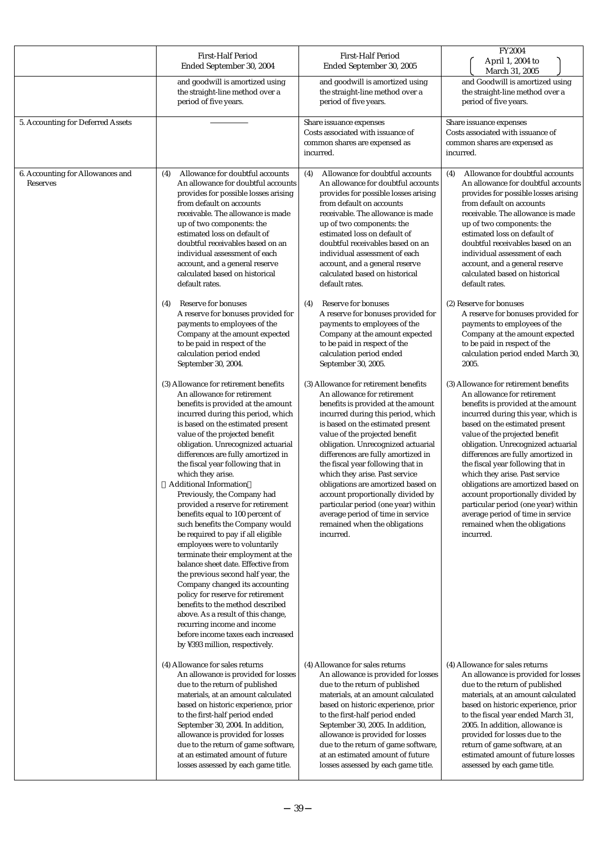|                                              | <b>First-Half Period</b><br>Ended September 30, 2004                                                                                                                                                                                                                                                                                                                                                                                                                                                                                                                                                                                                                                                                                                                                                                                                                                                                                                                                                                                                                                                                                                                                                                                                                                                                                                                                                                                                                                                                                                                                                                                | <b>First-Half Period</b><br>Ended September 30, 2005                                                                                                                                                                                                                                                                                                                                                                                                                                                                                                                                                                                                                                                                                                                                                                                                                                                                                                                                                                                                                                                                                                                                                                      | <b>FY2004</b><br>April 1, 2004 to<br>March 31, 2005                                                                                                                                                                                                                                                                                                                                                                                                                                                                                                                                                                                                                                                                                                                                                                                                                                                                                                                                                                                                                                                                                                                                                              |
|----------------------------------------------|-------------------------------------------------------------------------------------------------------------------------------------------------------------------------------------------------------------------------------------------------------------------------------------------------------------------------------------------------------------------------------------------------------------------------------------------------------------------------------------------------------------------------------------------------------------------------------------------------------------------------------------------------------------------------------------------------------------------------------------------------------------------------------------------------------------------------------------------------------------------------------------------------------------------------------------------------------------------------------------------------------------------------------------------------------------------------------------------------------------------------------------------------------------------------------------------------------------------------------------------------------------------------------------------------------------------------------------------------------------------------------------------------------------------------------------------------------------------------------------------------------------------------------------------------------------------------------------------------------------------------------------|---------------------------------------------------------------------------------------------------------------------------------------------------------------------------------------------------------------------------------------------------------------------------------------------------------------------------------------------------------------------------------------------------------------------------------------------------------------------------------------------------------------------------------------------------------------------------------------------------------------------------------------------------------------------------------------------------------------------------------------------------------------------------------------------------------------------------------------------------------------------------------------------------------------------------------------------------------------------------------------------------------------------------------------------------------------------------------------------------------------------------------------------------------------------------------------------------------------------------|------------------------------------------------------------------------------------------------------------------------------------------------------------------------------------------------------------------------------------------------------------------------------------------------------------------------------------------------------------------------------------------------------------------------------------------------------------------------------------------------------------------------------------------------------------------------------------------------------------------------------------------------------------------------------------------------------------------------------------------------------------------------------------------------------------------------------------------------------------------------------------------------------------------------------------------------------------------------------------------------------------------------------------------------------------------------------------------------------------------------------------------------------------------------------------------------------------------|
|                                              | and goodwill is amortized using<br>the straight-line method over a<br>period of five years.                                                                                                                                                                                                                                                                                                                                                                                                                                                                                                                                                                                                                                                                                                                                                                                                                                                                                                                                                                                                                                                                                                                                                                                                                                                                                                                                                                                                                                                                                                                                         | and goodwill is amortized using<br>the straight-line method over a<br>period of five years.                                                                                                                                                                                                                                                                                                                                                                                                                                                                                                                                                                                                                                                                                                                                                                                                                                                                                                                                                                                                                                                                                                                               | and Goodwill is amortized using<br>the straight-line method over a<br>period of five years.                                                                                                                                                                                                                                                                                                                                                                                                                                                                                                                                                                                                                                                                                                                                                                                                                                                                                                                                                                                                                                                                                                                      |
| 5. Accounting for Deferred Assets            |                                                                                                                                                                                                                                                                                                                                                                                                                                                                                                                                                                                                                                                                                                                                                                                                                                                                                                                                                                                                                                                                                                                                                                                                                                                                                                                                                                                                                                                                                                                                                                                                                                     | Share issuance expenses<br>Costs associated with issuance of<br>common shares are expensed as<br>incurred.                                                                                                                                                                                                                                                                                                                                                                                                                                                                                                                                                                                                                                                                                                                                                                                                                                                                                                                                                                                                                                                                                                                | Share issuance expenses<br>Costs associated with issuance of<br>common shares are expensed as<br>incurred.                                                                                                                                                                                                                                                                                                                                                                                                                                                                                                                                                                                                                                                                                                                                                                                                                                                                                                                                                                                                                                                                                                       |
| 6. Accounting for Allowances and<br>Reserves | Allowance for doubtful accounts<br>(4)<br>An allowance for doubtful accounts<br>provides for possible losses arising<br>from default on accounts<br>receivable. The allowance is made<br>up of two components: the<br>estimated loss on default of<br>doubtful receivables based on an<br>individual assessment of each<br>account, and a general reserve<br>calculated based on historical<br>default rates.<br>Reserve for bonuses<br>(4)<br>A reserve for bonuses provided for<br>payments to employees of the<br>Company at the amount expected<br>to be paid in respect of the<br>calculation period ended<br>September 30, 2004.<br>(3) Allowance for retirement benefits<br>An allowance for retirement<br>benefits is provided at the amount<br>incurred during this period, which<br>is based on the estimated present<br>value of the projected benefit<br>obligation. Unrecognized actuarial<br>differences are fully amortized in<br>the fiscal year following that in<br>which they arise.<br><b>Additional Information</b><br>Previously, the Company had<br>provided a reserve for retirement<br>benefits equal to 100 percent of<br>such benefits the Company would<br>be required to pay if all eligible<br>employees were to voluntarily<br>terminate their employment at the<br>balance sheet date. Effective from<br>the previous second half year, the<br>Company changed its accounting<br>policy for reserve for retirement<br>benefits to the method described<br>above. As a result of this change,<br>recurring income and income<br>before income taxes each increased<br>by ¥393 million, respectively. | (4)<br>Allowance for doubtful accounts<br>An allowance for doubtful accounts<br>provides for possible losses arising<br>from default on accounts<br>receivable. The allowance is made<br>up of two components: the<br>estimated loss on default of<br>doubtful receivables based on an<br>individual assessment of each<br>account, and a general reserve<br>calculated based on historical<br>default rates.<br>Reserve for bonuses<br>(4)<br>A reserve for bonuses provided for<br>payments to employees of the<br>Company at the amount expected<br>to be paid in respect of the<br>calculation period ended<br>September 30, 2005.<br>(3) Allowance for retirement benefits<br>An allowance for retirement<br>benefits is provided at the amount<br>incurred during this period, which<br>is based on the estimated present<br>value of the projected benefit<br>obligation. Unrecognized actuarial<br>differences are fully amortized in<br>the fiscal year following that in<br>which they arise. Past service<br>obligations are amortized based on<br>account proportionally divided by<br>particular period (one year) within<br>average period of time in service<br>remained when the obligations<br>incurred. | Allowance for doubtful accounts<br>(4)<br>An allowance for doubtful accounts<br>provides for possible losses arising<br>from default on accounts<br>receivable. The allowance is made<br>up of two components: the<br>estimated loss on default of<br>doubtful receivables based on an<br>individual assessment of each<br>account, and a general reserve<br>calculated based on historical<br>default rates.<br>(2) Reserve for bonuses<br>A reserve for bonuses provided for<br>payments to employees of the<br>Company at the amount expected<br>to be paid in respect of the<br>calculation period ended March 30,<br>2005.<br>(3) Allowance for retirement benefits<br>An allowance for retirement<br>benefits is provided at the amount<br>incurred during this year, which is<br>based on the estimated present<br>value of the projected benefit<br>obligation. Unrecognized actuarial<br>differences are fully amortized in<br>the fiscal year following that in<br>which they arise. Past service<br>obligations are amortized based on<br>account proportionally divided by<br>particular period (one year) within<br>average period of time in service<br>remained when the obligations<br>incurred. |
|                                              | (4) Allowance for sales returns<br>An allowance is provided for losses<br>due to the return of published<br>materials, at an amount calculated<br>based on historic experience, prior<br>to the first-half period ended<br>September 30, 2004. In addition,<br>allowance is provided for losses<br>due to the return of game software,<br>at an estimated amount of future<br>losses assessed by each game title.                                                                                                                                                                                                                                                                                                                                                                                                                                                                                                                                                                                                                                                                                                                                                                                                                                                                                                                                                                                                                                                                                                                                                                                                                   | (4) Allowance for sales returns<br>An allowance is provided for losses<br>due to the return of published<br>materials, at an amount calculated<br>based on historic experience, prior<br>to the first-half period ended<br>September 30, 2005. In addition,<br>allowance is provided for losses<br>due to the return of game software,<br>at an estimated amount of future<br>losses assessed by each game title.                                                                                                                                                                                                                                                                                                                                                                                                                                                                                                                                                                                                                                                                                                                                                                                                         | (4) Allowance for sales returns<br>An allowance is provided for losses<br>due to the return of published<br>materials, at an amount calculated<br>based on historic experience, prior<br>to the fiscal year ended March 31,<br>2005. In addition, allowance is<br>provided for losses due to the<br>return of game software, at an<br>estimated amount of future losses<br>assessed by each game title.                                                                                                                                                                                                                                                                                                                                                                                                                                                                                                                                                                                                                                                                                                                                                                                                          |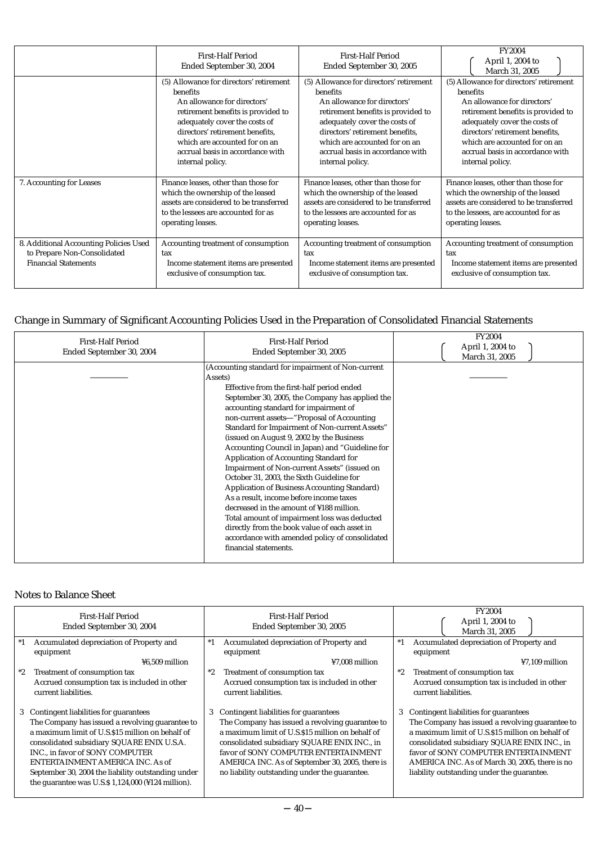|                                                                                                      | <b>First-Half Period</b><br>Ended September 30, 2004                                                                | <b>First-Half Period</b><br>Ended September 30, 2005                                                                | <b>FY2004</b><br>April 1, 2004 to<br>March 31, 2005                                                                 |  |
|------------------------------------------------------------------------------------------------------|---------------------------------------------------------------------------------------------------------------------|---------------------------------------------------------------------------------------------------------------------|---------------------------------------------------------------------------------------------------------------------|--|
|                                                                                                      | (5) Allowance for directors' retirement                                                                             | (5) Allowance for directors' retirement                                                                             | (5) Allowance for directors' retirement                                                                             |  |
|                                                                                                      | benefits                                                                                                            | benefits                                                                                                            | benefits                                                                                                            |  |
|                                                                                                      | An allowance for directors'                                                                                         | An allowance for directors'                                                                                         | An allowance for directors'                                                                                         |  |
|                                                                                                      | retirement benefits is provided to                                                                                  | retirement benefits is provided to                                                                                  | retirement benefits is provided to                                                                                  |  |
|                                                                                                      | adequately cover the costs of                                                                                       | adequately cover the costs of                                                                                       | adequately cover the costs of                                                                                       |  |
|                                                                                                      | directors' retirement benefits,                                                                                     | directors' retirement benefits,                                                                                     | directors' retirement benefits,                                                                                     |  |
|                                                                                                      | which are accounted for on an                                                                                       | which are accounted for on an                                                                                       | which are accounted for on an                                                                                       |  |
|                                                                                                      | accrual basis in accordance with                                                                                    | accrual basis in accordance with                                                                                    | accrual basis in accordance with                                                                                    |  |
|                                                                                                      | internal policy.                                                                                                    | internal policy.                                                                                                    | internal policy.                                                                                                    |  |
| 7. Accounting for Leases                                                                             | Finance leases, other than those for                                                                                | Finance leases, other than those for                                                                                | Finance leases, other than those for                                                                                |  |
|                                                                                                      | which the ownership of the leased                                                                                   | which the ownership of the leased                                                                                   | which the ownership of the leased                                                                                   |  |
|                                                                                                      | assets are considered to be transferred                                                                             | assets are considered to be transferred                                                                             | assets are considered to be transferred                                                                             |  |
|                                                                                                      | to the lessees are accounted for as                                                                                 | to the lessees are accounted for as                                                                                 | to the lessees, are accounted for as                                                                                |  |
|                                                                                                      | operating leases.                                                                                                   | operating leases.                                                                                                   | operating leases.                                                                                                   |  |
| 8. Additional Accounting Policies Used<br>to Prepare Non-Consolidated<br><b>Financial Statements</b> | Accounting treatment of consumption<br>tax<br>Income statement items are presented<br>exclusive of consumption tax. | Accounting treatment of consumption<br>tax<br>Income statement items are presented<br>exclusive of consumption tax. | Accounting treatment of consumption<br>tax<br>Income statement items are presented<br>exclusive of consumption tax. |  |

# Change in Summary of Significant Accounting Policies Used in the Preparation of Consolidated Financial Statements

| <b>First-Half Period</b><br>Ended September 30, 2004 | <b>First-Half Period</b><br>Ended September 30, 2005                                                                                                                                                                                                                                                                                                                                                                                                                                                                                                                                                                                                                                                                                                                                                                                                                     | <b>FY2004</b><br>April 1, 2004 to<br>March 31, 2005 |
|------------------------------------------------------|--------------------------------------------------------------------------------------------------------------------------------------------------------------------------------------------------------------------------------------------------------------------------------------------------------------------------------------------------------------------------------------------------------------------------------------------------------------------------------------------------------------------------------------------------------------------------------------------------------------------------------------------------------------------------------------------------------------------------------------------------------------------------------------------------------------------------------------------------------------------------|-----------------------------------------------------|
|                                                      | (Accounting standard for impairment of Non-current<br>Assets)<br>Effective from the first-half period ended<br>September 30, 2005, the Company has applied the<br>accounting standard for impairment of<br>non-current assets "Proposal of Accounting<br>Standard for Impairment of Non-current Assets"<br>(issued on August 9, 2002 by the Business<br>Accounting Council in Japan) and "Guideline for<br>Application of Accounting Standard for<br>Impairment of Non-current Assets" (issued on<br>October 31, 2003, the Sixth Guideline for<br><b>Application of Business Accounting Standard)</b><br>As a result, income before income taxes<br>decreased in the amount of ¥188 million.<br>Total amount of impairment loss was deducted<br>directly from the book value of each asset in<br>accordance with amended policy of consolidated<br>financial statements. |                                                     |

# Notes to Balance Sheet

| <b>First-Half Period</b><br>Ended September 30, 2004 | <b>First-Half Period</b><br>Ended September 30, 2005 | <b>FY2004</b><br>April 1, 2004 to<br>March 31, 2005 |  |  |
|------------------------------------------------------|------------------------------------------------------|-----------------------------------------------------|--|--|
| Accumulated depreciation of Property and<br>$^*1$    | Accumulated depreciation of Property and<br>$*1$     | Accumulated depreciation of Property and<br>$^*1$   |  |  |
| equipment                                            | equipment                                            | equipment                                           |  |  |
| ¥6.509 million                                       | ¥7.008 million                                       | $47.109$ million                                    |  |  |
| Treatment of consumption tax<br>$^*2$                | $^*2$<br>Treatment of consumption tax                | $*2$<br>Treatment of consumption tax                |  |  |
| Accrued consumption tax is included in other         | Accrued consumption tax is included in other         | Accrued consumption tax is included in other        |  |  |
| current liabilities.                                 | current liabilities.                                 | current liabilities.                                |  |  |
|                                                      |                                                      |                                                     |  |  |
| Contingent liabilities for guarantees<br>3           | Contingent liabilities for guarantees<br>3           | 3 Contingent liabilities for guarantees             |  |  |
| The Company has issued a revolving guarantee to      | The Company has issued a revolving guarantee to      | The Company has issued a revolving guarantee to     |  |  |
| a maximum limit of U.S.\$15 million on behalf of     | a maximum limit of U.S.\$15 million on behalf of     | a maximum limit of U.S.\$15 million on behalf of    |  |  |
| consolidated subsidiary SQUARE ENIX U.S.A.           | consolidated subsidiary SQUARE ENIX INC., in         | consolidated subsidiary SQUARE ENIX INC., in        |  |  |
| INC., in favor of SONY COMPUTER                      | favor of SONY COMPUTER ENTERTAINMENT                 | favor of SONY COMPUTER ENTERTAINMENT                |  |  |
| ENTERTAINMENT AMERICA INC. As of                     | AMERICA INC. As of September 30, 2005, there is      | AMERICA INC. As of March 30, 2005, there is no      |  |  |
| September 30, 2004 the liability outstanding under   | no liability outstanding under the guarantee.        | liability outstanding under the guarantee.          |  |  |
| the guarantee was U.S. $$1,124,000$ (¥124 million).  |                                                      |                                                     |  |  |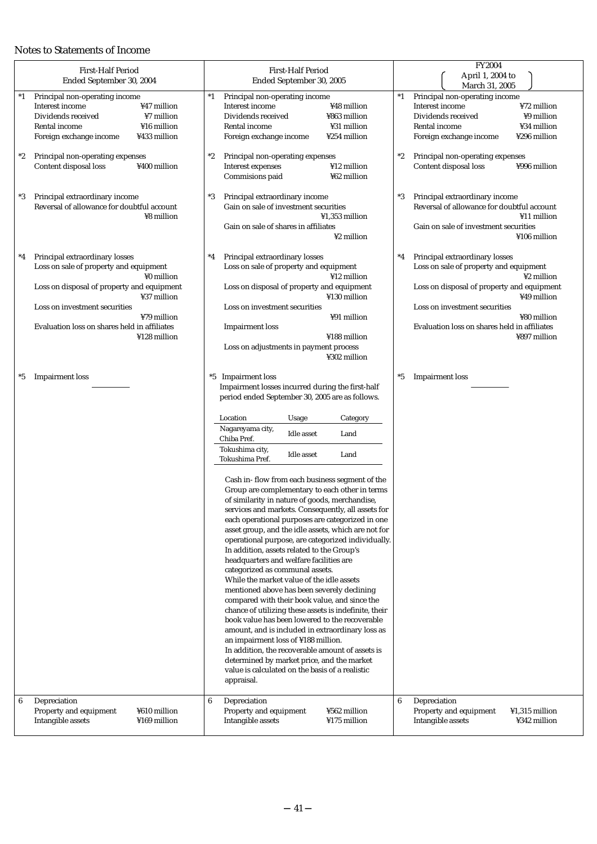# Notes to Statements of Income

| <b>First-Half Period</b><br>Ended September 30, 2004                                                                                                                                                                                                                        | <b>First-Half Period</b><br>Ended September 30, 2005                                                                                                                                                                                                                                                                                                                                                                                                                                                                                                                                                                                                                                                                                                                                                                                                                                                                                                                                                                                                                                                                                                                                                                                                                                                                   | FY2004<br>April 1, 2004 to<br>March 31, 2005                                                                                                                                                                                                                                   |
|-----------------------------------------------------------------------------------------------------------------------------------------------------------------------------------------------------------------------------------------------------------------------------|------------------------------------------------------------------------------------------------------------------------------------------------------------------------------------------------------------------------------------------------------------------------------------------------------------------------------------------------------------------------------------------------------------------------------------------------------------------------------------------------------------------------------------------------------------------------------------------------------------------------------------------------------------------------------------------------------------------------------------------------------------------------------------------------------------------------------------------------------------------------------------------------------------------------------------------------------------------------------------------------------------------------------------------------------------------------------------------------------------------------------------------------------------------------------------------------------------------------------------------------------------------------------------------------------------------------|--------------------------------------------------------------------------------------------------------------------------------------------------------------------------------------------------------------------------------------------------------------------------------|
| $^*1$<br>Principal non-operating income<br>Interest income<br>¥47 million<br>Dividends received<br>¥7 million<br>¥16 million<br>Rental income<br>Foreign exchange income<br>¥433 million<br>Principal non-operating expenses<br>*2<br>Content disposal loss<br>¥400 million | $^*1$<br>Principal non-operating income<br>Interest income<br>¥48 million<br>Dividends received<br>¥863 million<br>¥31 million<br>Rental income<br>Foreign exchange income<br>¥254 million<br>$^*2$<br>Principal non-operating expenses<br>Interest expenses<br>¥12 million<br>Commisions paid<br>¥62 million                                                                                                                                                                                                                                                                                                                                                                                                                                                                                                                                                                                                                                                                                                                                                                                                                                                                                                                                                                                                          | Principal non-operating income<br>$^*1$<br>¥72 million<br>Interest income<br>¥9 million<br>Dividends received<br>¥34 million<br>Rental income<br>Foreign exchange income<br>¥296 million<br>Principal non-operating expenses<br>$^*2$<br>Content disposal loss<br>¥996 million |
| Principal extraordinary income<br>*3<br>Reversal of allowance for doubtful account<br>¥8 million                                                                                                                                                                            | Principal extraordinary income<br>*3<br>Gain on sale of investment securities<br>¥1,353 million<br>Gain on sale of shares in affiliates<br>¥2 million                                                                                                                                                                                                                                                                                                                                                                                                                                                                                                                                                                                                                                                                                                                                                                                                                                                                                                                                                                                                                                                                                                                                                                  | Principal extraordinary income<br>$^*3$<br>Reversal of allowance for doubtful account<br>¥11 million<br>Gain on sale of investment securities<br>¥106 million                                                                                                                  |
| Principal extraordinary losses<br>*4<br>Loss on sale of property and equipment<br>¥0 million<br>Loss on disposal of property and equipment<br>¥37 million<br>Loss on investment securities<br>¥79 million<br>Evaluation loss on shares held in affiliates<br>¥128 million   | Principal extraordinary losses<br>$^*4$<br>Loss on sale of property and equipment<br>¥12 million<br>Loss on disposal of property and equipment<br>¥130 million<br>Loss on investment securities<br>¥91 million<br><b>Impairment</b> loss<br>¥188 million<br>Loss on adjustments in payment process<br>¥302 million                                                                                                                                                                                                                                                                                                                                                                                                                                                                                                                                                                                                                                                                                                                                                                                                                                                                                                                                                                                                     | Principal extraordinary losses<br>$^*4$<br>Loss on sale of property and equipment<br>¥2 million<br>Loss on disposal of property and equipment<br>¥49 million<br>Loss on investment securities<br>¥80 million<br>Evaluation loss on shares held in affiliates<br>¥897 million   |
| <b>Impairment</b> loss<br>*5                                                                                                                                                                                                                                                | *5 Impairment loss<br>Impairment losses incurred during the first-half<br>period ended September 30, 2005 are as follows.<br>Location<br>Usage<br>Category<br>Nagareyama city,<br>Idle asset<br>Land<br>Chiba Pref.<br>Tokushima city,<br><b>Idle</b> asset<br>Land<br>Tokushima Pref.<br>Cash in- flow from each business segment of the<br>Group are complementary to each other in terms<br>of similarity in nature of goods, merchandise,<br>services and markets. Consequently, all assets for<br>each operational purposes are categorized in one<br>asset group, and the idle assets, which are not for<br>operational purpose, are categorized individually.<br>In addition, assets related to the Group's<br>headquarters and welfare facilities are<br>categorized as communal assets.<br>While the market value of the idle assets<br>mentioned above has been severely declining<br>compared with their book value, and since the<br>chance of utilizing these assets is indefinite, their<br>book value has been lowered to the recoverable<br>amount, and is included in extraordinary loss as<br>an impairment loss of ¥188 million.<br>In addition, the recoverable amount of assets is<br>determined by market price, and the market<br>value is calculated on the basis of a realistic<br>appraisal. | $^{\ast}5$<br><b>Impairment</b> loss                                                                                                                                                                                                                                           |
| Depreciation<br>6<br>Property and equipment<br>¥610 million<br>Intangible assets<br>¥169 million                                                                                                                                                                            | 6<br>Depreciation<br>Property and equipment<br>¥562 million<br>Intangible assets<br>¥175 million                                                                                                                                                                                                                                                                                                                                                                                                                                                                                                                                                                                                                                                                                                                                                                                                                                                                                                                                                                                                                                                                                                                                                                                                                       | Depreciation<br>6<br>Property and equipment<br>¥1,315 million<br>Intangible assets<br>¥342 million                                                                                                                                                                             |